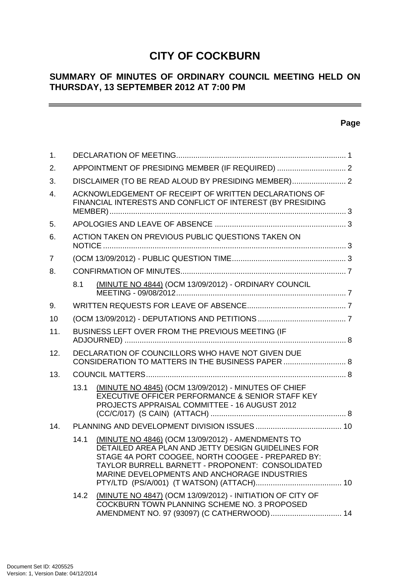# **CITY OF COCKBURN**

# **SUMMARY OF MINUTES OF ORDINARY COUNCIL MEETING HELD ON THURSDAY, 13 SEPTEMBER 2012 AT 7:00 PM**

# **Page**

 $\overline{\phantom{0}}$ 

| 1.               |      |                                                                                                                                                                                                                                                                  |  |
|------------------|------|------------------------------------------------------------------------------------------------------------------------------------------------------------------------------------------------------------------------------------------------------------------|--|
| 2.               |      | APPOINTMENT OF PRESIDING MEMBER (IF REQUIRED)  2                                                                                                                                                                                                                 |  |
| 3.               |      | DISCLAIMER (TO BE READ ALOUD BY PRESIDING MEMBER) 2                                                                                                                                                                                                              |  |
| $\overline{4}$ . |      | ACKNOWLEDGEMENT OF RECEIPT OF WRITTEN DECLARATIONS OF<br>FINANCIAL INTERESTS AND CONFLICT OF INTEREST (BY PRESIDING                                                                                                                                              |  |
| 5.               |      |                                                                                                                                                                                                                                                                  |  |
| 6.               |      | ACTION TAKEN ON PREVIOUS PUBLIC QUESTIONS TAKEN ON                                                                                                                                                                                                               |  |
| $\overline{7}$   |      |                                                                                                                                                                                                                                                                  |  |
| 8.               |      |                                                                                                                                                                                                                                                                  |  |
|                  | 8.1  | (MINUTE NO 4844) (OCM 13/09/2012) - ORDINARY COUNCIL                                                                                                                                                                                                             |  |
| 9.               |      |                                                                                                                                                                                                                                                                  |  |
| 10               |      |                                                                                                                                                                                                                                                                  |  |
| 11.              |      | BUSINESS LEFT OVER FROM THE PREVIOUS MEETING (IF                                                                                                                                                                                                                 |  |
| 12.              |      | DECLARATION OF COUNCILLORS WHO HAVE NOT GIVEN DUE<br>CONSIDERATION TO MATTERS IN THE BUSINESS PAPER  8                                                                                                                                                           |  |
| 13.              |      |                                                                                                                                                                                                                                                                  |  |
|                  | 13.1 | (MINUTE NO 4845) (OCM 13/09/2012) - MINUTES OF CHIEF<br>EXECUTIVE OFFICER PERFORMANCE & SENIOR STAFF KEY<br>PROJECTS APPRAISAL COMMITTEE - 16 AUGUST 2012                                                                                                        |  |
| 14.              |      |                                                                                                                                                                                                                                                                  |  |
|                  | 14.1 | (MINUTE NO 4846) (OCM 13/09/2012) - AMENDMENTS TO<br>DETAILED AREA PLAN AND JETTY DESIGN GUIDELINES FOR<br>STAGE 4A PORT COOGEE, NORTH COOGEE - PREPARED BY:<br>TAYLOR BURRELL BARNETT - PROPONENT: CONSOLIDATED<br>MARINE DEVELOPMENTS AND ANCHORAGE INDUSTRIES |  |
|                  | 14.2 | (MINUTE NO 4847) (OCM 13/09/2012) - INITIATION OF CITY OF<br>COCKBURN TOWN PLANNING SCHEME NO. 3 PROPOSED<br>AMENDMENT NO. 97 (93097) (C CATHERWOOD) 14                                                                                                          |  |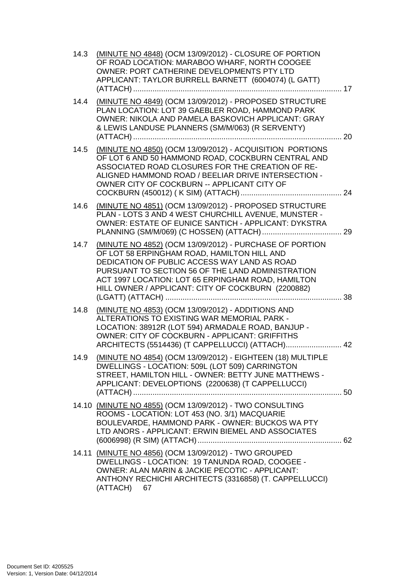| 14.3 | (MINUTE NO 4848) (OCM 13/09/2012) - CLOSURE OF PORTION<br>OF ROAD LOCATION: MARABOO WHARF, NORTH COOGEE<br>OWNER: PORT CATHERINE DEVELOPMENTS PTY LTD<br>APPLICANT: TAYLOR BURRELL BARNETT (6004074) (L GATT)                                                                                                           |  |
|------|-------------------------------------------------------------------------------------------------------------------------------------------------------------------------------------------------------------------------------------------------------------------------------------------------------------------------|--|
| 14.4 | (MINUTE NO 4849) (OCM 13/09/2012) - PROPOSED STRUCTURE<br>PLAN LOCATION: LOT 39 GAEBLER ROAD, HAMMOND PARK<br>OWNER: NIKOLA AND PAMELA BASKOVICH APPLICANT: GRAY<br>& LEWIS LANDUSE PLANNERS (SM/M/063) (R SERVENTY)                                                                                                    |  |
| 14.5 | (MINUTE NO 4850) (OCM 13/09/2012) - ACQUISITION PORTIONS<br>OF LOT 6 AND 50 HAMMOND ROAD, COCKBURN CENTRAL AND<br>ASSOCIATED ROAD CLOSURES FOR THE CREATION OF RE-<br>ALIGNED HAMMOND ROAD / BEELIAR DRIVE INTERSECTION -<br>OWNER CITY OF COCKBURN -- APPLICANT CITY OF                                                |  |
| 14.6 | (MINUTE NO 4851) (OCM 13/09/2012) - PROPOSED STRUCTURE<br>PLAN - LOTS 3 AND 4 WEST CHURCHILL AVENUE, MUNSTER -<br>OWNER: ESTATE OF EUNICE SANTICH - APPLICANT: DYKSTRA                                                                                                                                                  |  |
| 14.7 | (MINUTE NO 4852) (OCM 13/09/2012) - PURCHASE OF PORTION<br>OF LOT 58 ERPINGHAM ROAD, HAMILTON HILL AND<br>DEDICATION OF PUBLIC ACCESS WAY LAND AS ROAD<br>PURSUANT TO SECTION 56 OF THE LAND ADMINISTRATION<br>ACT 1997 LOCATION: LOT 65 ERPINGHAM ROAD, HAMILTON<br>HILL OWNER / APPLICANT: CITY OF COCKBURN (2200882) |  |
| 14.8 | (MINUTE NO 4853) (OCM 13/09/2012) - ADDITIONS AND<br>ALTERATIONS TO EXISTING WAR MEMORIAL PARK -<br>LOCATION: 38912R (LOT 594) ARMADALE ROAD, BANJUP -<br>OWNER: CITY OF COCKBURN - APPLICANT: GRIFFITHS<br>ARCHITECTS (5514436) (T CAPPELLUCCI) (ATTACH) 42                                                            |  |
| 14.9 | (MINUTE NO 4854) (OCM 13/09/2012) - EIGHTEEN (18) MULTIPLE<br>DWELLINGS - LOCATION: 509L (LOT 509) CARRINGTON<br>STREET, HAMILTON HILL - OWNER: BETTY JUNE MATTHEWS -<br>APPLICANT: DEVELOPTIONS (2200638) (T CAPPELLUCCI)                                                                                              |  |
|      | 14.10 (MINUTE NO 4855) (OCM 13/09/2012) - TWO CONSULTING<br>ROOMS - LOCATION: LOT 453 (NO. 3/1) MACQUARIE<br>BOULEVARDE, HAMMOND PARK - OWNER: BUCKOS WA PTY<br>LTD ANORS - APPLICANT: ERWIN BIEMEL AND ASSOCIATES                                                                                                      |  |
|      | 14.11 (MINUTE NO 4856) (OCM 13/09/2012) - TWO GROUPED<br>DWELLINGS - LOCATION: 19 TANUNDA ROAD, COOGEE -<br><b>OWNER: ALAN MARIN &amp; JACKIE PECOTIC - APPLICANT:</b><br>ANTHONY RECHICHI ARCHITECTS (3316858) (T. CAPPELLUCCI)<br>(ATTACH) 67                                                                         |  |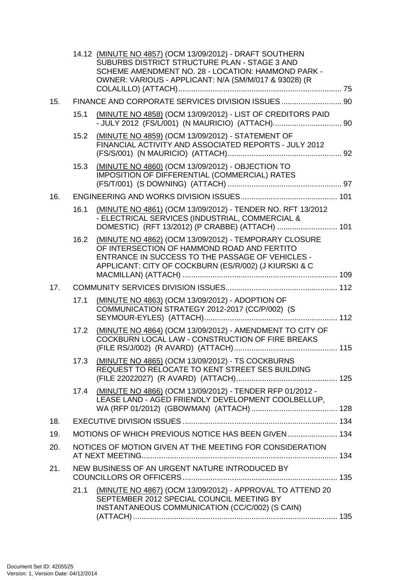|     |      | 14.12 (MINUTE NO 4857) (OCM 13/09/2012) - DRAFT SOUTHERN<br>SUBURBS DISTRICT STRUCTURE PLAN - STAGE 3 AND<br>SCHEME AMENDMENT NO. 28 - LOCATION: HAMMOND PARK -<br>OWNER: VARIOUS - APPLICANT: N/A (SM/M/017 & 93028) (R |  |
|-----|------|--------------------------------------------------------------------------------------------------------------------------------------------------------------------------------------------------------------------------|--|
| 15. |      |                                                                                                                                                                                                                          |  |
|     | 15.1 | (MINUTE NO 4858) (OCM 13/09/2012) - LIST OF CREDITORS PAID                                                                                                                                                               |  |
|     | 15.2 | (MINUTE NO 4859) (OCM 13/09/2012) - STATEMENT OF<br>FINANCIAL ACTIVITY AND ASSOCIATED REPORTS - JULY 2012                                                                                                                |  |
|     |      | 15.3 (MINUTE NO 4860) (OCM 13/09/2012) - OBJECTION TO<br>IMPOSITION OF DIFFERENTIAL (COMMERCIAL) RATES                                                                                                                   |  |
| 16. |      |                                                                                                                                                                                                                          |  |
|     | 16.1 | (MINUTE NO 4861) (OCM 13/09/2012) - TENDER NO. RFT 13/2012<br>- ELECTRICAL SERVICES (INDUSTRIAL, COMMERCIAL &<br>DOMESTIC) (RFT 13/2012) (P CRABBE) (ATTACH)  101                                                        |  |
|     | 16.2 | (MINUTE NO 4862) (OCM 13/09/2012) - TEMPORARY CLOSURE<br>OF INTERSECTION OF HAMMOND ROAD AND FERTITO<br><b>ENTRANCE IN SUCCESS TO THE PASSAGE OF VEHICLES -</b><br>APPLICANT: CITY OF COCKBURN (ES/R/002) (J KIURSKI & C |  |
| 17. |      |                                                                                                                                                                                                                          |  |
|     | 17.1 | (MINUTE NO 4863) (OCM 13/09/2012) - ADOPTION OF<br>COMMUNICATION STRATEGY 2012-2017 (CC/P/002) (S                                                                                                                        |  |
|     | 17.2 | (MINUTE NO 4864) (OCM 13/09/2012) - AMENDMENT TO CITY OF<br>COCKBURN LOCAL LAW - CONSTRUCTION OF FIRE BREAKS                                                                                                             |  |
|     |      | 17.3 (MINUTE NO 4865) (OCM 13/09/2012) - TS COCKBURNS<br>REQUEST TO RELOCATE TO KENT STREET SES BUILDING                                                                                                                 |  |
|     | 17.4 | (MINUTE NO 4866) (OCM 13/09/2012) - TENDER RFP 01/2012 -<br>LEASE LAND - AGED FRIENDLY DEVELOPMENT COOLBELLUP,                                                                                                           |  |
| 18. |      |                                                                                                                                                                                                                          |  |
| 19. |      | MOTIONS OF WHICH PREVIOUS NOTICE HAS BEEN GIVEN  134                                                                                                                                                                     |  |
| 20. |      | NOTICES OF MOTION GIVEN AT THE MEETING FOR CONSIDERATION                                                                                                                                                                 |  |
| 21. |      | NEW BUSINESS OF AN URGENT NATURE INTRODUCED BY                                                                                                                                                                           |  |
|     | 21.1 | (MINUTE NO 4867) (OCM 13/09/2012) - APPROVAL TO ATTEND 20<br>SEPTEMBER 2012 SPECIAL COUNCIL MEETING BY<br>INSTANTANEOUS COMMUNICATION (CC/C/002) (S CAIN)                                                                |  |
|     |      |                                                                                                                                                                                                                          |  |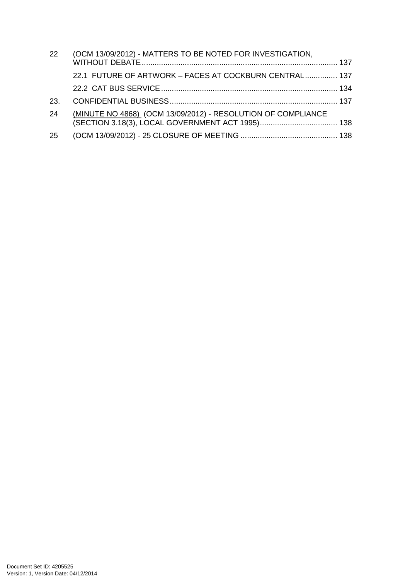| 22  | (OCM 13/09/2012) - MATTERS TO BE NOTED FOR INVESTIGATION,    |  |
|-----|--------------------------------------------------------------|--|
|     | 22.1 FUTURE OF ARTWORK - FACES AT COCKBURN CENTRAL 137       |  |
|     |                                                              |  |
| 23. |                                                              |  |
| 24  | (MINUTE NO 4868) (OCM 13/09/2012) - RESOLUTION OF COMPLIANCE |  |
| 25  |                                                              |  |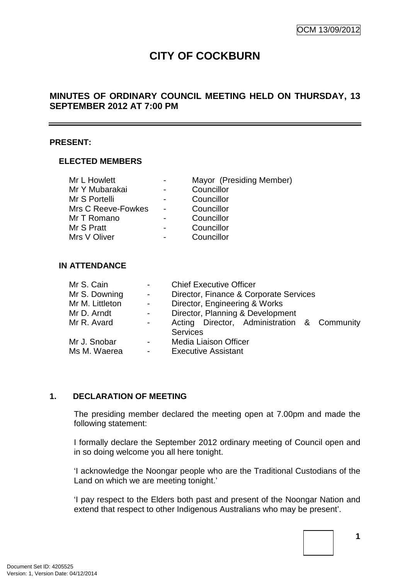# **CITY OF COCKBURN**

# **MINUTES OF ORDINARY COUNCIL MEETING HELD ON THURSDAY, 13 SEPTEMBER 2012 AT 7:00 PM**

#### **PRESENT:**

#### **ELECTED MEMBERS**

| Mr L Howlett       |                          | Mayor (Presiding Member) |
|--------------------|--------------------------|--------------------------|
| Mr Y Mubarakai     |                          | Councillor               |
| Mr S Portelli      | $\overline{\phantom{0}}$ | Councillor               |
| Mrs C Reeve-Fowkes |                          | Councillor               |
| Mr T Romano        |                          | Councillor               |
| Mr S Pratt         | $\overline{\phantom{0}}$ | Councillor               |
| Mrs V Oliver       |                          | Councillor               |

### **IN ATTENDANCE**

| Mr S. Cain      | ۰.                       | <b>Chief Executive Officer</b>                                 |
|-----------------|--------------------------|----------------------------------------------------------------|
| Mr S. Downing   | $\blacksquare$           | Director, Finance & Corporate Services                         |
| Mr M. Littleton | $\overline{\phantom{0}}$ | Director, Engineering & Works                                  |
| Mr D. Arndt     | $\blacksquare$           | Director, Planning & Development                               |
| Mr R. Avard     | $\sim$                   | Acting Director, Administration & Community<br><b>Services</b> |
| Mr J. Snobar    | $\blacksquare$           | <b>Media Liaison Officer</b>                                   |
| Ms M. Waerea    | ÷,                       | <b>Executive Assistant</b>                                     |
|                 |                          |                                                                |

### **1. DECLARATION OF MEETING**

The presiding member declared the meeting open at 7.00pm and made the following statement:

I formally declare the September 2012 ordinary meeting of Council open and in so doing welcome you all here tonight.

'I acknowledge the Noongar people who are the Traditional Custodians of the Land on which we are meeting tonight.'

'I pay respect to the Elders both past and present of the Noongar Nation and extend that respect to other Indigenous Australians who may be present'.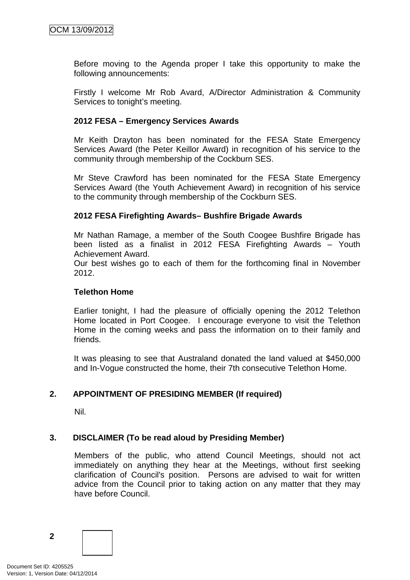Before moving to the Agenda proper I take this opportunity to make the following announcements:

Firstly I welcome Mr Rob Avard, A/Director Administration & Community Services to tonight's meeting.

### **2012 FESA – Emergency Services Awards**

Mr Keith Drayton has been nominated for the FESA State Emergency Services Award (the Peter Keillor Award) in recognition of his service to the community through membership of the Cockburn SES.

Mr Steve Crawford has been nominated for the FESA State Emergency Services Award (the Youth Achievement Award) in recognition of his service to the community through membership of the Cockburn SES.

### **2012 FESA Firefighting Awards– Bushfire Brigade Awards**

Mr Nathan Ramage, a member of the South Coogee Bushfire Brigade has been listed as a finalist in 2012 FESA Firefighting Awards – Youth Achievement Award.

Our best wishes go to each of them for the forthcoming final in November 2012.

#### **Telethon Home**

Earlier tonight, I had the pleasure of officially opening the 2012 Telethon Home located in Port Coogee. I encourage everyone to visit the Telethon Home in the coming weeks and pass the information on to their family and friends.

It was pleasing to see that Australand donated the land valued at \$450,000 and In-Vogue constructed the home, their 7th consecutive Telethon Home.

### **2. APPOINTMENT OF PRESIDING MEMBER (If required)**

Nil.

### **3. DISCLAIMER (To be read aloud by Presiding Member)**

Members of the public, who attend Council Meetings, should not act immediately on anything they hear at the Meetings, without first seeking clarification of Council's position. Persons are advised to wait for written advice from the Council prior to taking action on any matter that they may have before Council.

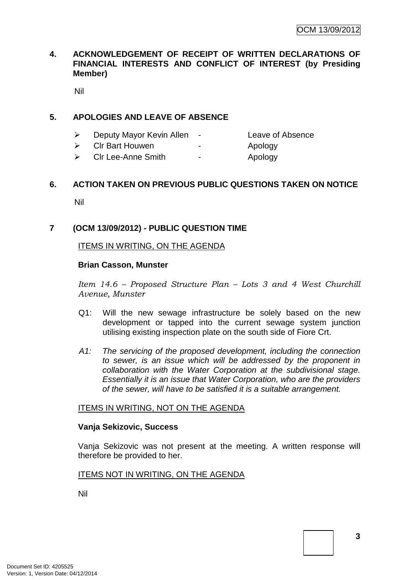### **4. ACKNOWLEDGEMENT OF RECEIPT OF WRITTEN DECLARATIONS OF FINANCIAL INTERESTS AND CONFLICT OF INTEREST (by Presiding Member)**

Nil

# **5. APOLOGIES AND LEAVE OF ABSENCE**

|                  | Deputy Mayor Kevin Allen - |                          | Leave of Absence |
|------------------|----------------------------|--------------------------|------------------|
| $\triangleright$ | Clr Bart Houwen            | $\overline{\phantom{0}}$ | Apology          |
| $\triangleright$ | <b>CIr Lee-Anne Smith</b>  | $\overline{\phantom{0}}$ | Apology          |

### **6. ACTION TAKEN ON PREVIOUS PUBLIC QUESTIONS TAKEN ON NOTICE**

Nil

### **7 (OCM 13/09/2012) - PUBLIC QUESTION TIME**

**ITEMS IN WRITING, ON THE AGENDA** 

#### **Brian Casson, Munster**

*Item 14.6 – Proposed Structure Plan – Lots 3 and 4 West Churchill Avenue, Munster*

- Q1: Will the new sewage infrastructure be solely based on the new development or tapped into the current sewage system junction utilising existing inspection plate on the south side of Fiore Crt.
- *A1: The servicing of the proposed development, including the connection to sewer, is an issue which will be addressed by the proponent in collaboration with the Water Corporation at the subdivisional stage. Essentially it is an issue that Water Corporation, who are the providers of the sewer, will have to be satisfied it is a suitable arrangement.*

### ITEMS IN WRITING, NOT ON THE AGENDA

#### **Vanja Sekizovic, Success**

Vanja Sekizovic was not present at the meeting. A written response will therefore be provided to her.

### ITEMS NOT IN WRITING, ON THE AGENDA

Nil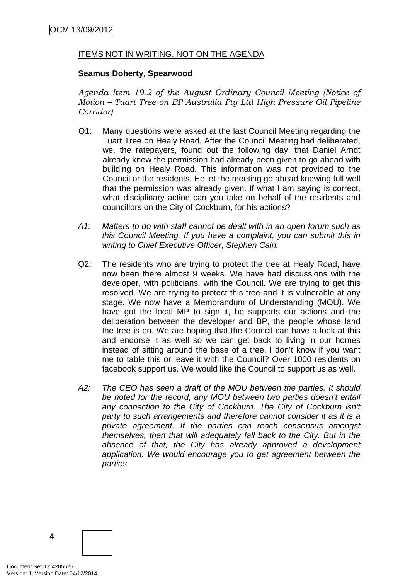# ITEMS NOT IN WRITING, NOT ON THE AGENDA

#### **Seamus Doherty, Spearwood**

*Agenda Item 19.2 of the August Ordinary Council Meeting (Notice of Motion – Tuart Tree on BP Australia Pty Ltd High Pressure Oil Pipeline Corridor)*

- Q1: Many questions were asked at the last Council Meeting regarding the Tuart Tree on Healy Road. After the Council Meeting had deliberated, we, the ratepayers, found out the following day, that Daniel Arndt already knew the permission had already been given to go ahead with building on Healy Road. This information was not provided to the Council or the residents. He let the meeting go ahead knowing full well that the permission was already given. If what I am saying is correct, what disciplinary action can you take on behalf of the residents and councillors on the City of Cockburn, for his actions?
- *A1: Matters to do with staff cannot be dealt with in an open forum such as this Council Meeting. If you have a complaint, you can submit this in writing to Chief Executive Officer, Stephen Cain.*
- Q2: The residents who are trying to protect the tree at Healy Road, have now been there almost 9 weeks. We have had discussions with the developer, with politicians, with the Council. We are trying to get this resolved. We are trying to protect this tree and it is vulnerable at any stage. We now have a Memorandum of Understanding (MOU). We have got the local MP to sign it, he supports our actions and the deliberation between the developer and BP, the people whose land the tree is on. We are hoping that the Council can have a look at this and endorse it as well so we can get back to living in our homes instead of sitting around the base of a tree. I don't know if you want me to table this or leave it with the Council? Over 1000 residents on facebook support us. We would like the Council to support us as well.
- *A2: The CEO has seen a draft of the MOU between the parties. It should be noted for the record, any MOU between two parties doesn't entail*  any connection to the City of Cockburn. The City of Cockburn isn't *party to such arrangements and therefore cannot consider it as it is a private agreement. If the parties can reach consensus amongst themselves, then that will adequately fall back to the City. But in the absence of that, the City has already approved a development application. We would encourage you to get agreement between the parties.*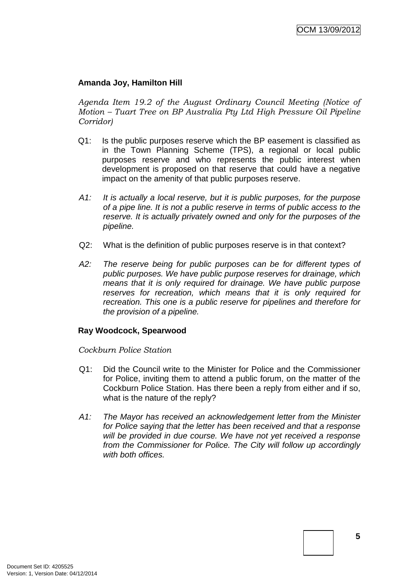# **Amanda Joy, Hamilton Hill**

*Agenda Item 19.2 of the August Ordinary Council Meeting (Notice of Motion – Tuart Tree on BP Australia Pty Ltd High Pressure Oil Pipeline Corridor)*

- Q1: Is the public purposes reserve which the BP easement is classified as in the Town Planning Scheme (TPS), a regional or local public purposes reserve and who represents the public interest when development is proposed on that reserve that could have a negative impact on the amenity of that public purposes reserve.
- *A1: It is actually a local reserve, but it is public purposes, for the purpose of a pipe line. It is not a public reserve in terms of public access to the reserve. It is actually privately owned and only for the purposes of the pipeline.*
- Q2: What is the definition of public purposes reserve is in that context?
- *A2: The reserve being for public purposes can be for different types of public purposes. We have public purpose reserves for drainage, which means that it is only required for drainage. We have public purpose reserves for recreation, which means that it is only required for recreation. This one is a public reserve for pipelines and therefore for the provision of a pipeline.*

### **Ray Woodcock, Spearwood**

*Cockburn Police Station*

- Q1: Did the Council write to the Minister for Police and the Commissioner for Police, inviting them to attend a public forum, on the matter of the Cockburn Police Station. Has there been a reply from either and if so, what is the nature of the reply?
- *A1: The Mayor has received an acknowledgement letter from the Minister for Police saying that the letter has been received and that a response will be provided in due course. We have not yet received a response from the Commissioner for Police. The City will follow up accordingly with both offices.*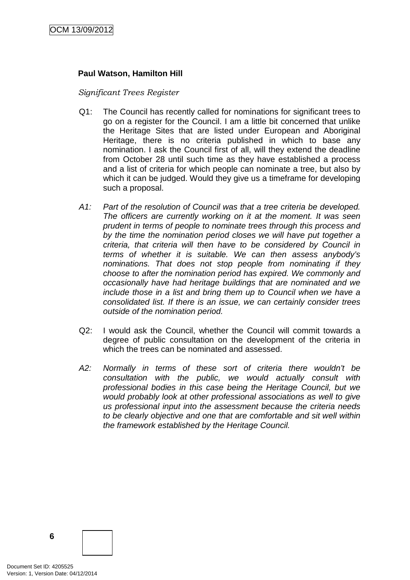## **Paul Watson, Hamilton Hill**

#### *Significant Trees Register*

- Q1: The Council has recently called for nominations for significant trees to go on a register for the Council. I am a little bit concerned that unlike the Heritage Sites that are listed under European and Aboriginal Heritage, there is no criteria published in which to base any nomination. I ask the Council first of all, will they extend the deadline from October 28 until such time as they have established a process and a list of criteria for which people can nominate a tree, but also by which it can be judged. Would they give us a timeframe for developing such a proposal.
- *A1: Part of the resolution of Council was that a tree criteria be developed. The officers are currently working on it at the moment. It was seen prudent in terms of people to nominate trees through this process and by the time the nomination period closes we will have put together a criteria, that criteria will then have to be considered by Council in terms of whether it is suitable. We can then assess anybody's nominations. That does not stop people from nominating if they choose to after the nomination period has expired. We commonly and occasionally have had heritage buildings that are nominated and we include those in a list and bring them up to Council when we have a consolidated list. If there is an issue, we can certainly consider trees outside of the nomination period.*
- Q2: I would ask the Council, whether the Council will commit towards a degree of public consultation on the development of the criteria in which the trees can be nominated and assessed.
- *A2: Normally in terms of these sort of criteria there wouldn't be consultation with the public, we would actually consult with professional bodies in this case being the Heritage Council, but we would probably look at other professional associations as well to give us professional input into the assessment because the criteria needs to be clearly objective and one that are comfortable and sit well within the framework established by the Heritage Council.*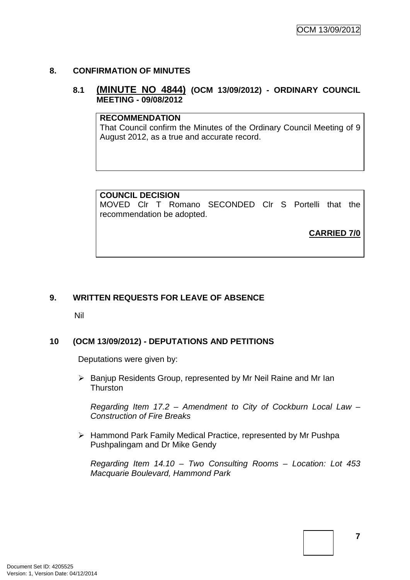## **8. CONFIRMATION OF MINUTES**

## **8.1 (MINUTE NO 4844) (OCM 13/09/2012) - ORDINARY COUNCIL MEETING - 09/08/2012**

### **RECOMMENDATION**

That Council confirm the Minutes of the Ordinary Council Meeting of 9 August 2012, as a true and accurate record.

# **COUNCIL DECISION**

MOVED Clr T Romano SECONDED Clr S Portelli that the recommendation be adopted.

**CARRIED 7/0**

# **9. WRITTEN REQUESTS FOR LEAVE OF ABSENCE**

Nil

# **10 (OCM 13/09/2012) - DEPUTATIONS AND PETITIONS**

Deputations were given by:

 $\triangleright$  Banjup Residents Group, represented by Mr Neil Raine and Mr Ian **Thurston** 

*Regarding Item 17.2 – Amendment to City of Cockburn Local Law – Construction of Fire Breaks*

 $\triangleright$  Hammond Park Family Medical Practice, represented by Mr Pushpa Pushpalingam and Dr Mike Gendy

*Regarding Item 14.10 – Two Consulting Rooms – Location: Lot 453 Macquarie Boulevard, Hammond Park*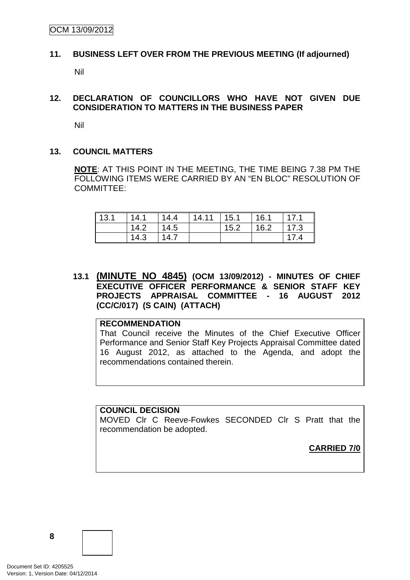### **11. BUSINESS LEFT OVER FROM THE PREVIOUS MEETING (If adjourned)**

Nil

### **12. DECLARATION OF COUNCILLORS WHO HAVE NOT GIVEN DUE CONSIDERATION TO MATTERS IN THE BUSINESS PAPER**

Nil

### **13. COUNCIL MATTERS**

**NOTE**: AT THIS POINT IN THE MEETING, THE TIME BEING 7.38 PM THE FOLLOWING ITEMS WERE CARRIED BY AN "EN BLOC" RESOLUTION OF COMMITTEE:

| 13.1 | 14.1 | $\vert$ 14.4 | $\vert$ 14.11   15.1 |      | 16.1 | 17.1         |
|------|------|--------------|----------------------|------|------|--------------|
|      | 14.2 | $\vert$ 14.5 |                      | 15.2 | 16.2 | 17.3         |
|      | 14.3 | 14.7         |                      |      |      | 17 $\Lambda$ |

**13.1 (MINUTE NO 4845) (OCM 13/09/2012) - MINUTES OF CHIEF EXECUTIVE OFFICER PERFORMANCE & SENIOR STAFF KEY PROJECTS APPRAISAL COMMITTEE - 16 AUGUST 2012 (CC/C/017) (S CAIN) (ATTACH)**

#### **RECOMMENDATION**

That Council receive the Minutes of the Chief Executive Officer Performance and Senior Staff Key Projects Appraisal Committee dated 16 August 2012, as attached to the Agenda, and adopt the recommendations contained therein.

**COUNCIL DECISION** MOVED Clr C Reeve-Fowkes SECONDED Clr S Pratt that the recommendation be adopted.

**CARRIED 7/0**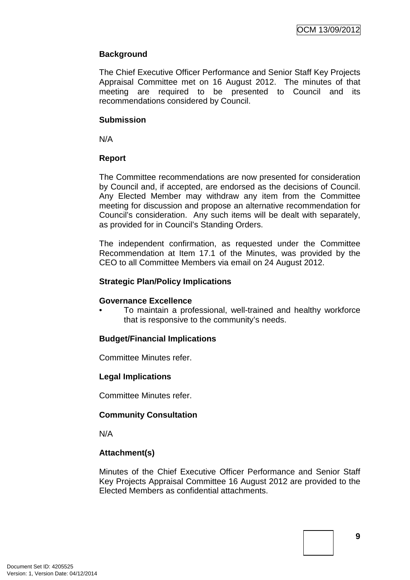### **Background**

The Chief Executive Officer Performance and Senior Staff Key Projects Appraisal Committee met on 16 August 2012. The minutes of that meeting are required to be presented to Council and its recommendations considered by Council.

### **Submission**

N/A

#### **Report**

The Committee recommendations are now presented for consideration by Council and, if accepted, are endorsed as the decisions of Council. Any Elected Member may withdraw any item from the Committee meeting for discussion and propose an alternative recommendation for Council's consideration. Any such items will be dealt with separately, as provided for in Council's Standing Orders.

The independent confirmation, as requested under the Committee Recommendation at Item 17.1 of the Minutes, was provided by the CEO to all Committee Members via email on 24 August 2012.

### **Strategic Plan/Policy Implications**

### **Governance Excellence**

• To maintain a professional, well-trained and healthy workforce that is responsive to the community's needs.

### **Budget/Financial Implications**

Committee Minutes refer.

### **Legal Implications**

Committee Minutes refer.

### **Community Consultation**

N/A

### **Attachment(s)**

Minutes of the Chief Executive Officer Performance and Senior Staff Key Projects Appraisal Committee 16 August 2012 are provided to the Elected Members as confidential attachments.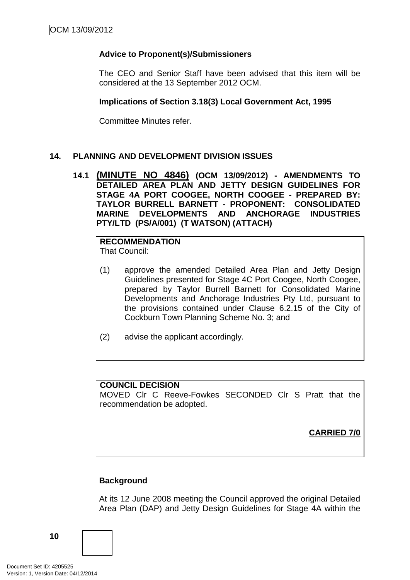### **Advice to Proponent(s)/Submissioners**

The CEO and Senior Staff have been advised that this item will be considered at the 13 September 2012 OCM.

#### **Implications of Section 3.18(3) Local Government Act, 1995**

Committee Minutes refer.

### **14. PLANNING AND DEVELOPMENT DIVISION ISSUES**

**14.1 (MINUTE NO 4846) (OCM 13/09/2012) - AMENDMENTS TO DETAILED AREA PLAN AND JETTY DESIGN GUIDELINES FOR STAGE 4A PORT COOGEE, NORTH COOGEE - PREPARED BY: TAYLOR BURRELL BARNETT - PROPONENT: CONSOLIDATED MARINE DEVELOPMENTS AND ANCHORAGE INDUSTRIES PTY/LTD (PS/A/001) (T WATSON) (ATTACH)**

**RECOMMENDATION** That Council:

- (1) approve the amended Detailed Area Plan and Jetty Design Guidelines presented for Stage 4C Port Coogee, North Coogee, prepared by Taylor Burrell Barnett for Consolidated Marine Developments and Anchorage Industries Pty Ltd, pursuant to the provisions contained under Clause 6.2.15 of the City of Cockburn Town Planning Scheme No. 3; and
- (2) advise the applicant accordingly.

### **COUNCIL DECISION**

MOVED Clr C Reeve-Fowkes SECONDED Clr S Pratt that the recommendation be adopted.

**CARRIED 7/0**

### **Background**

At its 12 June 2008 meeting the Council approved the original Detailed Area Plan (DAP) and Jetty Design Guidelines for Stage 4A within the

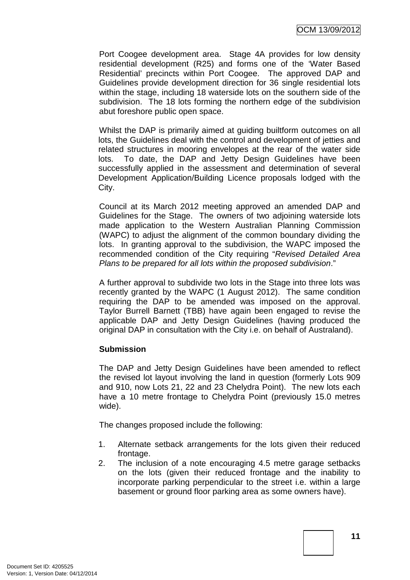Port Coogee development area. Stage 4A provides for low density residential development (R25) and forms one of the 'Water Based Residential' precincts within Port Coogee. The approved DAP and Guidelines provide development direction for 36 single residential lots within the stage, including 18 waterside lots on the southern side of the subdivision. The 18 lots forming the northern edge of the subdivision abut foreshore public open space.

Whilst the DAP is primarily aimed at guiding builtform outcomes on all lots, the Guidelines deal with the control and development of jetties and related structures in mooring envelopes at the rear of the water side lots. To date, the DAP and Jetty Design Guidelines have been successfully applied in the assessment and determination of several Development Application/Building Licence proposals lodged with the City.

Council at its March 2012 meeting approved an amended DAP and Guidelines for the Stage. The owners of two adjoining waterside lots made application to the Western Australian Planning Commission (WAPC) to adjust the alignment of the common boundary dividing the lots. In granting approval to the subdivision, the WAPC imposed the recommended condition of the City requiring "*Revised Detailed Area Plans to be prepared for all lots within the proposed subdivision*."

A further approval to subdivide two lots in the Stage into three lots was recently granted by the WAPC (1 August 2012). The same condition requiring the DAP to be amended was imposed on the approval. Taylor Burrell Barnett (TBB) have again been engaged to revise the applicable DAP and Jetty Design Guidelines (having produced the original DAP in consultation with the City i.e. on behalf of Australand).

### **Submission**

The DAP and Jetty Design Guidelines have been amended to reflect the revised lot layout involving the land in question (formerly Lots 909 and 910, now Lots 21, 22 and 23 Chelydra Point). The new lots each have a 10 metre frontage to Chelydra Point (previously 15.0 metres wide).

The changes proposed include the following:

- 1. Alternate setback arrangements for the lots given their reduced frontage.
- 2. The inclusion of a note encouraging 4.5 metre garage setbacks on the lots (given their reduced frontage and the inability to incorporate parking perpendicular to the street i.e. within a large basement or ground floor parking area as some owners have).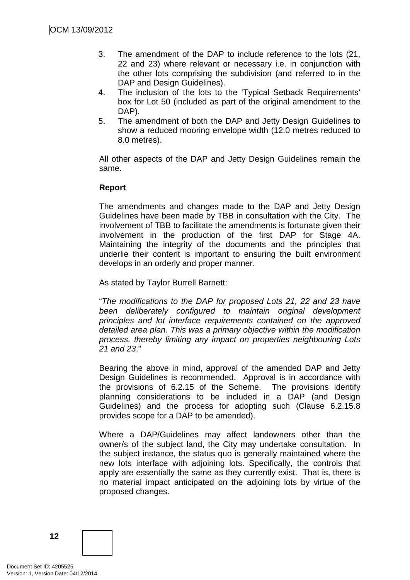- 3. The amendment of the DAP to include reference to the lots (21, 22 and 23) where relevant or necessary i.e. in conjunction with the other lots comprising the subdivision (and referred to in the DAP and Design Guidelines).
- 4. The inclusion of the lots to the 'Typical Setback Requirements' box for Lot 50 (included as part of the original amendment to the DAP).
- 5. The amendment of both the DAP and Jetty Design Guidelines to show a reduced mooring envelope width (12.0 metres reduced to 8.0 metres).

All other aspects of the DAP and Jetty Design Guidelines remain the same.

### **Report**

The amendments and changes made to the DAP and Jetty Design Guidelines have been made by TBB in consultation with the City. The involvement of TBB to facilitate the amendments is fortunate given their involvement in the production of the first DAP for Stage 4A. Maintaining the integrity of the documents and the principles that underlie their content is important to ensuring the built environment develops in an orderly and proper manner.

As stated by Taylor Burrell Barnett:

"*The modifications to the DAP for proposed Lots 21, 22 and 23 have been deliberately configured to maintain original development principles and lot interface requirements contained on the approved detailed area plan. This was a primary objective within the modification process, thereby limiting any impact on properties neighbouring Lots 21 and 23*."

Bearing the above in mind, approval of the amended DAP and Jetty Design Guidelines is recommended. Approval is in accordance with the provisions of 6.2.15 of the Scheme. The provisions identify planning considerations to be included in a DAP (and Design Guidelines) and the process for adopting such (Clause 6.2.15.8 provides scope for a DAP to be amended).

Where a DAP/Guidelines may affect landowners other than the owner/s of the subject land, the City may undertake consultation. In the subject instance, the status quo is generally maintained where the new lots interface with adjoining lots. Specifically, the controls that apply are essentially the same as they currently exist. That is, there is no material impact anticipated on the adjoining lots by virtue of the proposed changes.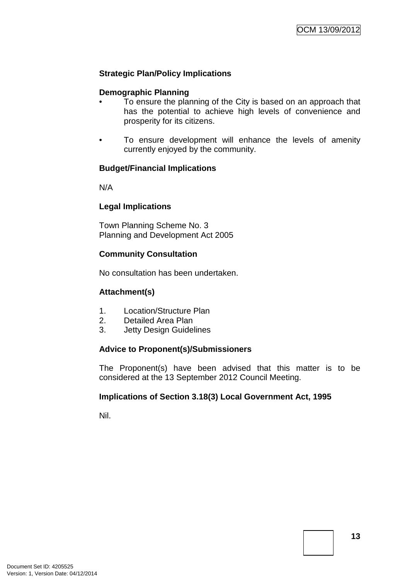### **Strategic Plan/Policy Implications**

### **Demographic Planning**

- To ensure the planning of the City is based on an approach that has the potential to achieve high levels of convenience and prosperity for its citizens.
- To ensure development will enhance the levels of amenity currently enjoyed by the community.

### **Budget/Financial Implications**

N/A

### **Legal Implications**

Town Planning Scheme No. 3 Planning and Development Act 2005

### **Community Consultation**

No consultation has been undertaken.

### **Attachment(s)**

- 1. Location/Structure Plan<br>2. Detailed Area Plan
- Detailed Area Plan
- 3. Jetty Design Guidelines

### **Advice to Proponent(s)/Submissioners**

The Proponent(s) have been advised that this matter is to be considered at the 13 September 2012 Council Meeting.

### **Implications of Section 3.18(3) Local Government Act, 1995**

Nil.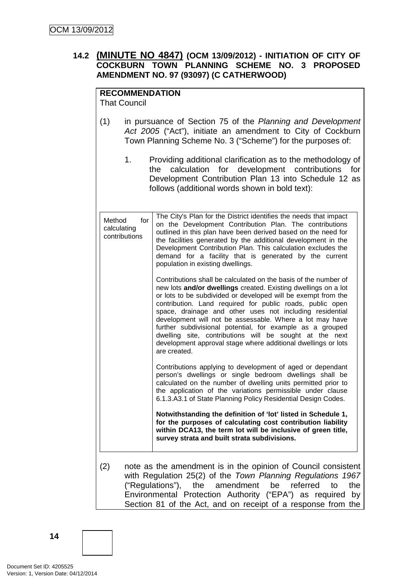# **14.2 (MINUTE NO 4847) (OCM 13/09/2012) - INITIATION OF CITY OF COCKBURN TOWN PLANNING SCHEME NO. 3 PROPOSED AMENDMENT NO. 97 (93097) (C CATHERWOOD)**

#### **RECOMMENDATION** That Council

(1) in pursuance of Section 75 of the *Planning and Development Act 2005* ("Act"), initiate an amendment to City of Cockburn Town Planning Scheme No. 3 ("Scheme") for the purposes of:

| $1_{-}$ | Providing additional clarification as to the methodology of |  |  |  |  |  |
|---------|-------------------------------------------------------------|--|--|--|--|--|
|         | the calculation for development contributions for           |  |  |  |  |  |
|         | Development Contribution Plan 13 into Schedule 12 as        |  |  |  |  |  |
|         | follows (additional words shown in bold text):              |  |  |  |  |  |
|         |                                                             |  |  |  |  |  |

| for<br>Method<br>calculating<br>contributions | The City's Plan for the District identifies the needs that impact<br>on the Development Contribution Plan. The contributions<br>outlined in this plan have been derived based on the need for<br>the facilities generated by the additional development in the<br>Development Contribution Plan. This calculation excludes the<br>demand for a facility that is generated by the current<br>population in existing dwellings.                                                                                                                                                                    |
|-----------------------------------------------|--------------------------------------------------------------------------------------------------------------------------------------------------------------------------------------------------------------------------------------------------------------------------------------------------------------------------------------------------------------------------------------------------------------------------------------------------------------------------------------------------------------------------------------------------------------------------------------------------|
|                                               | Contributions shall be calculated on the basis of the number of<br>new lots and/or dwellings created. Existing dwellings on a lot<br>or lots to be subdivided or developed will be exempt from the<br>contribution. Land required for public roads, public open<br>space, drainage and other uses not including residential<br>development will not be assessable. Where a lot may have<br>further subdivisional potential, for example as a grouped<br>dwelling site, contributions will be sought at the next<br>development approval stage where additional dwellings or lots<br>are created. |
|                                               | Contributions applying to development of aged or dependant<br>person's dwellings or single bedroom dwellings shall be<br>calculated on the number of dwelling units permitted prior to<br>the application of the variations permissible under clause<br>6.1.3.A3.1 of State Planning Policy Residential Design Codes.                                                                                                                                                                                                                                                                            |
|                                               | Notwithstanding the definition of 'lot' listed in Schedule 1,<br>for the purposes of calculating cost contribution liability<br>within DCA13, the term lot will be inclusive of green title,<br>survey strata and built strata subdivisions.                                                                                                                                                                                                                                                                                                                                                     |
| (2١                                           | note as the amendment is in the opinion of Council consister                                                                                                                                                                                                                                                                                                                                                                                                                                                                                                                                     |

(2) note as the amendment is in the opinion of Council consistent with Regulation 25(2) of the *Town Planning Regulations 1967* ("Regulations"), the amendment be referred to the Environmental Protection Authority ("EPA") as required by Section 81 of the Act, and on receipt of a response from the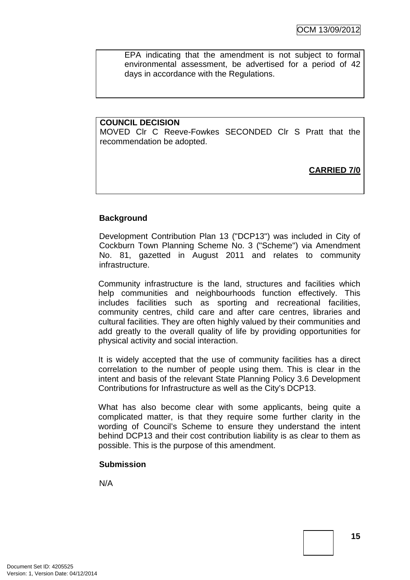EPA indicating that the amendment is not subject to formal environmental assessment, be advertised for a period of 42 days in accordance with the Regulations.

### **COUNCIL DECISION**

MOVED Clr C Reeve-Fowkes SECONDED Clr S Pratt that the recommendation be adopted.

### **CARRIED 7/0**

### **Background**

Development Contribution Plan 13 ("DCP13") was included in City of Cockburn Town Planning Scheme No. 3 ("Scheme") via Amendment No. 81, gazetted in August 2011 and relates to community infrastructure.

Community infrastructure is the land, structures and facilities which help communities and neighbourhoods function effectively. This includes facilities such as sporting and recreational facilities, community centres, child care and after care centres, libraries and cultural facilities. They are often highly valued by their communities and add greatly to the overall quality of life by providing opportunities for physical activity and social interaction.

It is widely accepted that the use of community facilities has a direct correlation to the number of people using them. This is clear in the intent and basis of the relevant State Planning Policy 3.6 Development Contributions for Infrastructure as well as the City's DCP13.

What has also become clear with some applicants, being quite a complicated matter, is that they require some further clarity in the wording of Council's Scheme to ensure they understand the intent behind DCP13 and their cost contribution liability is as clear to them as possible. This is the purpose of this amendment.

### **Submission**

N/A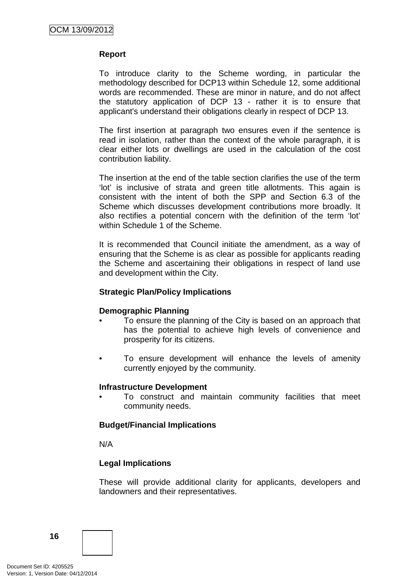### **Report**

To introduce clarity to the Scheme wording, in particular the methodology described for DCP13 within Schedule 12, some additional words are recommended. These are minor in nature, and do not affect the statutory application of DCP 13 - rather it is to ensure that applicant's understand their obligations clearly in respect of DCP 13.

The first insertion at paragraph two ensures even if the sentence is read in isolation, rather than the context of the whole paragraph, it is clear either lots or dwellings are used in the calculation of the cost contribution liability.

The insertion at the end of the table section clarifies the use of the term 'lot' is inclusive of strata and green title allotments. This again is consistent with the intent of both the SPP and Section 6.3 of the Scheme which discusses development contributions more broadly. It also rectifies a potential concern with the definition of the term 'lot' within Schedule 1 of the Scheme.

It is recommended that Council initiate the amendment, as a way of ensuring that the Scheme is as clear as possible for applicants reading the Scheme and ascertaining their obligations in respect of land use and development within the City.

### **Strategic Plan/Policy Implications**

### **Demographic Planning**

- To ensure the planning of the City is based on an approach that has the potential to achieve high levels of convenience and prosperity for its citizens.
- To ensure development will enhance the levels of amenity currently enjoyed by the community.

#### **Infrastructure Development**

• To construct and maintain community facilities that meet community needs.

### **Budget/Financial Implications**

N/A

### **Legal Implications**

These will provide additional clarity for applicants, developers and landowners and their representatives.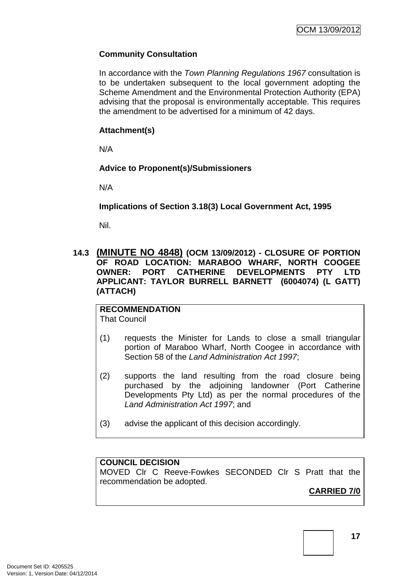# **Community Consultation**

In accordance with the *Town Planning Regulations 1967* consultation is to be undertaken subsequent to the local government adopting the Scheme Amendment and the Environmental Protection Authority (EPA) advising that the proposal is environmentally acceptable. This requires the amendment to be advertised for a minimum of 42 days.

### **Attachment(s)**

N/A

### **Advice to Proponent(s)/Submissioners**

N/A

**Implications of Section 3.18(3) Local Government Act, 1995**

Nil.

### **14.3 (MINUTE NO 4848) (OCM 13/09/2012) - CLOSURE OF PORTION OF ROAD LOCATION: MARABOO WHARF, NORTH COOGEE OWNER: PORT CATHERINE DEVELOPMENTS PTY LTD APPLICANT: TAYLOR BURRELL BARNETT (6004074) (L GATT) (ATTACH)**

#### **RECOMMENDATION** That Council

- (1) requests the Minister for Lands to close a small triangular portion of Maraboo Wharf, North Coogee in accordance with Section 58 of the *Land Administration Act 1997*;
- (2) supports the land resulting from the road closure being purchased by the adjoining landowner (Port Catherine Developments Pty Ltd) as per the normal procedures of the *Land Administration Act 1997*; and
- (3) advise the applicant of this decision accordingly.

### **COUNCIL DECISION**

MOVED Clr C Reeve-Fowkes SECONDED Clr S Pratt that the recommendation be adopted.

# **CARRIED 7/0**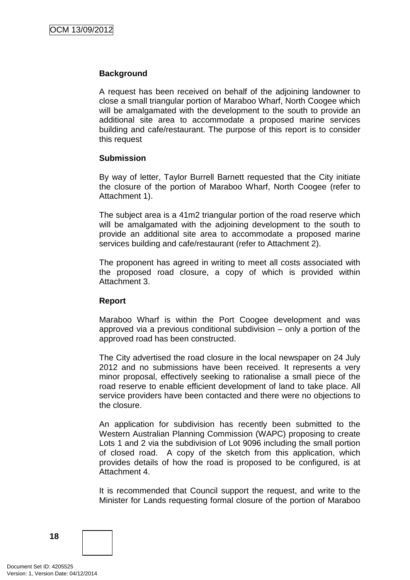### **Background**

A request has been received on behalf of the adjoining landowner to close a small triangular portion of Maraboo Wharf, North Coogee which will be amalgamated with the development to the south to provide an additional site area to accommodate a proposed marine services building and cafe/restaurant. The purpose of this report is to consider this request

#### **Submission**

By way of letter, Taylor Burrell Barnett requested that the City initiate the closure of the portion of Maraboo Wharf, North Coogee (refer to Attachment 1).

The subject area is a 41m2 triangular portion of the road reserve which will be amalgamated with the adjoining development to the south to provide an additional site area to accommodate a proposed marine services building and cafe/restaurant (refer to Attachment 2).

The proponent has agreed in writing to meet all costs associated with the proposed road closure, a copy of which is provided within Attachment 3.

### **Report**

Maraboo Wharf is within the Port Coogee development and was approved via a previous conditional subdivision – only a portion of the approved road has been constructed.

The City advertised the road closure in the local newspaper on 24 July 2012 and no submissions have been received. It represents a very minor proposal, effectively seeking to rationalise a small piece of the road reserve to enable efficient development of land to take place. All service providers have been contacted and there were no objections to the closure.

An application for subdivision has recently been submitted to the Western Australian Planning Commission (WAPC) proposing to create Lots 1 and 2 via the subdivision of Lot 9096 including the small portion of closed road. A copy of the sketch from this application, which provides details of how the road is proposed to be configured, is at Attachment 4.

It is recommended that Council support the request, and write to the Minister for Lands requesting formal closure of the portion of Maraboo

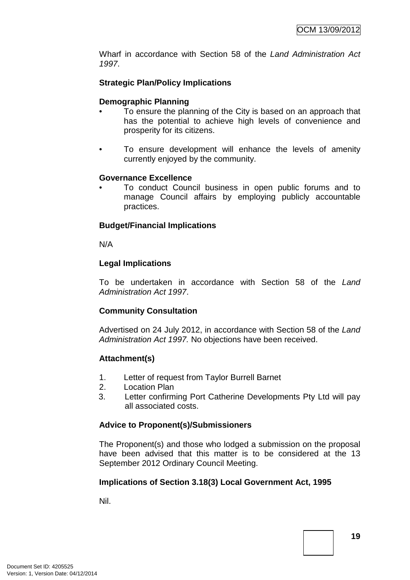Wharf in accordance with Section 58 of the *Land Administration Act 1997*.

# **Strategic Plan/Policy Implications**

### **Demographic Planning**

- To ensure the planning of the City is based on an approach that has the potential to achieve high levels of convenience and prosperity for its citizens.
- To ensure development will enhance the levels of amenity currently enjoyed by the community.

# **Governance Excellence**

• To conduct Council business in open public forums and to manage Council affairs by employing publicly accountable practices.

# **Budget/Financial Implications**

N/A

### **Legal Implications**

To be undertaken in accordance with Section 58 of the *Land Administration Act 1997*.

# **Community Consultation**

Advertised on 24 July 2012, in accordance with Section 58 of the *Land Administration Act 1997.* No objections have been received.

### **Attachment(s)**

- 1. Letter of request from Taylor Burrell Barnet
- 2. Location Plan
- 3. Letter confirming Port Catherine Developments Pty Ltd will pay all associated costs.

# **Advice to Proponent(s)/Submissioners**

The Proponent(s) and those who lodged a submission on the proposal have been advised that this matter is to be considered at the 13 September 2012 Ordinary Council Meeting.

# **Implications of Section 3.18(3) Local Government Act, 1995**

Nil.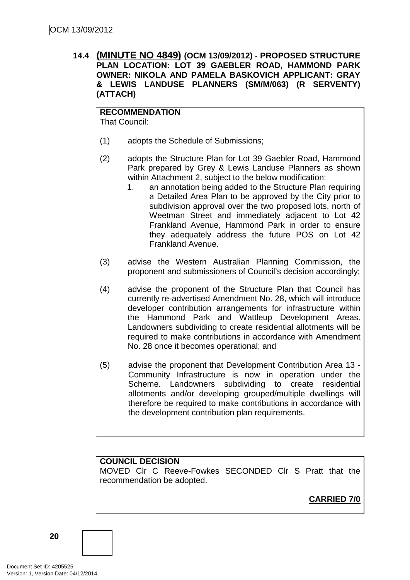**14.4 (MINUTE NO 4849) (OCM 13/09/2012) - PROPOSED STRUCTURE PLAN LOCATION: LOT 39 GAEBLER ROAD, HAMMOND PARK OWNER: NIKOLA AND PAMELA BASKOVICH APPLICANT: GRAY & LEWIS LANDUSE PLANNERS (SM/M/063) (R SERVENTY) (ATTACH)**

# **RECOMMENDATION**

That Council:

- (1) adopts the Schedule of Submissions;
- (2) adopts the Structure Plan for Lot 39 Gaebler Road, Hammond Park prepared by Grey & Lewis Landuse Planners as shown within Attachment 2, subject to the below modification:
	- 1. an annotation being added to the Structure Plan requiring a Detailed Area Plan to be approved by the City prior to subdivision approval over the two proposed lots, north of Weetman Street and immediately adjacent to Lot 42 Frankland Avenue, Hammond Park in order to ensure they adequately address the future POS on Lot 42 Frankland Avenue.
- (3) advise the Western Australian Planning Commission, the proponent and submissioners of Council's decision accordingly;
- (4) advise the proponent of the Structure Plan that Council has currently re-advertised Amendment No. 28, which will introduce developer contribution arrangements for infrastructure within the Hammond Park and Wattleup Development Areas. Landowners subdividing to create residential allotments will be required to make contributions in accordance with Amendment No. 28 once it becomes operational; and
- (5) advise the proponent that Development Contribution Area 13 Community Infrastructure is now in operation under the Scheme. Landowners subdividing to create residential allotments and/or developing grouped/multiple dwellings will therefore be required to make contributions in accordance with the development contribution plan requirements.

# **COUNCIL DECISION**

MOVED Clr C Reeve-Fowkes SECONDED Clr S Pratt that the recommendation be adopted.

**CARRIED 7/0**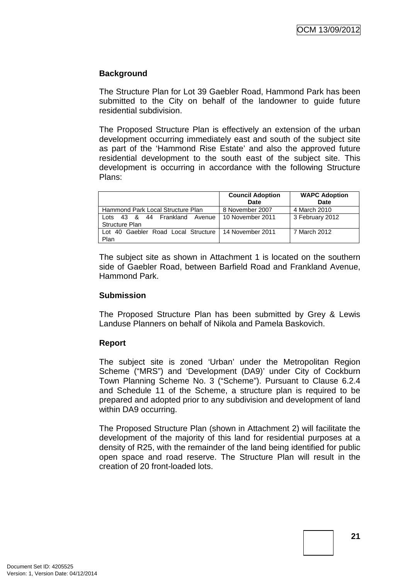### **Background**

The Structure Plan for Lot 39 Gaebler Road, Hammond Park has been submitted to the City on behalf of the landowner to guide future residential subdivision.

The Proposed Structure Plan is effectively an extension of the urban development occurring immediately east and south of the subject site as part of the 'Hammond Rise Estate' and also the approved future residential development to the south east of the subject site. This development is occurring in accordance with the following Structure Plans:

|                                                                                              | <b>Council Adoption</b><br>Date | <b>WAPC Adoption</b><br>Date |  |  |  |
|----------------------------------------------------------------------------------------------|---------------------------------|------------------------------|--|--|--|
| Hammond Park Local Structure Plan                                                            | 8 November 2007                 | 4 March 2010                 |  |  |  |
| 10 November 2011<br>3 February 2012<br>43 & 44 Frankland<br>Avenue<br>Lots<br>Structure Plan |                                 |                              |  |  |  |
| Lot 40 Gaebler Road Local Structure<br>Plan                                                  | 14 November 2011                | 7 March 2012                 |  |  |  |

The subject site as shown in Attachment 1 is located on the southern side of Gaebler Road, between Barfield Road and Frankland Avenue, Hammond Park.

### **Submission**

The Proposed Structure Plan has been submitted by Grey & Lewis Landuse Planners on behalf of Nikola and Pamela Baskovich.

### **Report**

The subject site is zoned 'Urban' under the Metropolitan Region Scheme ("MRS") and 'Development (DA9)' under City of Cockburn Town Planning Scheme No. 3 ("Scheme"). Pursuant to Clause 6.2.4 and Schedule 11 of the Scheme, a structure plan is required to be prepared and adopted prior to any subdivision and development of land within DA9 occurring.

The Proposed Structure Plan (shown in Attachment 2) will facilitate the development of the majority of this land for residential purposes at a density of R25, with the remainder of the land being identified for public open space and road reserve. The Structure Plan will result in the creation of 20 front-loaded lots.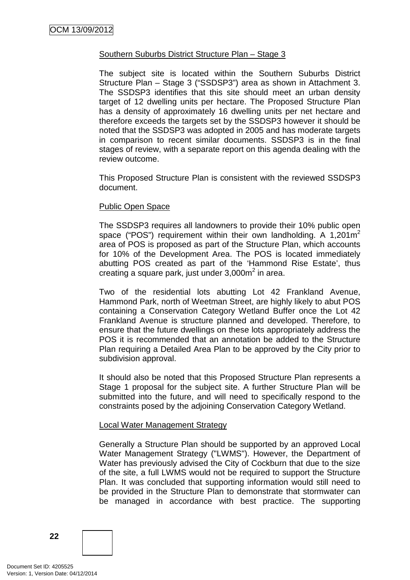### Southern Suburbs District Structure Plan – Stage 3

The subject site is located within the Southern Suburbs District Structure Plan – Stage 3 ("SSDSP3") area as shown in Attachment 3. The SSDSP3 identifies that this site should meet an urban density target of 12 dwelling units per hectare. The Proposed Structure Plan has a density of approximately 16 dwelling units per net hectare and therefore exceeds the targets set by the SSDSP3 however it should be noted that the SSDSP3 was adopted in 2005 and has moderate targets in comparison to recent similar documents. SSDSP3 is in the final stages of review, with a separate report on this agenda dealing with the review outcome.

This Proposed Structure Plan is consistent with the reviewed SSDSP3 document.

#### Public Open Space

The SSDSP3 requires all landowners to provide their 10% public open space ("POS") requirement within their own landholding. A  $1,201\,\mathrm{m}^2$ area of POS is proposed as part of the Structure Plan, which accounts for 10% of the Development Area. The POS is located immediately abutting POS created as part of the 'Hammond Rise Estate', thus creating a square park, just under  $3,000m^2$  in area.

Two of the residential lots abutting Lot 42 Frankland Avenue, Hammond Park, north of Weetman Street, are highly likely to abut POS containing a Conservation Category Wetland Buffer once the Lot 42 Frankland Avenue is structure planned and developed. Therefore, to ensure that the future dwellings on these lots appropriately address the POS it is recommended that an annotation be added to the Structure Plan requiring a Detailed Area Plan to be approved by the City prior to subdivision approval.

It should also be noted that this Proposed Structure Plan represents a Stage 1 proposal for the subject site. A further Structure Plan will be submitted into the future, and will need to specifically respond to the constraints posed by the adjoining Conservation Category Wetland.

### Local Water Management Strategy

Generally a Structure Plan should be supported by an approved Local Water Management Strategy ("LWMS"). However, the Department of Water has previously advised the City of Cockburn that due to the size of the site, a full LWMS would not be required to support the Structure Plan. It was concluded that supporting information would still need to be provided in the Structure Plan to demonstrate that stormwater can be managed in accordance with best practice. The supporting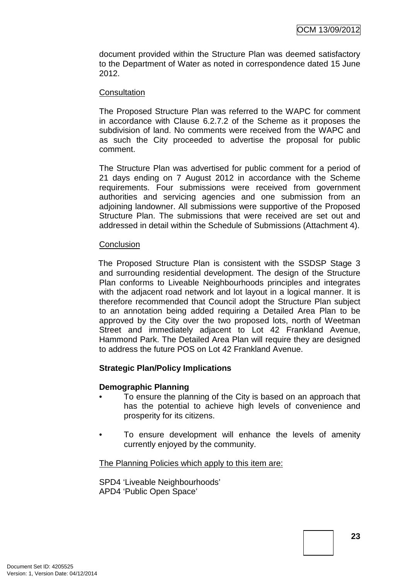document provided within the Structure Plan was deemed satisfactory to the Department of Water as noted in correspondence dated 15 June 2012.

#### **Consultation**

The Proposed Structure Plan was referred to the WAPC for comment in accordance with Clause 6.2.7.2 of the Scheme as it proposes the subdivision of land. No comments were received from the WAPC and as such the City proceeded to advertise the proposal for public comment.

The Structure Plan was advertised for public comment for a period of 21 days ending on 7 August 2012 in accordance with the Scheme requirements. Four submissions were received from government authorities and servicing agencies and one submission from an adjoining landowner. All submissions were supportive of the Proposed Structure Plan. The submissions that were received are set out and addressed in detail within the Schedule of Submissions (Attachment 4).

#### **Conclusion**

The Proposed Structure Plan is consistent with the SSDSP Stage 3 and surrounding residential development. The design of the Structure Plan conforms to Liveable Neighbourhoods principles and integrates with the adjacent road network and lot layout in a logical manner. It is therefore recommended that Council adopt the Structure Plan subject to an annotation being added requiring a Detailed Area Plan to be approved by the City over the two proposed lots, north of Weetman Street and immediately adjacent to Lot 42 Frankland Avenue, Hammond Park. The Detailed Area Plan will require they are designed to address the future POS on Lot 42 Frankland Avenue.

### **Strategic Plan/Policy Implications**

#### **Demographic Planning**

- To ensure the planning of the City is based on an approach that has the potential to achieve high levels of convenience and prosperity for its citizens.
- To ensure development will enhance the levels of amenity currently enjoyed by the community.

The Planning Policies which apply to this item are:

SPD4 'Liveable Neighbourhoods' APD4 'Public Open Space'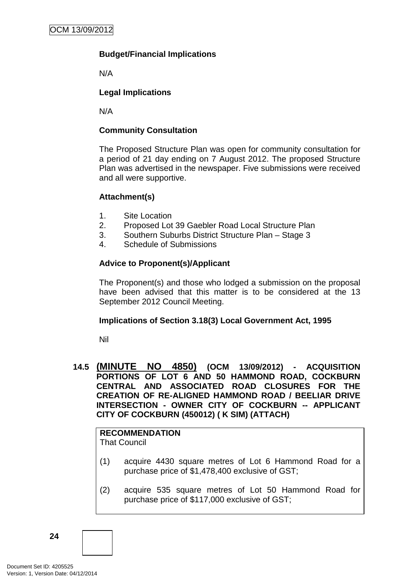# **Budget/Financial Implications**

N/A

# **Legal Implications**

N/A

### **Community Consultation**

The Proposed Structure Plan was open for community consultation for a period of 21 day ending on 7 August 2012. The proposed Structure Plan was advertised in the newspaper. Five submissions were received and all were supportive.

### **Attachment(s)**

- 1. Site Location
- 2. Proposed Lot 39 Gaebler Road Local Structure Plan
- 3. Southern Suburbs District Structure Plan Stage 3
- 4. Schedule of Submissions

# **Advice to Proponent(s)/Applicant**

The Proponent(s) and those who lodged a submission on the proposal have been advised that this matter is to be considered at the 13 September 2012 Council Meeting.

### **Implications of Section 3.18(3) Local Government Act, 1995**

Nil

### **14.5 (MINUTE NO 4850) (OCM 13/09/2012) - ACQUISITION PORTIONS OF LOT 6 AND 50 HAMMOND ROAD, COCKBURN CENTRAL AND ASSOCIATED ROAD CLOSURES FOR THE CREATION OF RE-ALIGNED HAMMOND ROAD / BEELIAR DRIVE INTERSECTION - OWNER CITY OF COCKBURN -- APPLICANT CITY OF COCKBURN (450012) ( K SIM) (ATTACH)**

#### **RECOMMENDATION** That Council

- 
- (1) acquire 4430 square metres of Lot 6 Hammond Road for a purchase price of \$1,478,400 exclusive of GST;
- (2) acquire 535 square metres of Lot 50 Hammond Road for purchase price of \$117,000 exclusive of GST;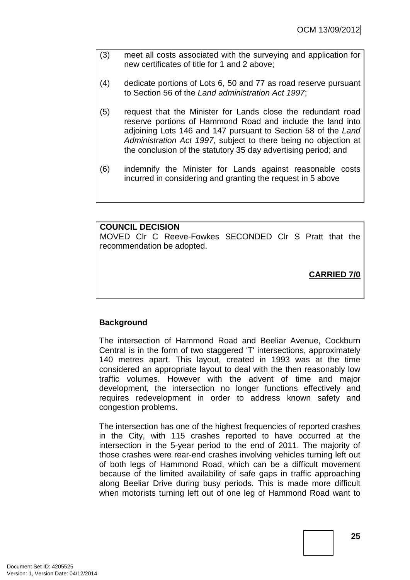- (3) meet all costs associated with the surveying and application for new certificates of title for 1 and 2 above;
- (4) dedicate portions of Lots 6, 50 and 77 as road reserve pursuant to Section 56 of the *Land administration Act 1997*;
- (5) request that the Minister for Lands close the redundant road reserve portions of Hammond Road and include the land into adjoining Lots 146 and 147 pursuant to Section 58 of the *Land Administration Act 1997*, subject to there being no objection at the conclusion of the statutory 35 day advertising period; and
- (6) indemnify the Minister for Lands against reasonable costs incurred in considering and granting the request in 5 above

### **COUNCIL DECISION**

MOVED Clr C Reeve-Fowkes SECONDED Clr S Pratt that the recommendation be adopted.

**CARRIED 7/0**

# **Background**

The intersection of Hammond Road and Beeliar Avenue, Cockburn Central is in the form of two staggered 'T' intersections, approximately 140 metres apart. This layout, created in 1993 was at the time considered an appropriate layout to deal with the then reasonably low traffic volumes. However with the advent of time and major development, the intersection no longer functions effectively and requires redevelopment in order to address known safety and congestion problems.

The intersection has one of the highest frequencies of reported crashes in the City, with 115 crashes reported to have occurred at the intersection in the 5-year period to the end of 2011. The majority of those crashes were rear-end crashes involving vehicles turning left out of both legs of Hammond Road, which can be a difficult movement because of the limited availability of safe gaps in traffic approaching along Beeliar Drive during busy periods. This is made more difficult when motorists turning left out of one leg of Hammond Road want to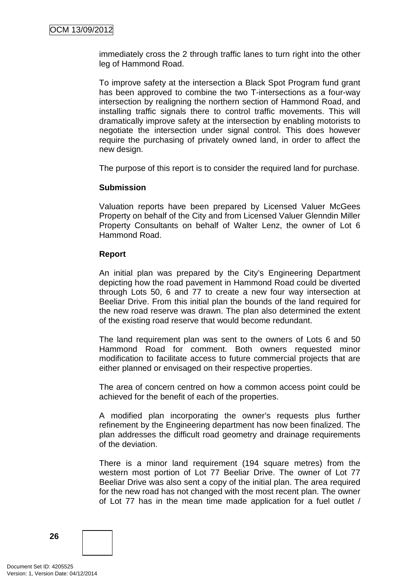immediately cross the 2 through traffic lanes to turn right into the other leg of Hammond Road.

To improve safety at the intersection a Black Spot Program fund grant has been approved to combine the two T-intersections as a four-way intersection by realigning the northern section of Hammond Road, and installing traffic signals there to control traffic movements. This will dramatically improve safety at the intersection by enabling motorists to negotiate the intersection under signal control. This does however require the purchasing of privately owned land, in order to affect the new design.

The purpose of this report is to consider the required land for purchase.

### **Submission**

Valuation reports have been prepared by Licensed Valuer McGees Property on behalf of the City and from Licensed Valuer Glenndin Miller Property Consultants on behalf of Walter Lenz, the owner of Lot 6 Hammond Road.

### **Report**

An initial plan was prepared by the City's Engineering Department depicting how the road pavement in Hammond Road could be diverted through Lots 50, 6 and 77 to create a new four way intersection at Beeliar Drive. From this initial plan the bounds of the land required for the new road reserve was drawn. The plan also determined the extent of the existing road reserve that would become redundant.

The land requirement plan was sent to the owners of Lots 6 and 50 Hammond Road for comment. Both owners requested minor modification to facilitate access to future commercial projects that are either planned or envisaged on their respective properties.

The area of concern centred on how a common access point could be achieved for the benefit of each of the properties.

A modified plan incorporating the owner's requests plus further refinement by the Engineering department has now been finalized. The plan addresses the difficult road geometry and drainage requirements of the deviation.

There is a minor land requirement (194 square metres) from the western most portion of Lot 77 Beeliar Drive. The owner of Lot 77 Beeliar Drive was also sent a copy of the initial plan. The area required for the new road has not changed with the most recent plan. The owner of Lot 77 has in the mean time made application for a fuel outlet /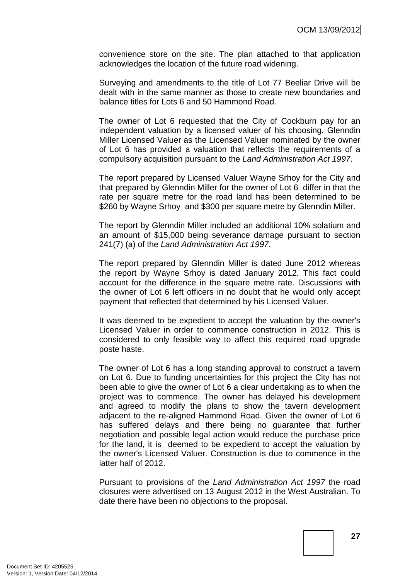convenience store on the site. The plan attached to that application acknowledges the location of the future road widening.

Surveying and amendments to the title of Lot 77 Beeliar Drive will be dealt with in the same manner as those to create new boundaries and balance titles for Lots 6 and 50 Hammond Road.

The owner of Lot 6 requested that the City of Cockburn pay for an independent valuation by a licensed valuer of his choosing. Glenndin Miller Licensed Valuer as the Licensed Valuer nominated by the owner of Lot 6 has provided a valuation that reflects the requirements of a compulsory acquisition pursuant to the *Land Administration Act 1997*.

The report prepared by Licensed Valuer Wayne Srhoy for the City and that prepared by Glenndin Miller for the owner of Lot 6 differ in that the rate per square metre for the road land has been determined to be \$260 by Wayne Srhoy and \$300 per square metre by Glenndin Miller.

The report by Glenndin Miller included an additional 10% solatium and an amount of \$15,000 being severance damage pursuant to section 241(7) (a) of the *Land Administration Act 1997*.

The report prepared by Glenndin Miller is dated June 2012 whereas the report by Wayne Srhoy is dated January 2012. This fact could account for the difference in the square metre rate. Discussions with the owner of Lot 6 left officers in no doubt that he would only accept payment that reflected that determined by his Licensed Valuer.

It was deemed to be expedient to accept the valuation by the owner's Licensed Valuer in order to commence construction in 2012. This is considered to only feasible way to affect this required road upgrade poste haste.

The owner of Lot 6 has a long standing approval to construct a tavern on Lot 6. Due to funding uncertainties for this project the City has not been able to give the owner of Lot 6 a clear undertaking as to when the project was to commence. The owner has delayed his development and agreed to modify the plans to show the tavern development adjacent to the re-aligned Hammond Road. Given the owner of Lot 6 has suffered delays and there being no guarantee that further negotiation and possible legal action would reduce the purchase price for the land, it is deemed to be expedient to accept the valuation by the owner's Licensed Valuer. Construction is due to commence in the latter half of 2012.

Pursuant to provisions of the *Land Administration Act 1997* the road closures were advertised on 13 August 2012 in the West Australian. To date there have been no objections to the proposal.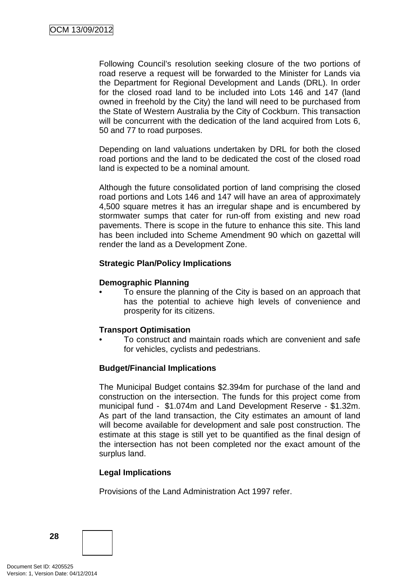Following Council's resolution seeking closure of the two portions of road reserve a request will be forwarded to the Minister for Lands via the Department for Regional Development and Lands (DRL). In order for the closed road land to be included into Lots 146 and 147 (land owned in freehold by the City) the land will need to be purchased from the State of Western Australia by the City of Cockburn. This transaction will be concurrent with the dedication of the land acquired from Lots 6, 50 and 77 to road purposes.

Depending on land valuations undertaken by DRL for both the closed road portions and the land to be dedicated the cost of the closed road land is expected to be a nominal amount.

Although the future consolidated portion of land comprising the closed road portions and Lots 146 and 147 will have an area of approximately 4,500 square metres it has an irregular shape and is encumbered by stormwater sumps that cater for run-off from existing and new road pavements. There is scope in the future to enhance this site. This land has been included into Scheme Amendment 90 which on gazettal will render the land as a Development Zone.

#### **Strategic Plan/Policy Implications**

#### **Demographic Planning**

• To ensure the planning of the City is based on an approach that has the potential to achieve high levels of convenience and prosperity for its citizens.

#### **Transport Optimisation**

• To construct and maintain roads which are convenient and safe for vehicles, cyclists and pedestrians.

#### **Budget/Financial Implications**

The Municipal Budget contains \$2.394m for purchase of the land and construction on the intersection. The funds for this project come from municipal fund - \$1.074m and Land Development Reserve - \$1.32m. As part of the land transaction, the City estimates an amount of land will become available for development and sale post construction. The estimate at this stage is still yet to be quantified as the final design of the intersection has not been completed nor the exact amount of the surplus land.

### **Legal Implications**

Provisions of the Land Administration Act 1997 refer.

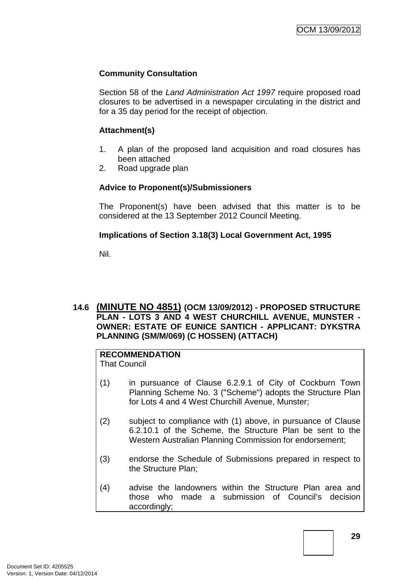## **Community Consultation**

Section 58 of the *Land Administration Act 1997* require proposed road closures to be advertised in a newspaper circulating in the district and for a 35 day period for the receipt of objection.

# **Attachment(s)**

- 1. A plan of the proposed land acquisition and road closures has been attached
- 2. Road upgrade plan

# **Advice to Proponent(s)/Submissioners**

The Proponent(s) have been advised that this matter is to be considered at the 13 September 2012 Council Meeting.

### **Implications of Section 3.18(3) Local Government Act, 1995**

Nil.

### **14.6 (MINUTE NO 4851) (OCM 13/09/2012) - PROPOSED STRUCTURE PLAN - LOTS 3 AND 4 WEST CHURCHILL AVENUE, MUNSTER - OWNER: ESTATE OF EUNICE SANTICH - APPLICANT: DYKSTRA PLANNING (SM/M/069) (C HOSSEN) (ATTACH)**

# **RECOMMENDATION**

That Council

- (1) in pursuance of Clause 6.2.9.1 of City of Cockburn Town Planning Scheme No. 3 ("Scheme") adopts the Structure Plan for Lots 4 and 4 West Churchill Avenue, Munster;
- (2) subject to compliance with (1) above, in pursuance of Clause 6.2.10.1 of the Scheme, the Structure Plan be sent to the Western Australian Planning Commission for endorsement;
- (3) endorse the Schedule of Submissions prepared in respect to the Structure Plan;
- (4) advise the landowners within the Structure Plan area and those who made a submission of Council's decision accordingly;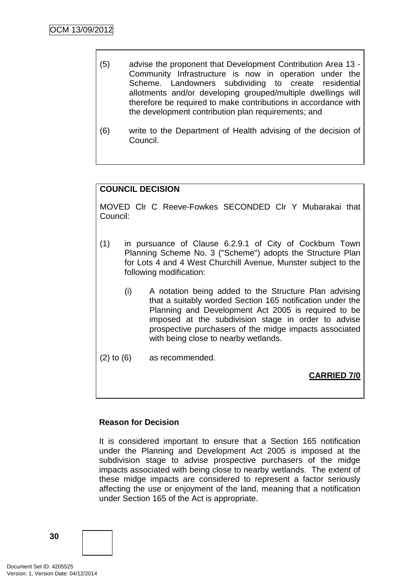- (5) advise the proponent that Development Contribution Area 13 Community Infrastructure is now in operation under the Scheme. Landowners subdividing to create residential allotments and/or developing grouped/multiple dwellings will therefore be required to make contributions in accordance with the development contribution plan requirements; and
- (6) write to the Department of Health advising of the decision of Council.

### **COUNCIL DECISION**

MOVED Clr C Reeve-Fowkes SECONDED Clr Y Mubarakai that Council:

- (1) in pursuance of Clause 6.2.9.1 of City of Cockburn Town Planning Scheme No. 3 ("Scheme") adopts the Structure Plan for Lots 4 and 4 West Churchill Avenue, Munster subject to the following modification:
	- (i) A notation being added to the Structure Plan advising that a suitably worded Section 165 notification under the Planning and Development Act 2005 is required to be imposed at the subdivision stage in order to advise prospective purchasers of the midge impacts associated with being close to nearby wetlands.
- (2) to (6) as recommended.

**CARRIED 7/0**

### **Reason for Decision**

It is considered important to ensure that a Section 165 notification under the Planning and Development Act 2005 is imposed at the subdivision stage to advise prospective purchasers of the midge impacts associated with being close to nearby wetlands. The extent of these midge impacts are considered to represent a factor seriously affecting the use or enjoyment of the land, meaning that a notification under Section 165 of the Act is appropriate.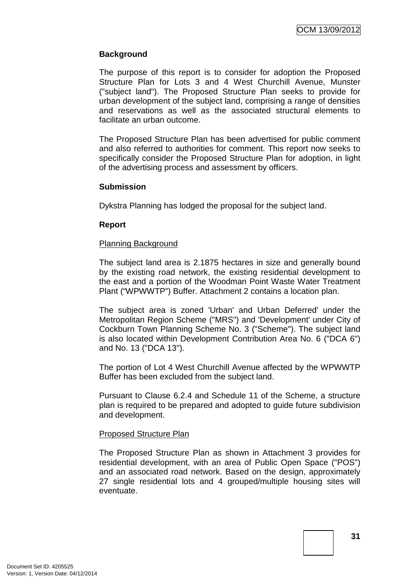## **Background**

The purpose of this report is to consider for adoption the Proposed Structure Plan for Lots 3 and 4 West Churchill Avenue, Munster ("subject land"). The Proposed Structure Plan seeks to provide for urban development of the subject land, comprising a range of densities and reservations as well as the associated structural elements to facilitate an urban outcome.

The Proposed Structure Plan has been advertised for public comment and also referred to authorities for comment. This report now seeks to specifically consider the Proposed Structure Plan for adoption, in light of the advertising process and assessment by officers.

#### **Submission**

Dykstra Planning has lodged the proposal for the subject land.

### **Report**

#### Planning Background

The subject land area is 2.1875 hectares in size and generally bound by the existing road network, the existing residential development to the east and a portion of the Woodman Point Waste Water Treatment Plant ("WPWWTP") Buffer. Attachment 2 contains a location plan.

The subject area is zoned 'Urban' and Urban Deferred' under the Metropolitan Region Scheme ("MRS") and 'Development' under City of Cockburn Town Planning Scheme No. 3 ("Scheme"). The subject land is also located within Development Contribution Area No. 6 ("DCA 6") and No. 13 ("DCA 13").

The portion of Lot 4 West Churchill Avenue affected by the WPWWTP Buffer has been excluded from the subject land.

Pursuant to Clause 6.2.4 and Schedule 11 of the Scheme, a structure plan is required to be prepared and adopted to guide future subdivision and development.

#### Proposed Structure Plan

The Proposed Structure Plan as shown in Attachment 3 provides for residential development, with an area of Public Open Space ("POS") and an associated road network. Based on the design, approximately 27 single residential lots and 4 grouped/multiple housing sites will eventuate.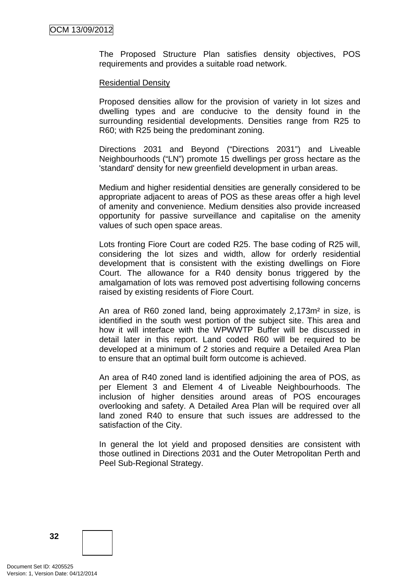The Proposed Structure Plan satisfies density objectives, POS requirements and provides a suitable road network.

#### Residential Density

Proposed densities allow for the provision of variety in lot sizes and dwelling types and are conducive to the density found in the surrounding residential developments. Densities range from R25 to R60; with R25 being the predominant zoning.

Directions 2031 and Beyond ("Directions 2031") and Liveable Neighbourhoods ("LN") promote 15 dwellings per gross hectare as the 'standard' density for new greenfield development in urban areas.

Medium and higher residential densities are generally considered to be appropriate adjacent to areas of POS as these areas offer a high level of amenity and convenience. Medium densities also provide increased opportunity for passive surveillance and capitalise on the amenity values of such open space areas.

Lots fronting Fiore Court are coded R25. The base coding of R25 will, considering the lot sizes and width, allow for orderly residential development that is consistent with the existing dwellings on Fiore Court. The allowance for a R40 density bonus triggered by the amalgamation of lots was removed post advertising following concerns raised by existing residents of Fiore Court.

An area of R60 zoned land, being approximately 2,173m<sup>2</sup> in size, is identified in the south west portion of the subject site. This area and how it will interface with the WPWWTP Buffer will be discussed in detail later in this report. Land coded R60 will be required to be developed at a minimum of 2 stories and require a Detailed Area Plan to ensure that an optimal built form outcome is achieved.

An area of R40 zoned land is identified adjoining the area of POS, as per Element 3 and Element 4 of Liveable Neighbourhoods. The inclusion of higher densities around areas of POS encourages overlooking and safety. A Detailed Area Plan will be required over all land zoned R40 to ensure that such issues are addressed to the satisfaction of the City.

In general the lot yield and proposed densities are consistent with those outlined in Directions 2031 and the Outer Metropolitan Perth and Peel Sub-Regional Strategy.

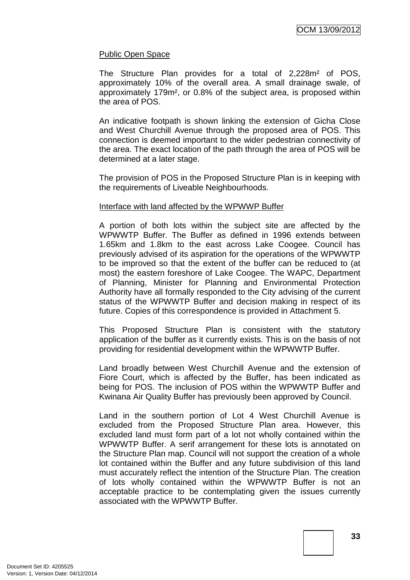### Public Open Space

The Structure Plan provides for a total of 2,228m² of POS, approximately 10% of the overall area. A small drainage swale, of approximately 179m², or 0.8% of the subject area, is proposed within the area of POS.

An indicative footpath is shown linking the extension of Gicha Close and West Churchill Avenue through the proposed area of POS. This connection is deemed important to the wider pedestrian connectivity of the area. The exact location of the path through the area of POS will be determined at a later stage.

The provision of POS in the Proposed Structure Plan is in keeping with the requirements of Liveable Neighbourhoods.

### Interface with land affected by the WPWWP Buffer

A portion of both lots within the subject site are affected by the WPWWTP Buffer. The Buffer as defined in 1996 extends between 1.65km and 1.8km to the east across Lake Coogee. Council has previously advised of its aspiration for the operations of the WPWWTP to be improved so that the extent of the buffer can be reduced to (at most) the eastern foreshore of Lake Coogee. The WAPC, Department of Planning, Minister for Planning and Environmental Protection Authority have all formally responded to the City advising of the current status of the WPWWTP Buffer and decision making in respect of its future. Copies of this correspondence is provided in Attachment 5.

This Proposed Structure Plan is consistent with the statutory application of the buffer as it currently exists. This is on the basis of not providing for residential development within the WPWWTP Buffer.

Land broadly between West Churchill Avenue and the extension of Fiore Court, which is affected by the Buffer, has been indicated as being for POS. The inclusion of POS within the WPWWTP Buffer and Kwinana Air Quality Buffer has previously been approved by Council.

Land in the southern portion of Lot 4 West Churchill Avenue is excluded from the Proposed Structure Plan area. However, this excluded land must form part of a lot not wholly contained within the WPWWTP Buffer. A serif arrangement for these lots is annotated on the Structure Plan map. Council will not support the creation of a whole lot contained within the Buffer and any future subdivision of this land must accurately reflect the intention of the Structure Plan. The creation of lots wholly contained within the WPWWTP Buffer is not an acceptable practice to be contemplating given the issues currently associated with the WPWWTP Buffer.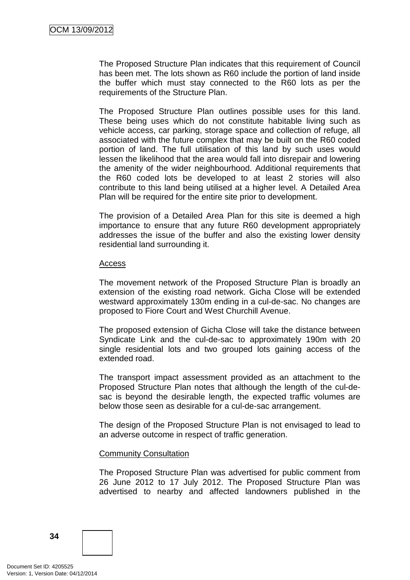The Proposed Structure Plan indicates that this requirement of Council has been met. The lots shown as R60 include the portion of land inside the buffer which must stay connected to the R60 lots as per the requirements of the Structure Plan.

The Proposed Structure Plan outlines possible uses for this land. These being uses which do not constitute habitable living such as vehicle access, car parking, storage space and collection of refuge, all associated with the future complex that may be built on the R60 coded portion of land. The full utilisation of this land by such uses would lessen the likelihood that the area would fall into disrepair and lowering the amenity of the wider neighbourhood. Additional requirements that the R60 coded lots be developed to at least 2 stories will also contribute to this land being utilised at a higher level. A Detailed Area Plan will be required for the entire site prior to development.

The provision of a Detailed Area Plan for this site is deemed a high importance to ensure that any future R60 development appropriately addresses the issue of the buffer and also the existing lower density residential land surrounding it.

### Access

The movement network of the Proposed Structure Plan is broadly an extension of the existing road network. Gicha Close will be extended westward approximately 130m ending in a cul-de-sac. No changes are proposed to Fiore Court and West Churchill Avenue.

The proposed extension of Gicha Close will take the distance between Syndicate Link and the cul-de-sac to approximately 190m with 20 single residential lots and two grouped lots gaining access of the extended road.

The transport impact assessment provided as an attachment to the Proposed Structure Plan notes that although the length of the cul-desac is beyond the desirable length, the expected traffic volumes are below those seen as desirable for a cul-de-sac arrangement.

The design of the Proposed Structure Plan is not envisaged to lead to an adverse outcome in respect of traffic generation.

### Community Consultation

The Proposed Structure Plan was advertised for public comment from 26 June 2012 to 17 July 2012. The Proposed Structure Plan was advertised to nearby and affected landowners published in the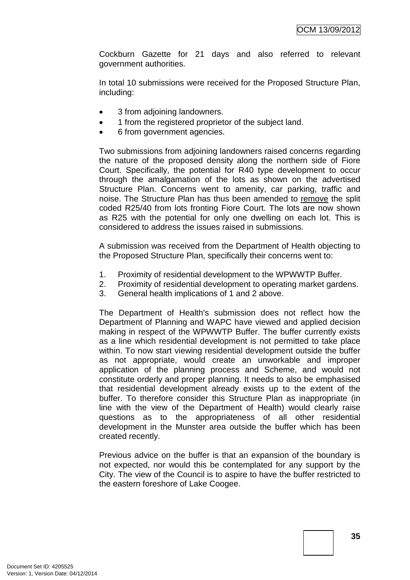Cockburn Gazette for 21 days and also referred to relevant government authorities.

In total 10 submissions were received for the Proposed Structure Plan, including:

- 3 from adioining landowners.
- 1 from the registered proprietor of the subject land.
- 6 from government agencies.

Two submissions from adjoining landowners raised concerns regarding the nature of the proposed density along the northern side of Fiore Court. Specifically, the potential for R40 type development to occur through the amalgamation of the lots as shown on the advertised Structure Plan. Concerns went to amenity, car parking, traffic and noise. The Structure Plan has thus been amended to remove the split coded R25/40 from lots fronting Fiore Court. The lots are now shown as R25 with the potential for only one dwelling on each lot. This is considered to address the issues raised in submissions.

A submission was received from the Department of Health objecting to the Proposed Structure Plan, specifically their concerns went to:

- 1. Proximity of residential development to the WPWWTP Buffer.
- 2. Proximity of residential development to operating market gardens.
- 3. General health implications of 1 and 2 above.

The Department of Health's submission does not reflect how the Department of Planning and WAPC have viewed and applied decision making in respect of the WPWWTP Buffer. The buffer currently exists as a line which residential development is not permitted to take place within. To now start viewing residential development outside the buffer as not appropriate, would create an unworkable and improper application of the planning process and Scheme, and would not constitute orderly and proper planning. It needs to also be emphasised that residential development already exists up to the extent of the buffer. To therefore consider this Structure Plan as inappropriate (in line with the view of the Department of Health) would clearly raise questions as to the appropriateness of all other residential development in the Munster area outside the buffer which has been created recently.

Previous advice on the buffer is that an expansion of the boundary is not expected, nor would this be contemplated for any support by the City. The view of the Council is to aspire to have the buffer restricted to the eastern foreshore of Lake Coogee.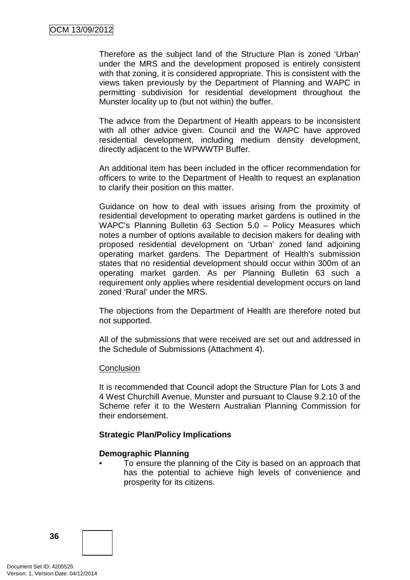Therefore as the subject land of the Structure Plan is zoned 'Urban' under the MRS and the development proposed is entirely consistent with that zoning, it is considered appropriate. This is consistent with the views taken previously by the Department of Planning and WAPC in permitting subdivision for residential development throughout the Munster locality up to (but not within) the buffer.

The advice from the Department of Health appears to be inconsistent with all other advice given. Council and the WAPC have approved residential development, including medium density development, directly adjacent to the WPWWTP Buffer.

An additional item has been included in the officer recommendation for officers to write to the Department of Health to request an explanation to clarify their position on this matter.

Guidance on how to deal with issues arising from the proximity of residential development to operating market gardens is outlined in the WAPC's Planning Bulletin 63 Section 5.0 – Policy Measures which notes a number of options available to decision makers for dealing with proposed residential development on 'Urban' zoned land adjoining operating market gardens. The Department of Health's submission states that no residential development should occur within 300m of an operating market garden. As per Planning Bulletin 63 such a requirement only applies where residential development occurs on land zoned 'Rural' under the MRS.

The objections from the Department of Health are therefore noted but not supported.

All of the submissions that were received are set out and addressed in the Schedule of Submissions (Attachment 4).

### **Conclusion**

It is recommended that Council adopt the Structure Plan for Lots 3 and 4 West Churchill Avenue, Munster and pursuant to Clause 9.2.10 of the Scheme refer it to the Western Australian Planning Commission for their endorsement.

### **Strategic Plan/Policy Implications**

### **Demographic Planning**

• To ensure the planning of the City is based on an approach that has the potential to achieve high levels of convenience and prosperity for its citizens.

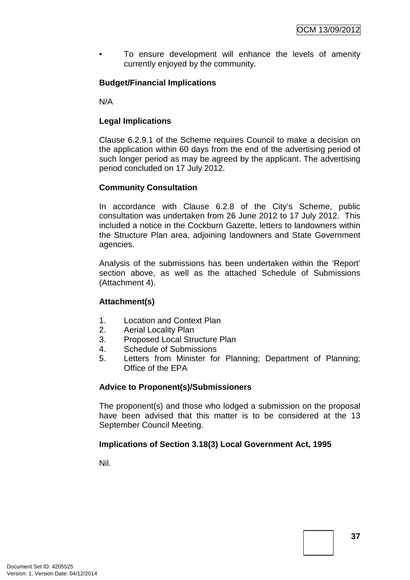• To ensure development will enhance the levels of amenity currently enjoyed by the community.

# **Budget/Financial Implications**

N/A

# **Legal Implications**

Clause 6.2.9.1 of the Scheme requires Council to make a decision on the application within 60 days from the end of the advertising period of such longer period as may be agreed by the applicant. The advertising period concluded on 17 July 2012.

# **Community Consultation**

In accordance with Clause 6.2.8 of the City's Scheme, public consultation was undertaken from 26 June 2012 to 17 July 2012. This included a notice in the Cockburn Gazette, letters to landowners within the Structure Plan area, adjoining landowners and State Government agencies.

Analysis of the submissions has been undertaken within the 'Report' section above, as well as the attached Schedule of Submissions (Attachment 4).

# **Attachment(s)**

- 1. Location and Context Plan
- 2. Aerial Locality Plan
- 3. Proposed Local Structure Plan
- 4. Schedule of Submissions
- 5. Letters from Minister for Planning; Department of Planning; Office of the EPA

# **Advice to Proponent(s)/Submissioners**

The proponent(s) and those who lodged a submission on the proposal have been advised that this matter is to be considered at the 13 September Council Meeting.

# **Implications of Section 3.18(3) Local Government Act, 1995**

Nil.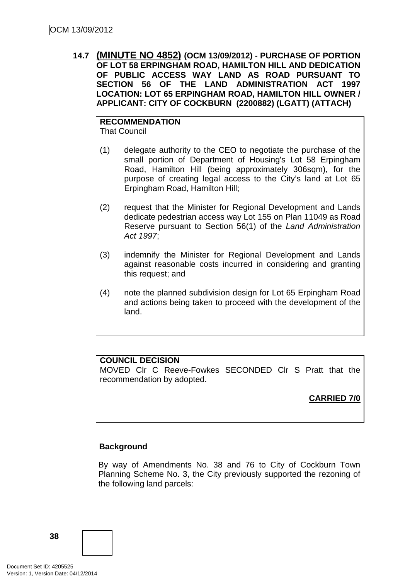**14.7 (MINUTE NO 4852) (OCM 13/09/2012) - PURCHASE OF PORTION OF LOT 58 ERPINGHAM ROAD, HAMILTON HILL AND DEDICATION OF PUBLIC ACCESS WAY LAND AS ROAD PURSUANT TO SECTION 56 OF THE LAND ADMINISTRATION ACT 1997 LOCATION: LOT 65 ERPINGHAM ROAD, HAMILTON HILL OWNER / APPLICANT: CITY OF COCKBURN (2200882) (LGATT) (ATTACH)**

**RECOMMENDATION** That Council

- (1) delegate authority to the CEO to negotiate the purchase of the small portion of Department of Housing's Lot 58 Erpingham Road, Hamilton Hill (being approximately 306sqm), for the purpose of creating legal access to the City's land at Lot 65 Erpingham Road, Hamilton Hill;
- (2) request that the Minister for Regional Development and Lands dedicate pedestrian access way Lot 155 on Plan 11049 as Road Reserve pursuant to Section 56(1) of the *Land Administration Act 1997*;
- (3) indemnify the Minister for Regional Development and Lands against reasonable costs incurred in considering and granting this request; and
- (4) note the planned subdivision design for Lot 65 Erpingham Road and actions being taken to proceed with the development of the land.

# **COUNCIL DECISION**

MOVED Clr C Reeve-Fowkes SECONDED Clr S Pratt that the recommendation by adopted.

# **CARRIED 7/0**

# **Background**

By way of Amendments No. 38 and 76 to City of Cockburn Town Planning Scheme No. 3, the City previously supported the rezoning of the following land parcels: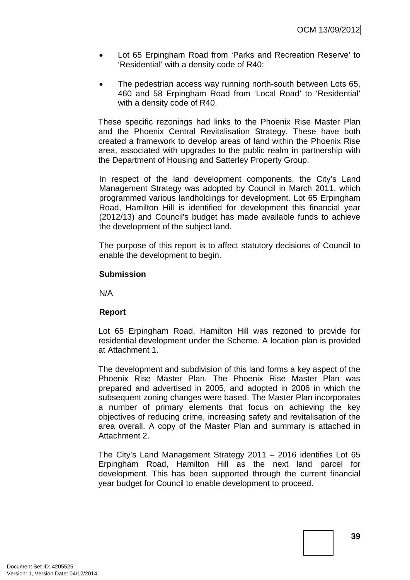- Lot 65 Erpingham Road from 'Parks and Recreation Reserve' to 'Residential' with a density code of R40;
- The pedestrian access way running north-south between Lots 65, 460 and 58 Erpingham Road from 'Local Road' to 'Residential' with a density code of R40.

These specific rezonings had links to the Phoenix Rise Master Plan and the Phoenix Central Revitalisation Strategy. These have both created a framework to develop areas of land within the Phoenix Rise area, associated with upgrades to the public realm in partnership with the Department of Housing and Satterley Property Group.

In respect of the land development components, the City's Land Management Strategy was adopted by Council in March 2011, which programmed various landholdings for development. Lot 65 Erpingham Road, Hamilton Hill is identified for development this financial year (2012/13) and Council's budget has made available funds to achieve the development of the subject land.

The purpose of this report is to affect statutory decisions of Council to enable the development to begin.

### **Submission**

N/A

# **Report**

Lot 65 Erpingham Road, Hamilton Hill was rezoned to provide for residential development under the Scheme. A location plan is provided at Attachment 1.

The development and subdivision of this land forms a key aspect of the Phoenix Rise Master Plan. The Phoenix Rise Master Plan was prepared and advertised in 2005, and adopted in 2006 in which the subsequent zoning changes were based. The Master Plan incorporates a number of primary elements that focus on achieving the key objectives of reducing crime, increasing safety and revitalisation of the area overall. A copy of the Master Plan and summary is attached in Attachment 2.

The City's Land Management Strategy 2011 – 2016 identifies Lot 65 Erpingham Road, Hamilton Hill as the next land parcel for development. This has been supported through the current financial year budget for Council to enable development to proceed.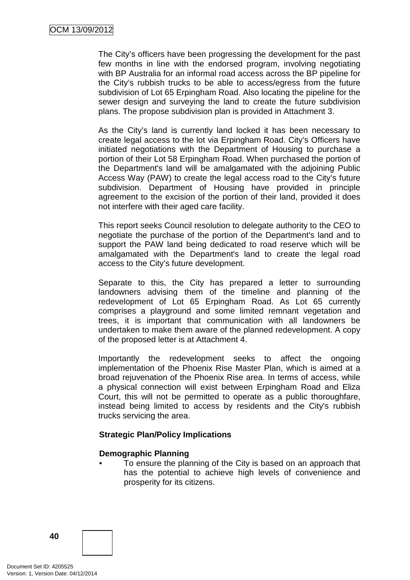The City's officers have been progressing the development for the past few months in line with the endorsed program, involving negotiating with BP Australia for an informal road access across the BP pipeline for the City's rubbish trucks to be able to access/egress from the future subdivision of Lot 65 Erpingham Road. Also locating the pipeline for the sewer design and surveying the land to create the future subdivision plans. The propose subdivision plan is provided in Attachment 3.

As the City's land is currently land locked it has been necessary to create legal access to the lot via Erpingham Road. City's Officers have initiated negotiations with the Department of Housing to purchase a portion of their Lot 58 Erpingham Road. When purchased the portion of the Department's land will be amalgamated with the adjoining Public Access Way (PAW) to create the legal access road to the City's future subdivision. Department of Housing have provided in principle agreement to the excision of the portion of their land, provided it does not interfere with their aged care facility.

This report seeks Council resolution to delegate authority to the CEO to negotiate the purchase of the portion of the Department's land and to support the PAW land being dedicated to road reserve which will be amalgamated with the Department's land to create the legal road access to the City's future development.

Separate to this, the City has prepared a letter to surrounding landowners advising them of the timeline and planning of the redevelopment of Lot 65 Erpingham Road. As Lot 65 currently comprises a playground and some limited remnant vegetation and trees, it is important that communication with all landowners be undertaken to make them aware of the planned redevelopment. A copy of the proposed letter is at Attachment 4.

Importantly the redevelopment seeks to affect the ongoing implementation of the Phoenix Rise Master Plan, which is aimed at a broad rejuvenation of the Phoenix Rise area. In terms of access, while a physical connection will exist between Erpingham Road and Eliza Court, this will not be permitted to operate as a public thoroughfare, instead being limited to access by residents and the City's rubbish trucks servicing the area.

### **Strategic Plan/Policy Implications**

### **Demographic Planning**

• To ensure the planning of the City is based on an approach that has the potential to achieve high levels of convenience and prosperity for its citizens.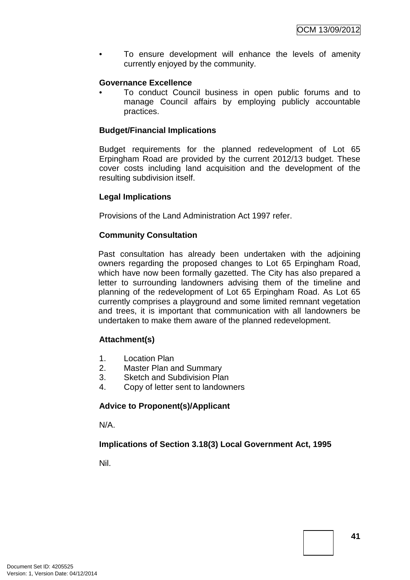To ensure development will enhance the levels of amenity currently enjoyed by the community.

# **Governance Excellence**

• To conduct Council business in open public forums and to manage Council affairs by employing publicly accountable practices.

### **Budget/Financial Implications**

Budget requirements for the planned redevelopment of Lot 65 Erpingham Road are provided by the current 2012/13 budget. These cover costs including land acquisition and the development of the resulting subdivision itself.

# **Legal Implications**

Provisions of the Land Administration Act 1997 refer.

# **Community Consultation**

Past consultation has already been undertaken with the adjoining owners regarding the proposed changes to Lot 65 Erpingham Road, which have now been formally gazetted. The City has also prepared a letter to surrounding landowners advising them of the timeline and planning of the redevelopment of Lot 65 Erpingham Road. As Lot 65 currently comprises a playground and some limited remnant vegetation and trees, it is important that communication with all landowners be undertaken to make them aware of the planned redevelopment.

### **Attachment(s)**

- 1. Location Plan
- 2. Master Plan and Summary
- 3. Sketch and Subdivision Plan
- 4. Copy of letter sent to landowners

# **Advice to Proponent(s)/Applicant**

N/A.

# **Implications of Section 3.18(3) Local Government Act, 1995**

Nil.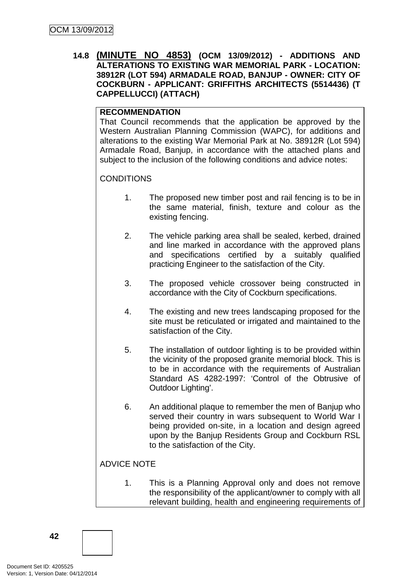# **14.8 (MINUTE NO 4853) (OCM 13/09/2012) - ADDITIONS AND ALTERATIONS TO EXISTING WAR MEMORIAL PARK - LOCATION: 38912R (LOT 594) ARMADALE ROAD, BANJUP - OWNER: CITY OF COCKBURN - APPLICANT: GRIFFITHS ARCHITECTS (5514436) (T CAPPELLUCCI) (ATTACH)**

### **RECOMMENDATION**

That Council recommends that the application be approved by the Western Australian Planning Commission (WAPC), for additions and alterations to the existing War Memorial Park at No. 38912R (Lot 594) Armadale Road, Banjup, in accordance with the attached plans and subject to the inclusion of the following conditions and advice notes:

# **CONDITIONS**

- 1. The proposed new timber post and rail fencing is to be in the same material, finish, texture and colour as the existing fencing.
- 2. The vehicle parking area shall be sealed, kerbed, drained and line marked in accordance with the approved plans and specifications certified by a suitably qualified practicing Engineer to the satisfaction of the City.
- 3. The proposed vehicle crossover being constructed in accordance with the City of Cockburn specifications.
- 4. The existing and new trees landscaping proposed for the site must be reticulated or irrigated and maintained to the satisfaction of the City.
- 5. The installation of outdoor lighting is to be provided within the vicinity of the proposed granite memorial block. This is to be in accordance with the requirements of Australian Standard AS 4282-1997: 'Control of the Obtrusive of Outdoor Lighting'.
- 6. An additional plaque to remember the men of Banjup who served their country in wars subsequent to World War I being provided on-site, in a location and design agreed upon by the Banjup Residents Group and Cockburn RSL to the satisfaction of the City.

### ADVICE NOTE

1. This is a Planning Approval only and does not remove the responsibility of the applicant/owner to comply with all relevant building, health and engineering requirements of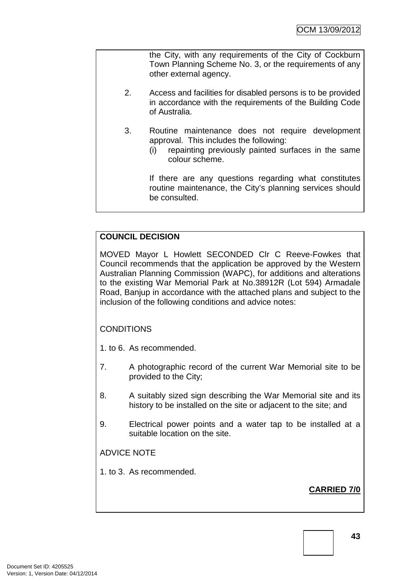the City, with any requirements of the City of Cockburn Town Planning Scheme No. 3, or the requirements of any other external agency.

- 2. Access and facilities for disabled persons is to be provided in accordance with the requirements of the Building Code of Australia.
- 3. Routine maintenance does not require development approval. This includes the following:
	- (i) repainting previously painted surfaces in the same colour scheme.

If there are any questions regarding what constitutes routine maintenance, the City's planning services should be consulted.

# **COUNCIL DECISION**

MOVED Mayor L Howlett SECONDED Clr C Reeve-Fowkes that Council recommends that the application be approved by the Western Australian Planning Commission (WAPC), for additions and alterations to the existing War Memorial Park at No.38912R (Lot 594) Armadale Road, Banjup in accordance with the attached plans and subject to the inclusion of the following conditions and advice notes:

# CONDITIONS

- 1. to 6. As recommended.
- 7. A photographic record of the current War Memorial site to be provided to the City;
- 8. A suitably sized sign describing the War Memorial site and its history to be installed on the site or adjacent to the site; and
- 9. Electrical power points and a water tap to be installed at a suitable location on the site.

# ADVICE NOTE

1. to 3. As recommended.

**CARRIED 7/0**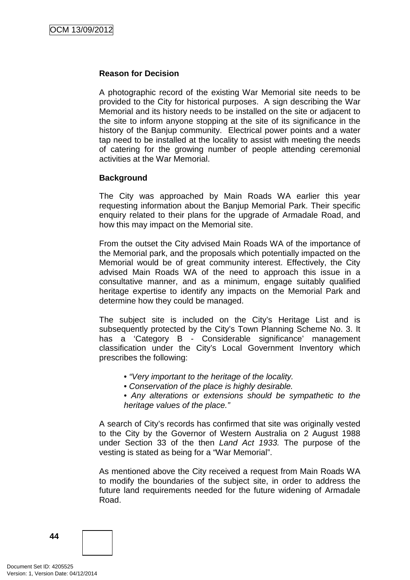### **Reason for Decision**

A photographic record of the existing War Memorial site needs to be provided to the City for historical purposes. A sign describing the War Memorial and its history needs to be installed on the site or adjacent to the site to inform anyone stopping at the site of its significance in the history of the Banjup community. Electrical power points and a water tap need to be installed at the locality to assist with meeting the needs of catering for the growing number of people attending ceremonial activities at the War Memorial.

### **Background**

The City was approached by Main Roads WA earlier this year requesting information about the Banjup Memorial Park. Their specific enquiry related to their plans for the upgrade of Armadale Road, and how this may impact on the Memorial site.

From the outset the City advised Main Roads WA of the importance of the Memorial park, and the proposals which potentially impacted on the Memorial would be of great community interest. Effectively, the City advised Main Roads WA of the need to approach this issue in a consultative manner, and as a minimum, engage suitably qualified heritage expertise to identify any impacts on the Memorial Park and determine how they could be managed.

The subject site is included on the City's Heritage List and is subsequently protected by the City's Town Planning Scheme No. 3. It has a 'Category B - Considerable significance' management classification under the City's Local Government Inventory which prescribes the following:

- *"Very important to the heritage of the locality.*
- *Conservation of the place is highly desirable.*

• *Any alterations or extensions should be sympathetic to the heritage values of the place."* 

A search of City's records has confirmed that site was originally vested to the City by the Governor of Western Australia on 2 August 1988 under Section 33 of the then *Land Act 1933.* The purpose of the vesting is stated as being for a "War Memorial".

As mentioned above the City received a request from Main Roads WA to modify the boundaries of the subject site, in order to address the future land requirements needed for the future widening of Armadale Road.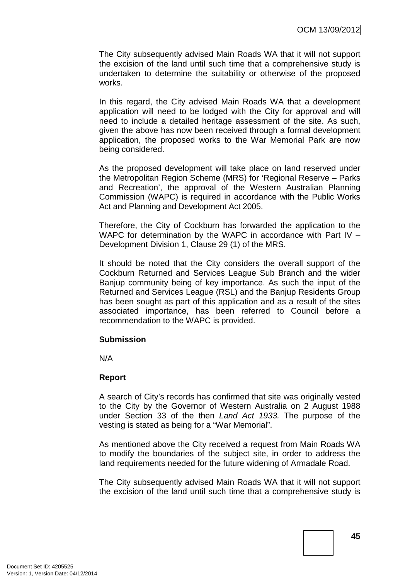The City subsequently advised Main Roads WA that it will not support the excision of the land until such time that a comprehensive study is undertaken to determine the suitability or otherwise of the proposed works.

In this regard, the City advised Main Roads WA that a development application will need to be lodged with the City for approval and will need to include a detailed heritage assessment of the site. As such, given the above has now been received through a formal development application, the proposed works to the War Memorial Park are now being considered.

As the proposed development will take place on land reserved under the Metropolitan Region Scheme (MRS) for 'Regional Reserve – Parks and Recreation', the approval of the Western Australian Planning Commission (WAPC) is required in accordance with the Public Works Act and Planning and Development Act 2005.

Therefore, the City of Cockburn has forwarded the application to the WAPC for determination by the WAPC in accordance with Part IV – Development Division 1, Clause 29 (1) of the MRS.

It should be noted that the City considers the overall support of the Cockburn Returned and Services League Sub Branch and the wider Banjup community being of key importance. As such the input of the Returned and Services League (RSL) and the Banjup Residents Group has been sought as part of this application and as a result of the sites associated importance, has been referred to Council before a recommendation to the WAPC is provided.

### **Submission**

N/A

### **Report**

A search of City's records has confirmed that site was originally vested to the City by the Governor of Western Australia on 2 August 1988 under Section 33 of the then *Land Act 1933.* The purpose of the vesting is stated as being for a "War Memorial".

As mentioned above the City received a request from Main Roads WA to modify the boundaries of the subject site, in order to address the land requirements needed for the future widening of Armadale Road.

The City subsequently advised Main Roads WA that it will not support the excision of the land until such time that a comprehensive study is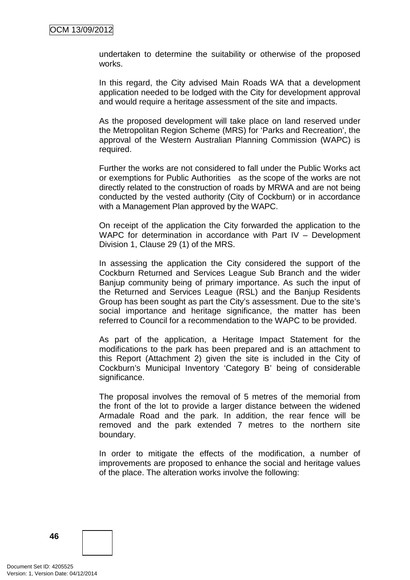undertaken to determine the suitability or otherwise of the proposed works.

In this regard, the City advised Main Roads WA that a development application needed to be lodged with the City for development approval and would require a heritage assessment of the site and impacts.

As the proposed development will take place on land reserved under the Metropolitan Region Scheme (MRS) for 'Parks and Recreation', the approval of the Western Australian Planning Commission (WAPC) is required.

Further the works are not considered to fall under the Public Works act or exemptions for Public Authorities as the scope of the works are not directly related to the construction of roads by MRWA and are not being conducted by the vested authority (City of Cockburn) or in accordance with a Management Plan approved by the WAPC.

On receipt of the application the City forwarded the application to the WAPC for determination in accordance with Part IV – Development Division 1, Clause 29 (1) of the MRS.

In assessing the application the City considered the support of the Cockburn Returned and Services League Sub Branch and the wider Banjup community being of primary importance. As such the input of the Returned and Services League (RSL) and the Banjup Residents Group has been sought as part the City's assessment. Due to the site's social importance and heritage significance, the matter has been referred to Council for a recommendation to the WAPC to be provided.

As part of the application, a Heritage Impact Statement for the modifications to the park has been prepared and is an attachment to this Report (Attachment 2) given the site is included in the City of Cockburn's Municipal Inventory 'Category B' being of considerable significance.

The proposal involves the removal of 5 metres of the memorial from the front of the lot to provide a larger distance between the widened Armadale Road and the park. In addition, the rear fence will be removed and the park extended 7 metres to the northern site boundary.

In order to mitigate the effects of the modification, a number of improvements are proposed to enhance the social and heritage values of the place. The alteration works involve the following:

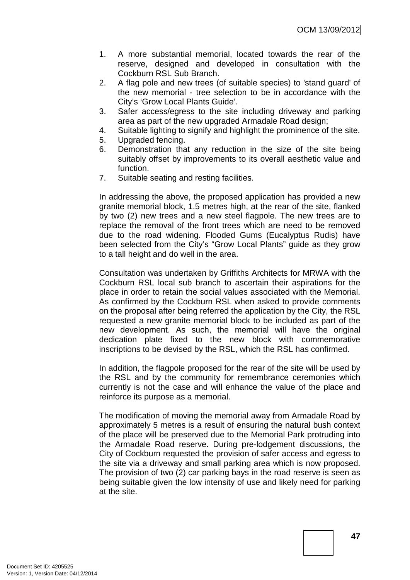- 1. A more substantial memorial, located towards the rear of the reserve, designed and developed in consultation with the Cockburn RSL Sub Branch.
- 2. A flag pole and new trees (of suitable species) to 'stand guard' of the new memorial - tree selection to be in accordance with the City's 'Grow Local Plants Guide'.
- 3. Safer access/egress to the site including driveway and parking area as part of the new upgraded Armadale Road design;
- 4. Suitable lighting to signify and highlight the prominence of the site.
- 5. Upgraded fencing.
- 6. Demonstration that any reduction in the size of the site being suitably offset by improvements to its overall aesthetic value and function.
- 7. Suitable seating and resting facilities.

In addressing the above, the proposed application has provided a new granite memorial block, 1.5 metres high, at the rear of the site, flanked by two (2) new trees and a new steel flagpole. The new trees are to replace the removal of the front trees which are need to be removed due to the road widening. Flooded Gums (Eucalyptus Rudis) have been selected from the City's "Grow Local Plants" guide as they grow to a tall height and do well in the area.

Consultation was undertaken by Griffiths Architects for MRWA with the Cockburn RSL local sub branch to ascertain their aspirations for the place in order to retain the social values associated with the Memorial. As confirmed by the Cockburn RSL when asked to provide comments on the proposal after being referred the application by the City, the RSL requested a new granite memorial block to be included as part of the new development. As such, the memorial will have the original dedication plate fixed to the new block with commemorative inscriptions to be devised by the RSL, which the RSL has confirmed.

In addition, the flagpole proposed for the rear of the site will be used by the RSL and by the community for remembrance ceremonies which currently is not the case and will enhance the value of the place and reinforce its purpose as a memorial.

The modification of moving the memorial away from Armadale Road by approximately 5 metres is a result of ensuring the natural bush context of the place will be preserved due to the Memorial Park protruding into the Armadale Road reserve. During pre-lodgement discussions, the City of Cockburn requested the provision of safer access and egress to the site via a driveway and small parking area which is now proposed. The provision of two (2) car parking bays in the road reserve is seen as being suitable given the low intensity of use and likely need for parking at the site.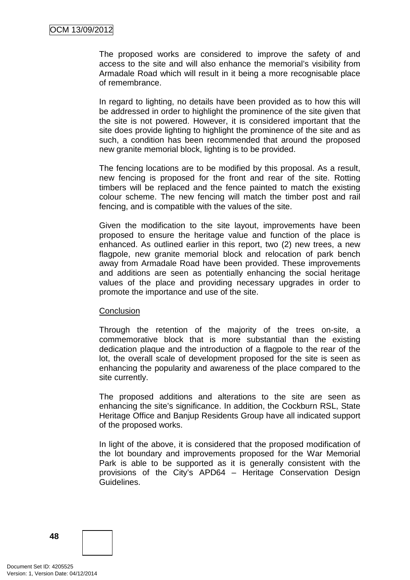The proposed works are considered to improve the safety of and access to the site and will also enhance the memorial's visibility from Armadale Road which will result in it being a more recognisable place of remembrance.

In regard to lighting, no details have been provided as to how this will be addressed in order to highlight the prominence of the site given that the site is not powered. However, it is considered important that the site does provide lighting to highlight the prominence of the site and as such, a condition has been recommended that around the proposed new granite memorial block, lighting is to be provided.

The fencing locations are to be modified by this proposal. As a result, new fencing is proposed for the front and rear of the site. Rotting timbers will be replaced and the fence painted to match the existing colour scheme. The new fencing will match the timber post and rail fencing, and is compatible with the values of the site.

Given the modification to the site layout, improvements have been proposed to ensure the heritage value and function of the place is enhanced. As outlined earlier in this report, two (2) new trees, a new flagpole, new granite memorial block and relocation of park bench away from Armadale Road have been provided. These improvements and additions are seen as potentially enhancing the social heritage values of the place and providing necessary upgrades in order to promote the importance and use of the site.

### **Conclusion**

Through the retention of the majority of the trees on-site, a commemorative block that is more substantial than the existing dedication plaque and the introduction of a flagpole to the rear of the lot, the overall scale of development proposed for the site is seen as enhancing the popularity and awareness of the place compared to the site currently.

The proposed additions and alterations to the site are seen as enhancing the site's significance. In addition, the Cockburn RSL, State Heritage Office and Banjup Residents Group have all indicated support of the proposed works.

In light of the above, it is considered that the proposed modification of the lot boundary and improvements proposed for the War Memorial Park is able to be supported as it is generally consistent with the provisions of the City's APD64 – Heritage Conservation Design Guidelines.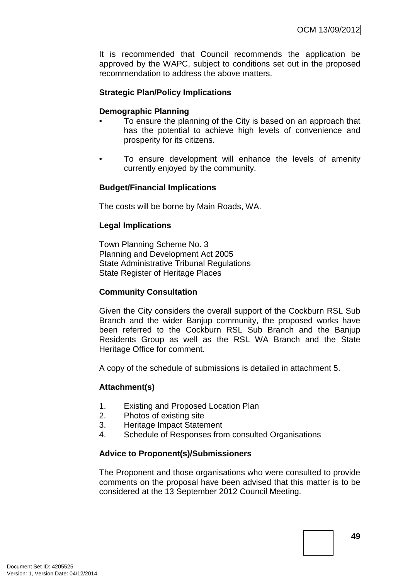It is recommended that Council recommends the application be approved by the WAPC, subject to conditions set out in the proposed recommendation to address the above matters.

### **Strategic Plan/Policy Implications**

### **Demographic Planning**

- To ensure the planning of the City is based on an approach that has the potential to achieve high levels of convenience and prosperity for its citizens.
- To ensure development will enhance the levels of amenity currently enjoyed by the community.

### **Budget/Financial Implications**

The costs will be borne by Main Roads, WA.

### **Legal Implications**

Town Planning Scheme No. 3 Planning and Development Act 2005 State Administrative Tribunal Regulations State Register of Heritage Places

### **Community Consultation**

Given the City considers the overall support of the Cockburn RSL Sub Branch and the wider Banjup community, the proposed works have been referred to the Cockburn RSL Sub Branch and the Banjup Residents Group as well as the RSL WA Branch and the State Heritage Office for comment.

A copy of the schedule of submissions is detailed in attachment 5.

### **Attachment(s)**

- 1. Existing and Proposed Location Plan
- 2. Photos of existing site
- 3. Heritage Impact Statement
- 4. Schedule of Responses from consulted Organisations

### **Advice to Proponent(s)/Submissioners**

The Proponent and those organisations who were consulted to provide comments on the proposal have been advised that this matter is to be considered at the 13 September 2012 Council Meeting.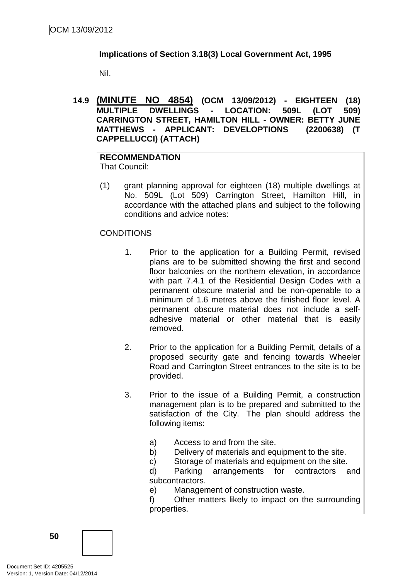### **Implications of Section 3.18(3) Local Government Act, 1995**

Nil.

### **14.9 (MINUTE NO 4854) (OCM 13/09/2012) - EIGHTEEN (18) MULTIPLE DWELLINGS - LOCATION: 509L (LOT 509) CARRINGTON STREET, HAMILTON HILL - OWNER: BETTY JUNE MATTHEWS - APPLICANT: DEVELOPTIONS (2200638) (T CAPPELLUCCI) (ATTACH)**

# **RECOMMENDATION**

That Council:

(1) grant planning approval for eighteen (18) multiple dwellings at No. 509L (Lot 509) Carrington Street, Hamilton Hill, in accordance with the attached plans and subject to the following conditions and advice notes:

# **CONDITIONS**

- 1. Prior to the application for a Building Permit, revised plans are to be submitted showing the first and second floor balconies on the northern elevation, in accordance with part 7.4.1 of the Residential Design Codes with a permanent obscure material and be non-openable to a minimum of 1.6 metres above the finished floor level. A permanent obscure material does not include a selfadhesive material or other material that is easily removed.
- 2. Prior to the application for a Building Permit, details of a proposed security gate and fencing towards Wheeler Road and Carrington Street entrances to the site is to be provided.
- 3. Prior to the issue of a Building Permit, a construction management plan is to be prepared and submitted to the satisfaction of the City. The plan should address the following items:
	- a) Access to and from the site.
	- b) Delivery of materials and equipment to the site.
	- c) Storage of materials and equipment on the site.<br>
	d) Parking arrangements for contractors

d) Parking arrangements for contractors and subcontractors.

e) Management of construction waste.

f) Other matters likely to impact on the surrounding properties.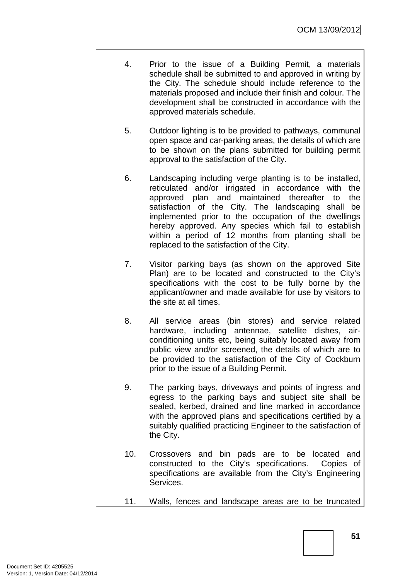- 4. Prior to the issue of a Building Permit, a materials schedule shall be submitted to and approved in writing by the City. The schedule should include reference to the materials proposed and include their finish and colour. The development shall be constructed in accordance with the approved materials schedule.
- 5. Outdoor lighting is to be provided to pathways, communal open space and car-parking areas, the details of which are to be shown on the plans submitted for building permit approval to the satisfaction of the City.
- 6. Landscaping including verge planting is to be installed, reticulated and/or irrigated in accordance with the approved plan and maintained thereafter to the satisfaction of the City. The landscaping shall be implemented prior to the occupation of the dwellings hereby approved. Any species which fail to establish within a period of 12 months from planting shall be replaced to the satisfaction of the City.
- 7. Visitor parking bays (as shown on the approved Site Plan) are to be located and constructed to the City's specifications with the cost to be fully borne by the applicant/owner and made available for use by visitors to the site at all times.
- 8. All service areas (bin stores) and service related hardware, including antennae, satellite dishes, airconditioning units etc, being suitably located away from public view and/or screened, the details of which are to be provided to the satisfaction of the City of Cockburn prior to the issue of a Building Permit.
- 9. The parking bays, driveways and points of ingress and egress to the parking bays and subject site shall be sealed, kerbed, drained and line marked in accordance with the approved plans and specifications certified by a suitably qualified practicing Engineer to the satisfaction of the City.
- 10. Crossovers and bin pads are to be located and constructed to the City's specifications. Copies of specifications are available from the City's Engineering Services.
- 11. Walls, fences and landscape areas are to be truncated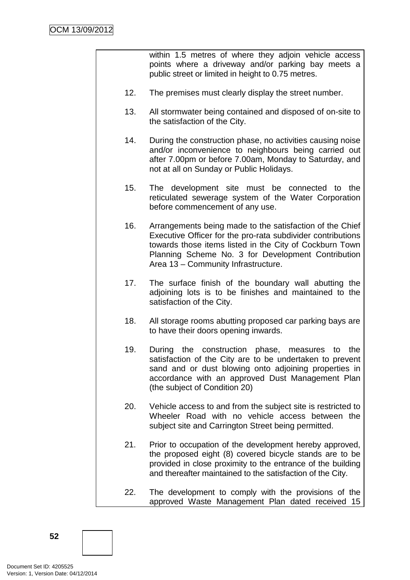within 1.5 metres of where they adjoin vehicle access points where a driveway and/or parking bay meets a public street or limited in height to 0.75 metres.

- 12. The premises must clearly display the street number.
- 13. All stormwater being contained and disposed of on-site to the satisfaction of the City.
- 14. During the construction phase, no activities causing noise and/or inconvenience to neighbours being carried out after 7.00pm or before 7.00am, Monday to Saturday, and not at all on Sunday or Public Holidays.
- 15. The development site must be connected to the reticulated sewerage system of the Water Corporation before commencement of any use.
- 16. Arrangements being made to the satisfaction of the Chief Executive Officer for the pro-rata subdivider contributions towards those items listed in the City of Cockburn Town Planning Scheme No. 3 for Development Contribution Area 13 – Community Infrastructure.
- 17. The surface finish of the boundary wall abutting the adjoining lots is to be finishes and maintained to the satisfaction of the City.
- 18. All storage rooms abutting proposed car parking bays are to have their doors opening inwards.
- 19. During the construction phase, measures to the satisfaction of the City are to be undertaken to prevent sand and or dust blowing onto adjoining properties in accordance with an approved Dust Management Plan (the subject of Condition 20)
- 20. Vehicle access to and from the subject site is restricted to Wheeler Road with no vehicle access between the subject site and Carrington Street being permitted.
- 21. Prior to occupation of the development hereby approved, the proposed eight (8) covered bicycle stands are to be provided in close proximity to the entrance of the building and thereafter maintained to the satisfaction of the City.
- 22. The development to comply with the provisions of the approved Waste Management Plan dated received 15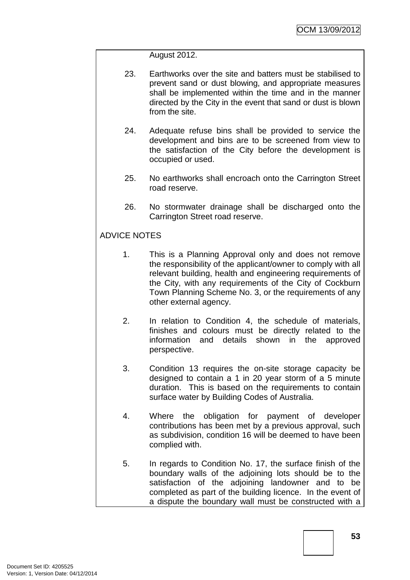August 2012.

- 23. Earthworks over the site and batters must be stabilised to prevent sand or dust blowing, and appropriate measures shall be implemented within the time and in the manner directed by the City in the event that sand or dust is blown from the site.
- 24. Adequate refuse bins shall be provided to service the development and bins are to be screened from view to the satisfaction of the City before the development is occupied or used.
- 25. No earthworks shall encroach onto the Carrington Street road reserve.
- 26. No stormwater drainage shall be discharged onto the Carrington Street road reserve.

# ADVICE NOTES

- 1. This is a Planning Approval only and does not remove the responsibility of the applicant/owner to comply with all relevant building, health and engineering requirements of the City, with any requirements of the City of Cockburn Town Planning Scheme No. 3, or the requirements of any other external agency.
- 2. In relation to Condition 4, the schedule of materials, finishes and colours must be directly related to the information and details shown in the approved perspective.
- 3. Condition 13 requires the on-site storage capacity be designed to contain a 1 in 20 year storm of a 5 minute duration. This is based on the requirements to contain surface water by Building Codes of Australia.
- 4. Where the obligation for payment of developer contributions has been met by a previous approval, such as subdivision, condition 16 will be deemed to have been complied with.
- 5. In regards to Condition No. 17, the surface finish of the boundary walls of the adjoining lots should be to the satisfaction of the adjoining landowner and to be completed as part of the building licence. In the event of a dispute the boundary wall must be constructed with a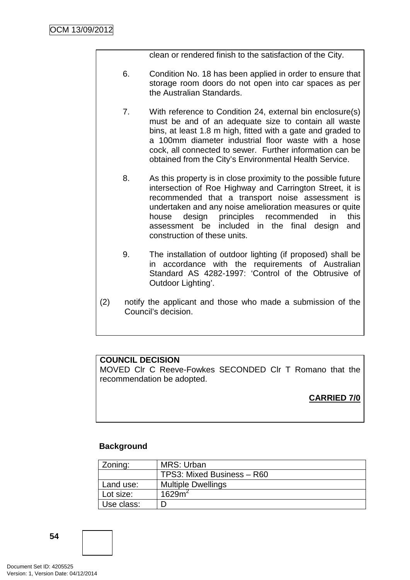clean or rendered finish to the satisfaction of the City.

- 6. Condition No. 18 has been applied in order to ensure that storage room doors do not open into car spaces as per the Australian Standards.
- 7. With reference to Condition 24, external bin enclosure(s) must be and of an adequate size to contain all waste bins, at least 1.8 m high, fitted with a gate and graded to a 100mm diameter industrial floor waste with a hose cock, all connected to sewer. Further information can be obtained from the City's Environmental Health Service.
- 8. As this property is in close proximity to the possible future intersection of Roe Highway and Carrington Street, it is recommended that a transport noise assessment is undertaken and any noise amelioration measures or quite house design principles recommended in this assessment be included in the final design and construction of these units.
- 9. The installation of outdoor lighting (if proposed) shall be in accordance with the requirements of Australian Standard AS 4282-1997: 'Control of the Obtrusive of Outdoor Lighting'.
- (2) notify the applicant and those who made a submission of the Council's decision.

# **COUNCIL DECISION**

MOVED Clr C Reeve-Fowkes SECONDED Clr T Romano that the recommendation be adopted.

# **CARRIED 7/0**

# **Background**

| Zoning:    | MRS: Urban                 |
|------------|----------------------------|
|            | TPS3: Mixed Business - R60 |
| Land use:  | <b>Multiple Dwellings</b>  |
| Lot size:  | 1629 $m2$                  |
| Use class: |                            |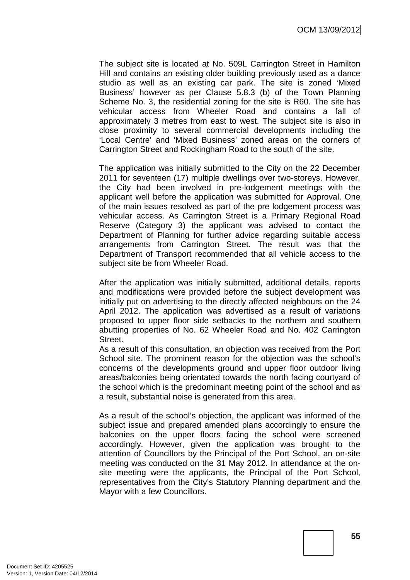The subject site is located at No. 509L Carrington Street in Hamilton Hill and contains an existing older building previously used as a dance studio as well as an existing car park. The site is zoned 'Mixed Business' however as per Clause 5.8.3 (b) of the Town Planning Scheme No. 3, the residential zoning for the site is R60. The site has vehicular access from Wheeler Road and contains a fall of approximately 3 metres from east to west. The subject site is also in close proximity to several commercial developments including the 'Local Centre' and 'Mixed Business' zoned areas on the corners of Carrington Street and Rockingham Road to the south of the site.

The application was initially submitted to the City on the 22 December 2011 for seventeen (17) multiple dwellings over two-storeys. However, the City had been involved in pre-lodgement meetings with the applicant well before the application was submitted for Approval. One of the main issues resolved as part of the pre lodgement process was vehicular access. As Carrington Street is a Primary Regional Road Reserve (Category 3) the applicant was advised to contact the Department of Planning for further advice regarding suitable access arrangements from Carrington Street. The result was that the Department of Transport recommended that all vehicle access to the subject site be from Wheeler Road.

After the application was initially submitted, additional details, reports and modifications were provided before the subject development was initially put on advertising to the directly affected neighbours on the 24 April 2012. The application was advertised as a result of variations proposed to upper floor side setbacks to the northern and southern abutting properties of No. 62 Wheeler Road and No. 402 Carrington Street.

As a result of this consultation, an objection was received from the Port School site. The prominent reason for the objection was the school's concerns of the developments ground and upper floor outdoor living areas/balconies being orientated towards the north facing courtyard of the school which is the predominant meeting point of the school and as a result, substantial noise is generated from this area.

As a result of the school's objection, the applicant was informed of the subject issue and prepared amended plans accordingly to ensure the balconies on the upper floors facing the school were screened accordingly. However, given the application was brought to the attention of Councillors by the Principal of the Port School, an on-site meeting was conducted on the 31 May 2012. In attendance at the onsite meeting were the applicants, the Principal of the Port School, representatives from the City's Statutory Planning department and the Mayor with a few Councillors.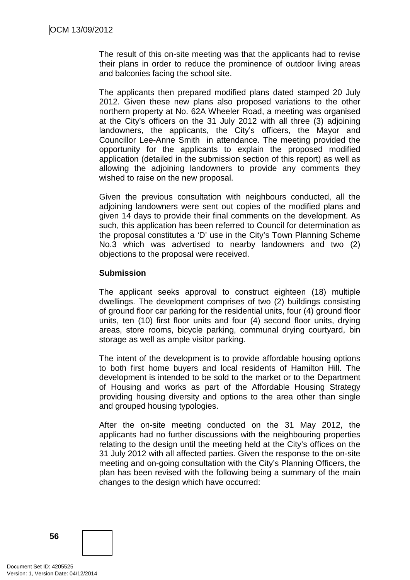The result of this on-site meeting was that the applicants had to revise their plans in order to reduce the prominence of outdoor living areas and balconies facing the school site.

The applicants then prepared modified plans dated stamped 20 July 2012. Given these new plans also proposed variations to the other northern property at No. 62A Wheeler Road, a meeting was organised at the City's officers on the 31 July 2012 with all three (3) adjoining landowners, the applicants, the City's officers, the Mayor and Councillor Lee-Anne Smith in attendance. The meeting provided the opportunity for the applicants to explain the proposed modified application (detailed in the submission section of this report) as well as allowing the adjoining landowners to provide any comments they wished to raise on the new proposal.

Given the previous consultation with neighbours conducted, all the adjoining landowners were sent out copies of the modified plans and given 14 days to provide their final comments on the development. As such, this application has been referred to Council for determination as the proposal constitutes a 'D' use in the City's Town Planning Scheme No.3 which was advertised to nearby landowners and two (2) objections to the proposal were received.

### **Submission**

The applicant seeks approval to construct eighteen (18) multiple dwellings. The development comprises of two (2) buildings consisting of ground floor car parking for the residential units, four (4) ground floor units, ten (10) first floor units and four (4) second floor units, drying areas, store rooms, bicycle parking, communal drying courtyard, bin storage as well as ample visitor parking.

The intent of the development is to provide affordable housing options to both first home buyers and local residents of Hamilton Hill. The development is intended to be sold to the market or to the Department of Housing and works as part of the Affordable Housing Strategy providing housing diversity and options to the area other than single and grouped housing typologies.

After the on-site meeting conducted on the 31 May 2012, the applicants had no further discussions with the neighbouring properties relating to the design until the meeting held at the City's offices on the 31 July 2012 with all affected parties. Given the response to the on-site meeting and on-going consultation with the City's Planning Officers, the plan has been revised with the following being a summary of the main changes to the design which have occurred: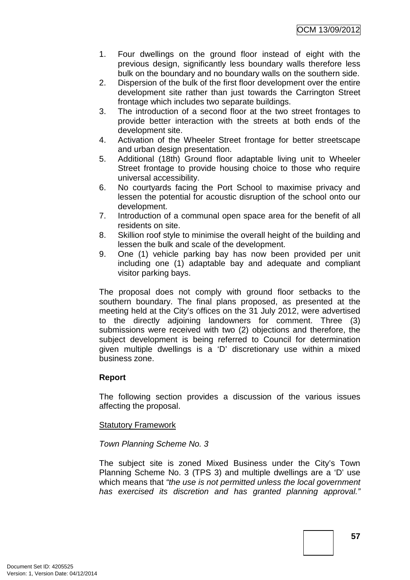- 1. Four dwellings on the ground floor instead of eight with the previous design, significantly less boundary walls therefore less bulk on the boundary and no boundary walls on the southern side.
- 2. Dispersion of the bulk of the first floor development over the entire development site rather than just towards the Carrington Street frontage which includes two separate buildings.
- 3. The introduction of a second floor at the two street frontages to provide better interaction with the streets at both ends of the development site.
- 4. Activation of the Wheeler Street frontage for better streetscape and urban design presentation.
- 5. Additional (18th) Ground floor adaptable living unit to Wheeler Street frontage to provide housing choice to those who require universal accessibility.
- 6. No courtyards facing the Port School to maximise privacy and lessen the potential for acoustic disruption of the school onto our development.
- 7. Introduction of a communal open space area for the benefit of all residents on site.
- 8. Skillion roof style to minimise the overall height of the building and lessen the bulk and scale of the development.
- 9. One (1) vehicle parking bay has now been provided per unit including one (1) adaptable bay and adequate and compliant visitor parking bays.

The proposal does not comply with ground floor setbacks to the southern boundary. The final plans proposed, as presented at the meeting held at the City's offices on the 31 July 2012, were advertised to the directly adjoining landowners for comment. Three (3) submissions were received with two (2) objections and therefore, the subject development is being referred to Council for determination given multiple dwellings is a 'D' discretionary use within a mixed business zone.

# **Report**

The following section provides a discussion of the various issues affecting the proposal.

# **Statutory Framework**

# *Town Planning Scheme No. 3*

The subject site is zoned Mixed Business under the City's Town Planning Scheme No. 3 (TPS 3) and multiple dwellings are a 'D' use which means that *"the use is not permitted unless the local government has exercised its discretion and has granted planning approval."*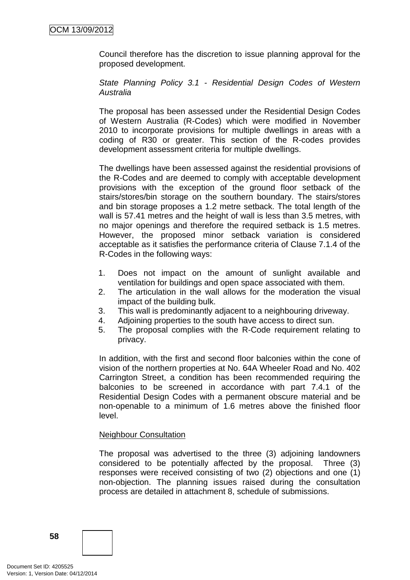Council therefore has the discretion to issue planning approval for the proposed development.

*State Planning Policy 3.1 - Residential Design Codes of Western Australia*

The proposal has been assessed under the Residential Design Codes of Western Australia (R-Codes) which were modified in November 2010 to incorporate provisions for multiple dwellings in areas with a coding of R30 or greater. This section of the R-codes provides development assessment criteria for multiple dwellings.

The dwellings have been assessed against the residential provisions of the R-Codes and are deemed to comply with acceptable development provisions with the exception of the ground floor setback of the stairs/stores/bin storage on the southern boundary. The stairs/stores and bin storage proposes a 1.2 metre setback. The total length of the wall is 57.41 metres and the height of wall is less than 3.5 metres, with no major openings and therefore the required setback is 1.5 metres. However, the proposed minor setback variation is considered acceptable as it satisfies the performance criteria of Clause 7.1.4 of the R-Codes in the following ways:

- 1. Does not impact on the amount of sunlight available and ventilation for buildings and open space associated with them.
- 2. The articulation in the wall allows for the moderation the visual impact of the building bulk.
- 3. This wall is predominantly adjacent to a neighbouring driveway.
- 4. Adjoining properties to the south have access to direct sun.
- 5. The proposal complies with the R-Code requirement relating to privacy.

In addition, with the first and second floor balconies within the cone of vision of the northern properties at No. 64A Wheeler Road and No. 402 Carrington Street, a condition has been recommended requiring the balconies to be screened in accordance with part 7.4.1 of the Residential Design Codes with a permanent obscure material and be non-openable to a minimum of 1.6 metres above the finished floor level.

### Neighbour Consultation

The proposal was advertised to the three (3) adjoining landowners considered to be potentially affected by the proposal. Three (3) responses were received consisting of two (2) objections and one (1) non-objection. The planning issues raised during the consultation process are detailed in attachment 8, schedule of submissions.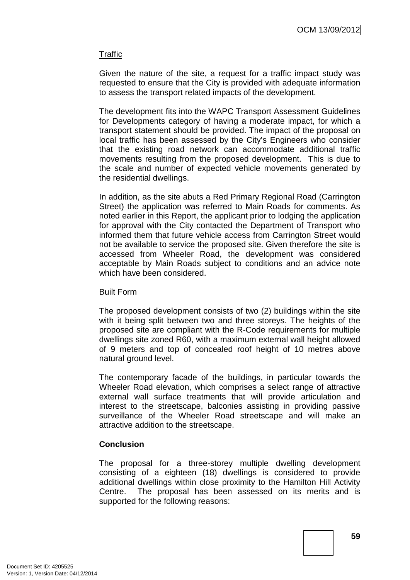# **Traffic**

Given the nature of the site, a request for a traffic impact study was requested to ensure that the City is provided with adequate information to assess the transport related impacts of the development.

The development fits into the WAPC Transport Assessment Guidelines for Developments category of having a moderate impact, for which a transport statement should be provided. The impact of the proposal on local traffic has been assessed by the City's Engineers who consider that the existing road network can accommodate additional traffic movements resulting from the proposed development. This is due to the scale and number of expected vehicle movements generated by the residential dwellings.

In addition, as the site abuts a Red Primary Regional Road (Carrington Street) the application was referred to Main Roads for comments. As noted earlier in this Report, the applicant prior to lodging the application for approval with the City contacted the Department of Transport who informed them that future vehicle access from Carrington Street would not be available to service the proposed site. Given therefore the site is accessed from Wheeler Road, the development was considered acceptable by Main Roads subject to conditions and an advice note which have been considered.

### Built Form

The proposed development consists of two (2) buildings within the site with it being split between two and three storeys. The heights of the proposed site are compliant with the R-Code requirements for multiple dwellings site zoned R60, with a maximum external wall height allowed of 9 meters and top of concealed roof height of 10 metres above natural ground level.

The contemporary facade of the buildings, in particular towards the Wheeler Road elevation, which comprises a select range of attractive external wall surface treatments that will provide articulation and interest to the streetscape, balconies assisting in providing passive surveillance of the Wheeler Road streetscape and will make an attractive addition to the streetscape.

### **Conclusion**

The proposal for a three-storey multiple dwelling development consisting of a eighteen (18) dwellings is considered to provide additional dwellings within close proximity to the Hamilton Hill Activity Centre. The proposal has been assessed on its merits and is supported for the following reasons: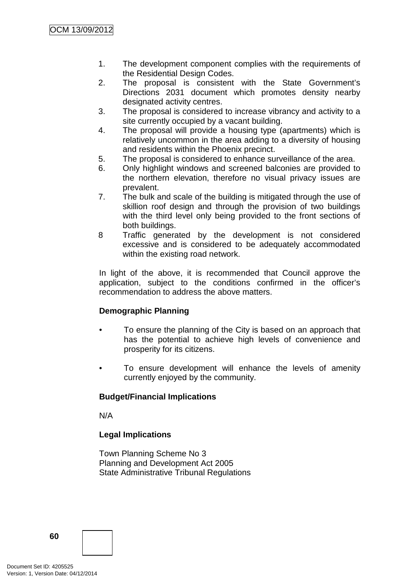- 1. The development component complies with the requirements of the Residential Design Codes.
- 2. The proposal is consistent with the State Government's Directions 2031 document which promotes density nearby designated activity centres.
- 3. The proposal is considered to increase vibrancy and activity to a site currently occupied by a vacant building.
- 4. The proposal will provide a housing type (apartments) which is relatively uncommon in the area adding to a diversity of housing and residents within the Phoenix precinct.
- 5. The proposal is considered to enhance surveillance of the area.
- 6. Only highlight windows and screened balconies are provided to the northern elevation, therefore no visual privacy issues are prevalent.
- 7. The bulk and scale of the building is mitigated through the use of skillion roof design and through the provision of two buildings with the third level only being provided to the front sections of both buildings.
- 8 Traffic generated by the development is not considered excessive and is considered to be adequately accommodated within the existing road network.

In light of the above, it is recommended that Council approve the application, subject to the conditions confirmed in the officer's recommendation to address the above matters.

# **Demographic Planning**

- To ensure the planning of the City is based on an approach that has the potential to achieve high levels of convenience and prosperity for its citizens.
- To ensure development will enhance the levels of amenity currently enjoyed by the community.

### **Budget/Financial Implications**

N/A

# **Legal Implications**

Town Planning Scheme No 3 Planning and Development Act 2005 State Administrative Tribunal Regulations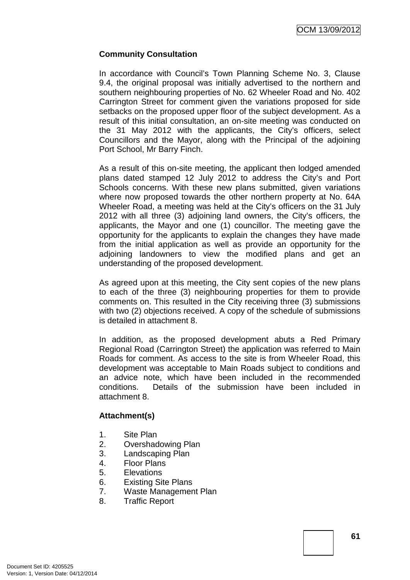# **Community Consultation**

In accordance with Council's Town Planning Scheme No. 3, Clause 9.4, the original proposal was initially advertised to the northern and southern neighbouring properties of No. 62 Wheeler Road and No. 402 Carrington Street for comment given the variations proposed for side setbacks on the proposed upper floor of the subject development. As a result of this initial consultation, an on-site meeting was conducted on the 31 May 2012 with the applicants, the City's officers, select Councillors and the Mayor, along with the Principal of the adjoining Port School, Mr Barry Finch.

As a result of this on-site meeting, the applicant then lodged amended plans dated stamped 12 July 2012 to address the City's and Port Schools concerns. With these new plans submitted, given variations where now proposed towards the other northern property at No. 64A Wheeler Road, a meeting was held at the City's officers on the 31 July 2012 with all three (3) adjoining land owners, the City's officers, the applicants, the Mayor and one (1) councillor. The meeting gave the opportunity for the applicants to explain the changes they have made from the initial application as well as provide an opportunity for the adjoining landowners to view the modified plans and get an understanding of the proposed development.

As agreed upon at this meeting, the City sent copies of the new plans to each of the three (3) neighbouring properties for them to provide comments on. This resulted in the City receiving three (3) submissions with two (2) objections received. A copy of the schedule of submissions is detailed in attachment 8.

In addition, as the proposed development abuts a Red Primary Regional Road (Carrington Street) the application was referred to Main Roads for comment. As access to the site is from Wheeler Road, this development was acceptable to Main Roads subject to conditions and an advice note, which have been included in the recommended conditions. Details of the submission have been included in attachment 8.

### **Attachment(s)**

- 1. Site Plan
- 2. Overshadowing Plan
- 3. Landscaping Plan
- 4. Floor Plans
- 5. Elevations
- 6. Existing Site Plans
- 7. Waste Management Plan
- 8. Traffic Report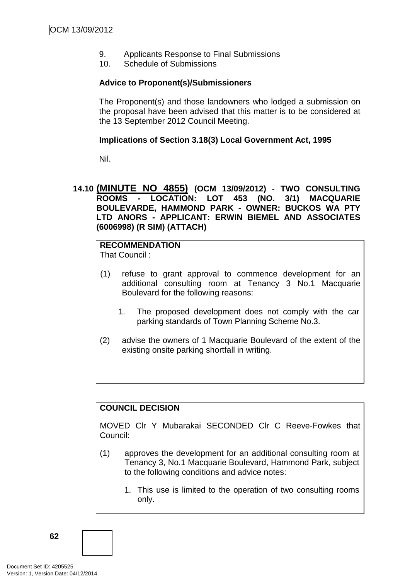- 9. Applicants Response to Final Submissions
- 10. Schedule of Submissions

### **Advice to Proponent(s)/Submissioners**

The Proponent(s) and those landowners who lodged a submission on the proposal have been advised that this matter is to be considered at the 13 September 2012 Council Meeting.

### **Implications of Section 3.18(3) Local Government Act, 1995**

Nil.

# **14.10 (MINUTE NO 4855) (OCM 13/09/2012) - TWO CONSULTING ROOMS - LOCATION: LOT 453 (NO. 3/1) MACQUARIE BOULEVARDE, HAMMOND PARK - OWNER: BUCKOS WA PTY LTD ANORS - APPLICANT: ERWIN BIEMEL AND ASSOCIATES (6006998) (R SIM) (ATTACH)**

# **RECOMMENDATION**

That Council :

- (1) refuse to grant approval to commence development for an additional consulting room at Tenancy 3 No.1 Macquarie Boulevard for the following reasons:
	- 1. The proposed development does not comply with the car parking standards of Town Planning Scheme No.3.
- (2) advise the owners of 1 Macquarie Boulevard of the extent of the existing onsite parking shortfall in writing.

### **COUNCIL DECISION**

MOVED Clr Y Mubarakai SECONDED Clr C Reeve-Fowkes that Council:

- (1) approves the development for an additional consulting room at Tenancy 3, No.1 Macquarie Boulevard, Hammond Park, subject to the following conditions and advice notes:
	- 1. This use is limited to the operation of two consulting rooms only.

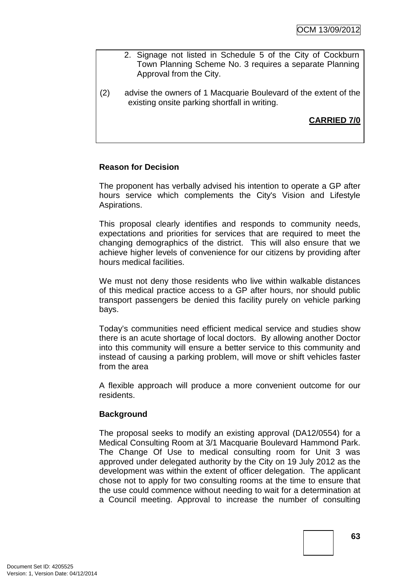- 2. Signage not listed in Schedule 5 of the City of Cockburn Town Planning Scheme No. 3 requires a separate Planning Approval from the City.
- (2) advise the owners of 1 Macquarie Boulevard of the extent of the existing onsite parking shortfall in writing.

# **CARRIED 7/0**

### **Reason for Decision**

The proponent has verbally advised his intention to operate a GP after hours service which complements the City's Vision and Lifestyle Aspirations.

This proposal clearly identifies and responds to community needs, expectations and priorities for services that are required to meet the changing demographics of the district. This will also ensure that we achieve higher levels of convenience for our citizens by providing after hours medical facilities.

We must not deny those residents who live within walkable distances of this medical practice access to a GP after hours, nor should public transport passengers be denied this facility purely on vehicle parking bays.

Today's communities need efficient medical service and studies show there is an acute shortage of local doctors. By allowing another Doctor into this community will ensure a better service to this community and instead of causing a parking problem, will move or shift vehicles faster from the area

A flexible approach will produce a more convenient outcome for our residents.

### **Background**

The proposal seeks to modify an existing approval (DA12/0554) for a Medical Consulting Room at 3/1 Macquarie Boulevard Hammond Park. The Change Of Use to medical consulting room for Unit 3 was approved under delegated authority by the City on 19 July 2012 as the development was within the extent of officer delegation. The applicant chose not to apply for two consulting rooms at the time to ensure that the use could commence without needing to wait for a determination at a Council meeting. Approval to increase the number of consulting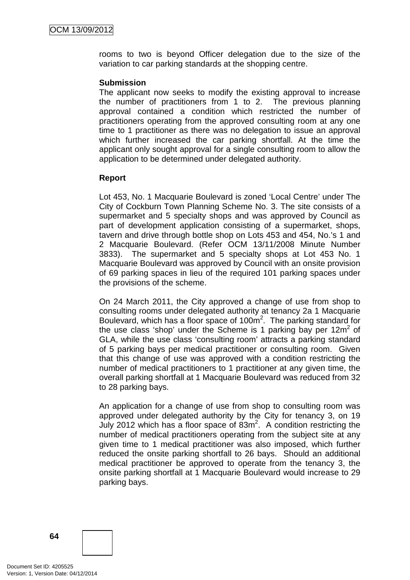rooms to two is beyond Officer delegation due to the size of the variation to car parking standards at the shopping centre.

### **Submission**

The applicant now seeks to modify the existing approval to increase the number of practitioners from 1 to 2. The previous planning approval contained a condition which restricted the number of practitioners operating from the approved consulting room at any one time to 1 practitioner as there was no delegation to issue an approval which further increased the car parking shortfall. At the time the applicant only sought approval for a single consulting room to allow the application to be determined under delegated authority.

### **Report**

Lot 453, No. 1 Macquarie Boulevard is zoned 'Local Centre' under The City of Cockburn Town Planning Scheme No. 3. The site consists of a supermarket and 5 specialty shops and was approved by Council as part of development application consisting of a supermarket, shops, tavern and drive through bottle shop on Lots 453 and 454, No.'s 1 and 2 Macquarie Boulevard. (Refer OCM 13/11/2008 Minute Number 3833). The supermarket and 5 specialty shops at Lot 453 No. 1 Macquarie Boulevard was approved by Council with an onsite provision of 69 parking spaces in lieu of the required 101 parking spaces under the provisions of the scheme.

On 24 March 2011, the City approved a change of use from shop to consulting rooms under delegated authority at tenancy 2a 1 Macquarie Boulevard, which has a floor space of 100m<sup>2</sup>. The parking standard for the use class 'shop' under the Scheme is 1 parking bay per  $12m^2$  of GLA, while the use class 'consulting room' attracts a parking standard of 5 parking bays per medical practitioner or consulting room. Given that this change of use was approved with a condition restricting the number of medical practitioners to 1 practitioner at any given time, the overall parking shortfall at 1 Macquarie Boulevard was reduced from 32 to 28 parking bays.

An application for a change of use from shop to consulting room was approved under delegated authority by the City for tenancy 3, on 19 July 2012 which has a floor space of  $83m^2$ . A condition restricting the number of medical practitioners operating from the subject site at any given time to 1 medical practitioner was also imposed, which further reduced the onsite parking shortfall to 26 bays. Should an additional medical practitioner be approved to operate from the tenancy 3, the onsite parking shortfall at 1 Macquarie Boulevard would increase to 29 parking bays.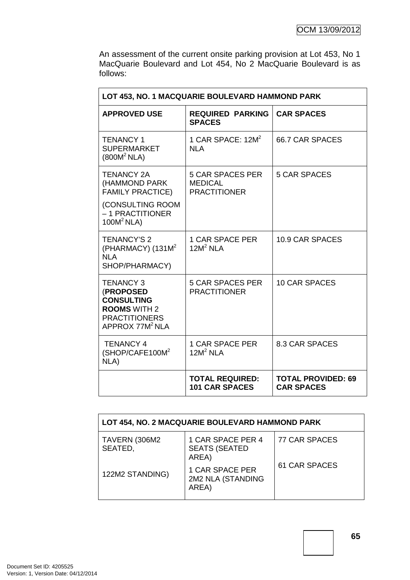An assessment of the current onsite parking provision at Lot 453, No 1 MacQuarie Boulevard and Lot 454, No 2 MacQuarie Boulevard is as follows:

| LOT 453, NO. 1 MACQUARIE BOULEVARD HAMMOND PARK                                                                                  |                                                           |                                                |  |  |  |
|----------------------------------------------------------------------------------------------------------------------------------|-----------------------------------------------------------|------------------------------------------------|--|--|--|
| <b>APPROVED USE</b>                                                                                                              | <b>REQUIRED PARKING</b><br><b>SPACES</b>                  | <b>CAR SPACES</b>                              |  |  |  |
| <b>TENANCY 1</b><br><b>SUPERMARKET</b><br>(800M <sup>2</sup> NLA)                                                                | 1 CAR SPACE: 12M <sup>2</sup><br><b>NLA</b>               | 66.7 CAR SPACES                                |  |  |  |
| <b>TENANCY 2A</b><br>(HAMMOND PARK<br><b>FAMILY PRACTICE)</b><br>(CONSULTING ROOM<br>- 1 PRACTITIONER<br>100M <sup>2</sup> NLA   | 5 CAR SPACES PER<br><b>MEDICAL</b><br><b>PRACTITIONER</b> | 5 CAR SPACES                                   |  |  |  |
| <b>TENANCY'S 2</b><br>(PHARMACY) $(131M2)$<br><b>NLA</b><br>SHOP/PHARMACY)                                                       | <b>1 CAR SPACE PER</b><br>12M <sup>2</sup> NLA            | 10.9 CAR SPACES                                |  |  |  |
| <b>TENANCY 3</b><br>(PROPOSED<br><b>CONSULTING</b><br><b>ROOMS WITH 2</b><br><b>PRACTITIONERS</b><br>APPROX 77M <sup>2</sup> NLA | <b>5 CAR SPACES PER</b><br><b>PRACTITIONER</b>            | 10 CAR SPACES                                  |  |  |  |
| <b>TENANCY 4</b><br>(SHOP/CAFE100M <sup>2</sup> )<br>NLA)                                                                        | 1 CAR SPACE PER<br>12M <sup>2</sup> NLA                   | <b>8.3 CAR SPACES</b>                          |  |  |  |
|                                                                                                                                  | <b>TOTAL REQUIRED:</b><br><b>101 CAR SPACES</b>           | <b>TOTAL PROVIDED: 69</b><br><b>CAR SPACES</b> |  |  |  |

| LOT 454, NO. 2 MACQUARIE BOULEVARD HAMMOND PARK |                                                      |                                |  |  |  |  |
|-------------------------------------------------|------------------------------------------------------|--------------------------------|--|--|--|--|
| <b>TAVERN (306M2</b><br>SEATED,                 | 1 CAR SPACE PER 4<br><b>SEATS (SEATED</b><br>AREA)   | 77 CAR SPACES<br>61 CAR SPACES |  |  |  |  |
| 122M2 STANDING)                                 | <b>1 CAR SPACE PER</b><br>2M2 NLA (STANDING<br>AREA) |                                |  |  |  |  |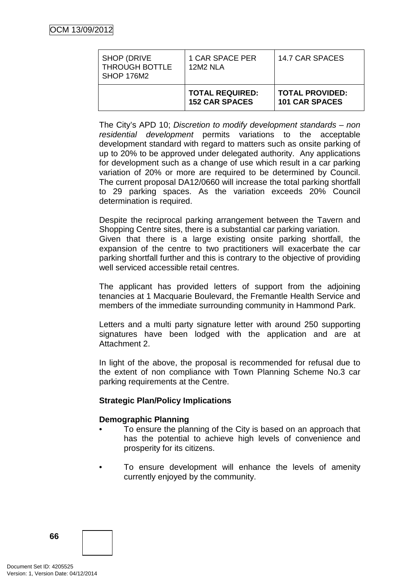| SHOP (DRIVE<br><b>THROUGH BOTTLE</b><br><b>SHOP 176M2</b> | 1 CAR SPACE PER<br><b>12M2 NLA</b>              | 14.7 CAR SPACES                                 |
|-----------------------------------------------------------|-------------------------------------------------|-------------------------------------------------|
|                                                           | <b>TOTAL REQUIRED:</b><br><b>152 CAR SPACES</b> | <b>TOTAL PROVIDED:</b><br><b>101 CAR SPACES</b> |

The City's APD 10; *Discretion to modify development standards – non residential development* permits variations to the acceptable development standard with regard to matters such as onsite parking of up to 20% to be approved under delegated authority. Any applications for development such as a change of use which result in a car parking variation of 20% or more are required to be determined by Council. The current proposal DA12/0660 will increase the total parking shortfall to 29 parking spaces. As the variation exceeds 20% Council determination is required.

Despite the reciprocal parking arrangement between the Tavern and Shopping Centre sites, there is a substantial car parking variation. Given that there is a large existing onsite parking shortfall, the expansion of the centre to two practitioners will exacerbate the car parking shortfall further and this is contrary to the objective of providing well serviced accessible retail centres.

The applicant has provided letters of support from the adjoining tenancies at 1 Macquarie Boulevard, the Fremantle Health Service and members of the immediate surrounding community in Hammond Park.

Letters and a multi party signature letter with around 250 supporting signatures have been lodged with the application and are at Attachment 2.

In light of the above, the proposal is recommended for refusal due to the extent of non compliance with Town Planning Scheme No.3 car parking requirements at the Centre.

### **Strategic Plan/Policy Implications**

### **Demographic Planning**

- To ensure the planning of the City is based on an approach that has the potential to achieve high levels of convenience and prosperity for its citizens.
- To ensure development will enhance the levels of amenity currently enjoyed by the community.



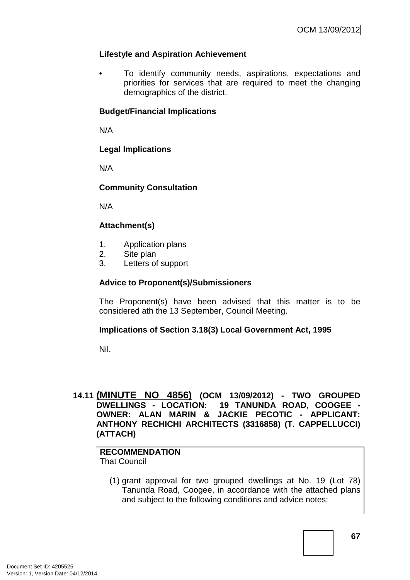# **Lifestyle and Aspiration Achievement**

• To identify community needs, aspirations, expectations and priorities for services that are required to meet the changing demographics of the district.

# **Budget/Financial Implications**

N/A

# **Legal Implications**

N/A

# **Community Consultation**

N/A

# **Attachment(s)**

- 1. Application plans
- 2. Site plan
- 3. Letters of support

# **Advice to Proponent(s)/Submissioners**

The Proponent(s) have been advised that this matter is to be considered ath the 13 September, Council Meeting.

### **Implications of Section 3.18(3) Local Government Act, 1995**

Nil.

### **14.11 (MINUTE NO 4856) (OCM 13/09/2012) - TWO GROUPED DWELLINGS - LOCATION: 19 TANUNDA ROAD, COOGEE - OWNER: ALAN MARIN & JACKIE PECOTIC - APPLICANT: ANTHONY RECHICHI ARCHITECTS (3316858) (T. CAPPELLUCCI) (ATTACH)**

### **RECOMMENDATION** That Council

(1) grant approval for two grouped dwellings at No. 19 (Lot 78) Tanunda Road, Coogee, in accordance with the attached plans and subject to the following conditions and advice notes: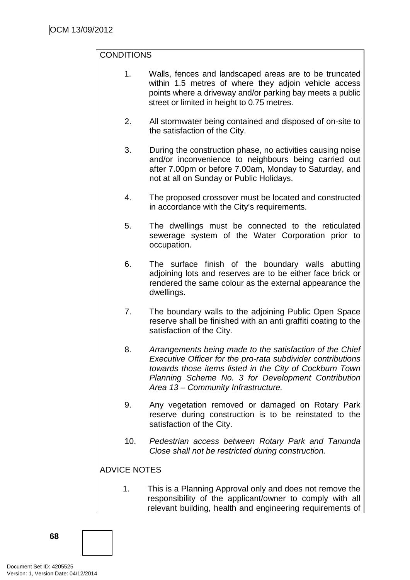# **CONDITIONS**

- 1. Walls, fences and landscaped areas are to be truncated within 1.5 metres of where they adjoin vehicle access points where a driveway and/or parking bay meets a public street or limited in height to 0.75 metres.
- 2. All stormwater being contained and disposed of on-site to the satisfaction of the City.
- 3. During the construction phase, no activities causing noise and/or inconvenience to neighbours being carried out after 7.00pm or before 7.00am, Monday to Saturday, and not at all on Sunday or Public Holidays.
- 4. The proposed crossover must be located and constructed in accordance with the City's requirements.
- 5. The dwellings must be connected to the reticulated sewerage system of the Water Corporation prior to occupation.
- 6. The surface finish of the boundary walls abutting adjoining lots and reserves are to be either face brick or rendered the same colour as the external appearance the dwellings.
- 7. The boundary walls to the adjoining Public Open Space reserve shall be finished with an anti graffiti coating to the satisfaction of the City.
- 8. *Arrangements being made to the satisfaction of the Chief Executive Officer for the pro-rata subdivider contributions towards those items listed in the City of Cockburn Town Planning Scheme No. 3 for Development Contribution Area 13 – Community Infrastructure.*
- 9. Any vegetation removed or damaged on Rotary Park reserve during construction is to be reinstated to the satisfaction of the City.
- 10. *Pedestrian access between Rotary Park and Tanunda Close shall not be restricted during construction.*

# ADVICE NOTES

1. This is a Planning Approval only and does not remove the responsibility of the applicant/owner to comply with all relevant building, health and engineering requirements of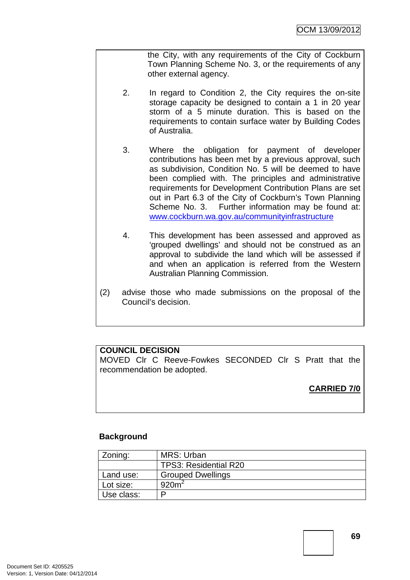the City, with any requirements of the City of Cockburn Town Planning Scheme No. 3, or the requirements of any other external agency.

- 2. In regard to Condition 2, the City requires the on-site storage capacity be designed to contain a 1 in 20 year storm of a 5 minute duration. This is based on the requirements to contain surface water by Building Codes of Australia.
- 3. Where the obligation for payment of developer contributions has been met by a previous approval, such as subdivision, Condition No. 5 will be deemed to have been complied with. The principles and administrative requirements for Development Contribution Plans are set out in Part 6.3 of the City of Cockburn's Town Planning Scheme No. 3. Further information may be found at: [www.cockburn.wa.gov.au/communityinfrastructure](http://www.cockburn.wa.gov.au/communityinfrastructure)
- 4. This development has been assessed and approved as 'grouped dwellings' and should not be construed as an approval to subdivide the land which will be assessed if and when an application is referred from the Western Australian Planning Commission.
- (2) advise those who made submissions on the proposal of the Council's decision.

## **COUNCIL DECISION**

MOVED Clr C Reeve-Fowkes SECONDED Clr S Pratt that the recommendation be adopted.

## **CARRIED 7/0**

### **Background**

| Zoning:    | MRS: Urban                   |
|------------|------------------------------|
|            | <b>TPS3: Residential R20</b> |
| Land use:  | <b>Grouped Dwellings</b>     |
| Lot size:  | 920m <sup>2</sup>            |
| Use class: |                              |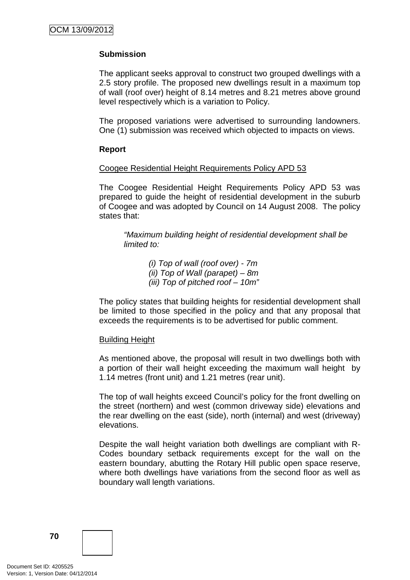## **Submission**

The applicant seeks approval to construct two grouped dwellings with a 2.5 story profile. The proposed new dwellings result in a maximum top of wall (roof over) height of 8.14 metres and 8.21 metres above ground level respectively which is a variation to Policy.

The proposed variations were advertised to surrounding landowners. One (1) submission was received which objected to impacts on views.

#### **Report**

#### Coogee Residential Height Requirements Policy APD 53

The Coogee Residential Height Requirements Policy APD 53 was prepared to guide the height of residential development in the suburb of Coogee and was adopted by Council on 14 August 2008. The policy states that:

*"Maximum building height of residential development shall be limited to:*

> *(i) Top of wall (roof over) - 7m (ii) Top of Wall (parapet) – 8m (iii) Top of pitched roof – 10m"*

The policy states that building heights for residential development shall be limited to those specified in the policy and that any proposal that exceeds the requirements is to be advertised for public comment.

#### Building Height

As mentioned above, the proposal will result in two dwellings both with a portion of their wall height exceeding the maximum wall height by 1.14 metres (front unit) and 1.21 metres (rear unit).

The top of wall heights exceed Council's policy for the front dwelling on the street (northern) and west (common driveway side) elevations and the rear dwelling on the east (side), north (internal) and west (driveway) elevations.

Despite the wall height variation both dwellings are compliant with R-Codes boundary setback requirements except for the wall on the eastern boundary, abutting the Rotary Hill public open space reserve, where both dwellings have variations from the second floor as well as boundary wall length variations.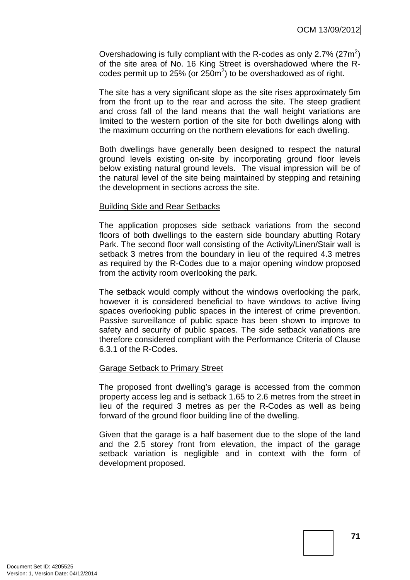Overshadowing is fully compliant with the R-codes as only 2.7% (27 $m^2$ ) of the site area of No. 16 King Street is overshadowed where the Rcodes permit up to 25% (or 250 $m<sup>2</sup>$ ) to be overshadowed as of right.

The site has a very significant slope as the site rises approximately 5m from the front up to the rear and across the site. The steep gradient and cross fall of the land means that the wall height variations are limited to the western portion of the site for both dwellings along with the maximum occurring on the northern elevations for each dwelling.

Both dwellings have generally been designed to respect the natural ground levels existing on-site by incorporating ground floor levels below existing natural ground levels. The visual impression will be of the natural level of the site being maintained by stepping and retaining the development in sections across the site.

#### Building Side and Rear Setbacks

The application proposes side setback variations from the second floors of both dwellings to the eastern side boundary abutting Rotary Park. The second floor wall consisting of the Activity/Linen/Stair wall is setback 3 metres from the boundary in lieu of the required 4.3 metres as required by the R-Codes due to a major opening window proposed from the activity room overlooking the park.

The setback would comply without the windows overlooking the park, however it is considered beneficial to have windows to active living spaces overlooking public spaces in the interest of crime prevention. Passive surveillance of public space has been shown to improve to safety and security of public spaces. The side setback variations are therefore considered compliant with the Performance Criteria of Clause 6.3.1 of the R-Codes.

#### Garage Setback to Primary Street

The proposed front dwelling's garage is accessed from the common property access leg and is setback 1.65 to 2.6 metres from the street in lieu of the required 3 metres as per the R-Codes as well as being forward of the ground floor building line of the dwelling.

Given that the garage is a half basement due to the slope of the land and the 2.5 storey front from elevation, the impact of the garage setback variation is negligible and in context with the form of development proposed.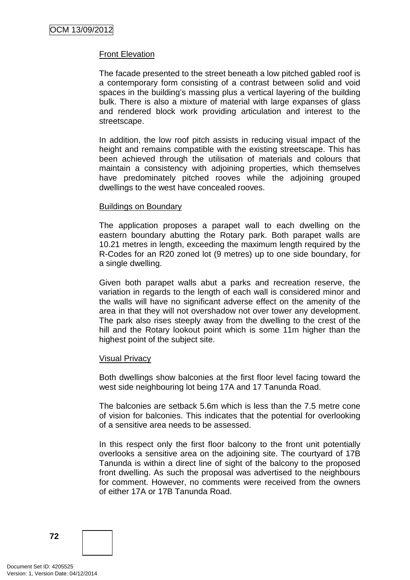### Front Elevation

The facade presented to the street beneath a low pitched gabled roof is a contemporary form consisting of a contrast between solid and void spaces in the building's massing plus a vertical layering of the building bulk. There is also a mixture of material with large expanses of glass and rendered block work providing articulation and interest to the streetscape.

In addition, the low roof pitch assists in reducing visual impact of the height and remains compatible with the existing streetscape. This has been achieved through the utilisation of materials and colours that maintain a consistency with adjoining properties, which themselves have predominately pitched rooves while the adjoining grouped dwellings to the west have concealed rooves.

#### Buildings on Boundary

The application proposes a parapet wall to each dwelling on the eastern boundary abutting the Rotary park. Both parapet walls are 10.21 metres in length, exceeding the maximum length required by the R-Codes for an R20 zoned lot (9 metres) up to one side boundary, for a single dwelling.

Given both parapet walls abut a parks and recreation reserve, the variation in regards to the length of each wall is considered minor and the walls will have no significant adverse effect on the amenity of the area in that they will not overshadow not over tower any development. The park also rises steeply away from the dwelling to the crest of the hill and the Rotary lookout point which is some 11m higher than the highest point of the subject site.

#### Visual Privacy

Both dwellings show balconies at the first floor level facing toward the west side neighbouring lot being 17A and 17 Tanunda Road.

The balconies are setback 5.6m which is less than the 7.5 metre cone of vision for balconies. This indicates that the potential for overlooking of a sensitive area needs to be assessed.

In this respect only the first floor balcony to the front unit potentially overlooks a sensitive area on the adjoining site. The courtyard of 17B Tanunda is within a direct line of sight of the balcony to the proposed front dwelling. As such the proposal was advertised to the neighbours for comment. However, no comments were received from the owners of either 17A or 17B Tanunda Road.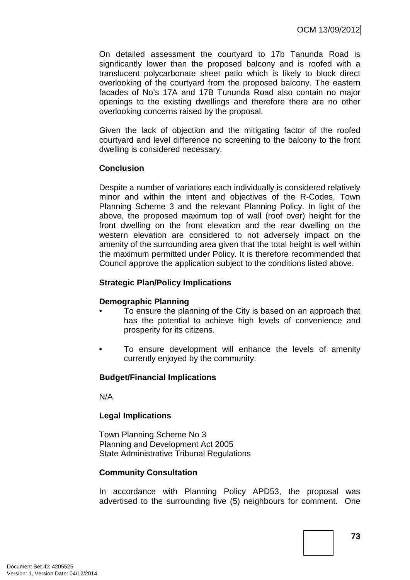On detailed assessment the courtyard to 17b Tanunda Road is significantly lower than the proposed balcony and is roofed with a translucent polycarbonate sheet patio which is likely to block direct overlooking of the courtyard from the proposed balcony. The eastern facades of No's 17A and 17B Tununda Road also contain no major openings to the existing dwellings and therefore there are no other overlooking concerns raised by the proposal.

Given the lack of objection and the mitigating factor of the roofed courtyard and level difference no screening to the balcony to the front dwelling is considered necessary.

### **Conclusion**

Despite a number of variations each individually is considered relatively minor and within the intent and objectives of the R-Codes, Town Planning Scheme 3 and the relevant Planning Policy. In light of the above, the proposed maximum top of wall (roof over) height for the front dwelling on the front elevation and the rear dwelling on the western elevation are considered to not adversely impact on the amenity of the surrounding area given that the total height is well within the maximum permitted under Policy. It is therefore recommended that Council approve the application subject to the conditions listed above.

### **Strategic Plan/Policy Implications**

### **Demographic Planning**

- To ensure the planning of the City is based on an approach that has the potential to achieve high levels of convenience and prosperity for its citizens.
- To ensure development will enhance the levels of amenity currently enjoyed by the community.

### **Budget/Financial Implications**

N/A

## **Legal Implications**

Town Planning Scheme No 3 Planning and Development Act 2005 State Administrative Tribunal Regulations

### **Community Consultation**

In accordance with Planning Policy APD53, the proposal was advertised to the surrounding five (5) neighbours for comment. One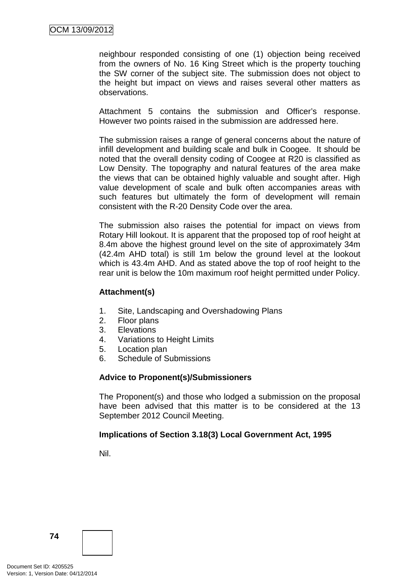neighbour responded consisting of one (1) objection being received from the owners of No. 16 King Street which is the property touching the SW corner of the subject site. The submission does not object to the height but impact on views and raises several other matters as observations.

Attachment 5 contains the submission and Officer's response. However two points raised in the submission are addressed here.

The submission raises a range of general concerns about the nature of infill development and building scale and bulk in Coogee. It should be noted that the overall density coding of Coogee at R20 is classified as Low Density. The topography and natural features of the area make the views that can be obtained highly valuable and sought after. High value development of scale and bulk often accompanies areas with such features but ultimately the form of development will remain consistent with the R-20 Density Code over the area.

The submission also raises the potential for impact on views from Rotary Hill lookout. It is apparent that the proposed top of roof height at 8.4m above the highest ground level on the site of approximately 34m (42.4m AHD total) is still 1m below the ground level at the lookout which is 43.4m AHD. And as stated above the top of roof height to the rear unit is below the 10m maximum roof height permitted under Policy.

#### **Attachment(s)**

- 1. Site, Landscaping and Overshadowing Plans
- 2. Floor plans
- 3. Elevations
- 4. Variations to Height Limits
- 5. Location plan
- 6. Schedule of Submissions

### **Advice to Proponent(s)/Submissioners**

The Proponent(s) and those who lodged a submission on the proposal have been advised that this matter is to be considered at the 13 September 2012 Council Meeting.

### **Implications of Section 3.18(3) Local Government Act, 1995**

Nil.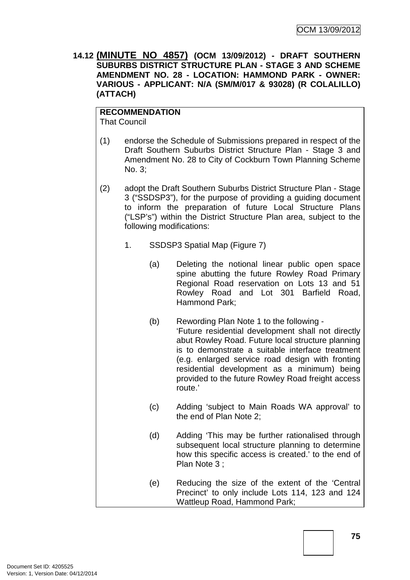**14.12 (MINUTE NO 4857) (OCM 13/09/2012) - DRAFT SOUTHERN SUBURBS DISTRICT STRUCTURE PLAN - STAGE 3 AND SCHEME AMENDMENT NO. 28 - LOCATION: HAMMOND PARK - OWNER: VARIOUS - APPLICANT: N/A (SM/M/017 & 93028) (R COLALILLO) (ATTACH)**

#### **RECOMMENDATION** That Council

- (1) endorse the Schedule of Submissions prepared in respect of the Draft Southern Suburbs District Structure Plan - Stage 3 and Amendment No. 28 to City of Cockburn Town Planning Scheme No. 3;
- (2) adopt the Draft Southern Suburbs District Structure Plan Stage 3 ("SSDSP3"), for the purpose of providing a guiding document to inform the preparation of future Local Structure Plans ("LSP's") within the District Structure Plan area, subject to the following modifications:
	- 1. SSDSP3 Spatial Map (Figure 7)
		- (a) Deleting the notional linear public open space spine abutting the future Rowley Road Primary Regional Road reservation on Lots 13 and 51 Rowley Road and Lot 301 Barfield Road, Hammond Park;
		- (b) Rewording Plan Note 1 to the following 'Future residential development shall not directly abut Rowley Road. Future local structure planning is to demonstrate a suitable interface treatment (e.g. enlarged service road design with fronting residential development as a minimum) being provided to the future Rowley Road freight access route.'
		- (c) Adding 'subject to Main Roads WA approval' to the end of Plan Note 2;
		- (d) Adding 'This may be further rationalised through subsequent local structure planning to determine how this specific access is created.' to the end of Plan Note 3 ;
		- (e) Reducing the size of the extent of the 'Central Precinct' to only include Lots 114, 123 and 124 Wattleup Road, Hammond Park;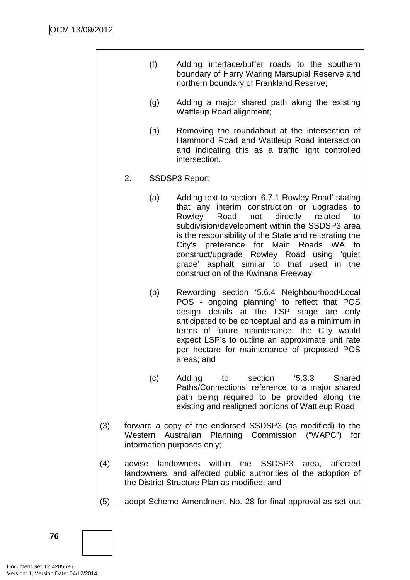|     |         | (f) | Adding interface/buffer roads to the southern<br>boundary of Harry Waring Marsupial Reserve and<br>northern boundary of Frankland Reserve;                                                                                                                                                                                                                                                                                                                         |
|-----|---------|-----|--------------------------------------------------------------------------------------------------------------------------------------------------------------------------------------------------------------------------------------------------------------------------------------------------------------------------------------------------------------------------------------------------------------------------------------------------------------------|
|     |         | (g) | Adding a major shared path along the existing<br>Wattleup Road alignment;                                                                                                                                                                                                                                                                                                                                                                                          |
|     |         | (h) | Removing the roundabout at the intersection of<br>Hammond Road and Wattleup Road intersection<br>and indicating this as a traffic light controlled<br>intersection.                                                                                                                                                                                                                                                                                                |
|     | 2.      |     | <b>SSDSP3 Report</b>                                                                                                                                                                                                                                                                                                                                                                                                                                               |
|     |         | (a) | Adding text to section '6.7.1 Rowley Road' stating<br>that any interim construction or upgrades<br>to<br>Road<br>directly<br>Rowley<br>not<br>related<br>to<br>subdivision/development within the SSDSP3 area<br>is the responsibility of the State and reiterating the<br>City's preference for Main Roads<br><b>WA</b><br>to<br>construct/upgrade Rowley Road using 'quiet<br>grade' asphalt similar to that used in the<br>construction of the Kwinana Freeway; |
|     |         | (b) | Rewording section '5.6.4 Neighbourhood/Local<br>POS - ongoing planning' to reflect that POS<br>design details at the LSP stage are<br>only<br>anticipated to be conceptual and as a minimum in<br>terms of future maintenance, the City would<br>expect LSP's to outline an approximate unit rate<br>per hectare for maintenance of proposed POS<br>areas; and                                                                                                     |
|     |         | (c) | Shared<br>Adding<br>section<br>5.3.3<br>to<br>Paths/Connections' reference to a major shared<br>path being required to be provided along the<br>existing and realigned portions of Wattleup Road.                                                                                                                                                                                                                                                                  |
| (3) | Western |     | forward a copy of the endorsed SSDSP3 (as modified) to the<br>Australian Planning Commission ("WAPC") for<br>information purposes only;                                                                                                                                                                                                                                                                                                                            |
| (4) | advise  |     | landowners<br>within the SSDSP3 area, affected<br>landowners, and affected public authorities of the adoption of<br>the District Structure Plan as modified; and                                                                                                                                                                                                                                                                                                   |
| (5) |         |     | adopt Scheme Amendment No. 28 for final approval as set out                                                                                                                                                                                                                                                                                                                                                                                                        |
|     |         |     |                                                                                                                                                                                                                                                                                                                                                                                                                                                                    |

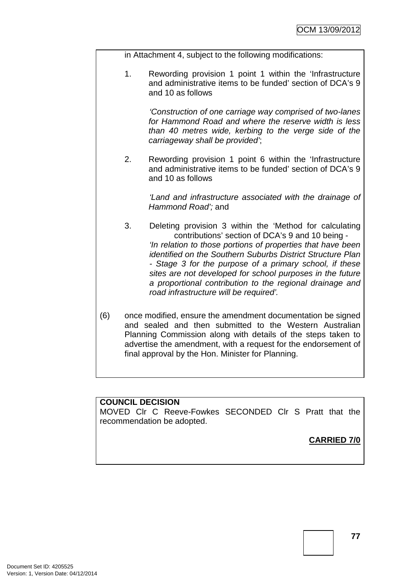in Attachment 4, subject to the following modifications:

1. Rewording provision 1 point 1 within the 'Infrastructure and administrative items to be funded' section of DCA's 9 and 10 as follows

> *'Construction of one carriage way comprised of two-lanes for Hammond Road and where the reserve width is less than 40 metres wide, kerbing to the verge side of the carriageway shall be provided'*;

2. Rewording provision 1 point 6 within the 'Infrastructure and administrative items to be funded' section of DCA's 9 and 10 as follows

> *'Land and infrastructure associated with the drainage of Hammond Road';* and

- 3. Deleting provision 3 within the 'Method for calculating contributions' section of DCA's 9 and 10 being - *'In relation to those portions of properties that have been identified on the Southern Suburbs District Structure Plan - Stage 3 for the purpose of a primary school, if these sites are not developed for school purposes in the future a proportional contribution to the regional drainage and road infrastructure will be required'.*
- (6) once modified, ensure the amendment documentation be signed and sealed and then submitted to the Western Australian Planning Commission along with details of the steps taken to advertise the amendment, with a request for the endorsement of final approval by the Hon. Minister for Planning.

### **COUNCIL DECISION**

MOVED Clr C Reeve-Fowkes SECONDED Clr S Pratt that the recommendation be adopted.

**CARRIED 7/0**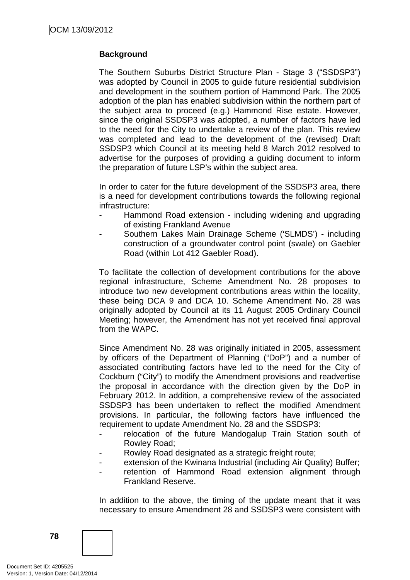## **Background**

The Southern Suburbs District Structure Plan - Stage 3 ("SSDSP3") was adopted by Council in 2005 to guide future residential subdivision and development in the southern portion of Hammond Park. The 2005 adoption of the plan has enabled subdivision within the northern part of the subject area to proceed (e.g.) Hammond Rise estate. However, since the original SSDSP3 was adopted, a number of factors have led to the need for the City to undertake a review of the plan. This review was completed and lead to the development of the (revised) Draft SSDSP3 which Council at its meeting held 8 March 2012 resolved to advertise for the purposes of providing a guiding document to inform the preparation of future LSP's within the subject area.

In order to cater for the future development of the SSDSP3 area, there is a need for development contributions towards the following regional infrastructure:

- Hammond Road extension including widening and upgrading of existing Frankland Avenue
- Southern Lakes Main Drainage Scheme ('SLMDS') including construction of a groundwater control point (swale) on Gaebler Road (within Lot 412 Gaebler Road).

To facilitate the collection of development contributions for the above regional infrastructure, Scheme Amendment No. 28 proposes to introduce two new development contributions areas within the locality, these being DCA 9 and DCA 10. Scheme Amendment No. 28 was originally adopted by Council at its 11 August 2005 Ordinary Council Meeting; however, the Amendment has not yet received final approval from the WAPC.

Since Amendment No. 28 was originally initiated in 2005, assessment by officers of the Department of Planning ("DoP") and a number of associated contributing factors have led to the need for the City of Cockburn ("City") to modify the Amendment provisions and readvertise the proposal in accordance with the direction given by the DoP in February 2012. In addition, a comprehensive review of the associated SSDSP3 has been undertaken to reflect the modified Amendment provisions. In particular, the following factors have influenced the requirement to update Amendment No. 28 and the SSDSP3:

- relocation of the future Mandogalup Train Station south of Rowley Road;
- Rowley Road designated as a strategic freight route;
- extension of the Kwinana Industrial (including Air Quality) Buffer;
- retention of Hammond Road extension alignment through Frankland Reserve.

In addition to the above, the timing of the update meant that it was necessary to ensure Amendment 28 and SSDSP3 were consistent with

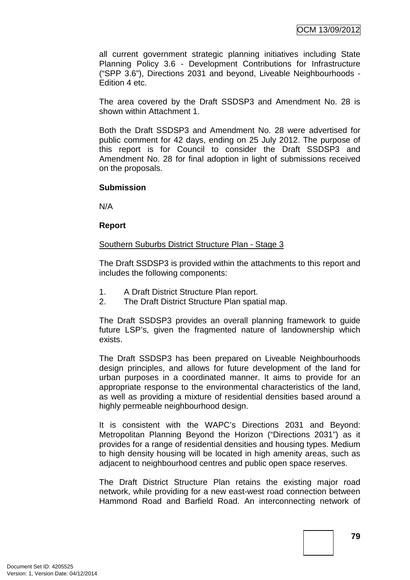all current government strategic planning initiatives including State Planning Policy 3.6 - Development Contributions for Infrastructure ("SPP 3.6"), Directions 2031 and beyond, Liveable Neighbourhoods - Edition 4 etc.

The area covered by the Draft SSDSP3 and Amendment No. 28 is shown within Attachment 1.

Both the Draft SSDSP3 and Amendment No. 28 were advertised for public comment for 42 days, ending on 25 July 2012. The purpose of this report is for Council to consider the Draft SSDSP3 and Amendment No. 28 for final adoption in light of submissions received on the proposals.

#### **Submission**

N/A

**Report**

### Southern Suburbs District Structure Plan - Stage 3

The Draft SSDSP3 is provided within the attachments to this report and includes the following components:

- 1. A Draft District Structure Plan report.
- 2. The Draft District Structure Plan spatial map.

The Draft SSDSP3 provides an overall planning framework to guide future LSP's, given the fragmented nature of landownership which exists.

The Draft SSDSP3 has been prepared on Liveable Neighbourhoods design principles, and allows for future development of the land for urban purposes in a coordinated manner. It aims to provide for an appropriate response to the environmental characteristics of the land, as well as providing a mixture of residential densities based around a highly permeable neighbourhood design.

It is consistent with the WAPC's Directions 2031 and Beyond: Metropolitan Planning Beyond the Horizon ("Directions 2031") as it provides for a range of residential densities and housing types. Medium to high density housing will be located in high amenity areas, such as adjacent to neighbourhood centres and public open space reserves.

The Draft District Structure Plan retains the existing major road network, while providing for a new east-west road connection between Hammond Road and Barfield Road. An interconnecting network of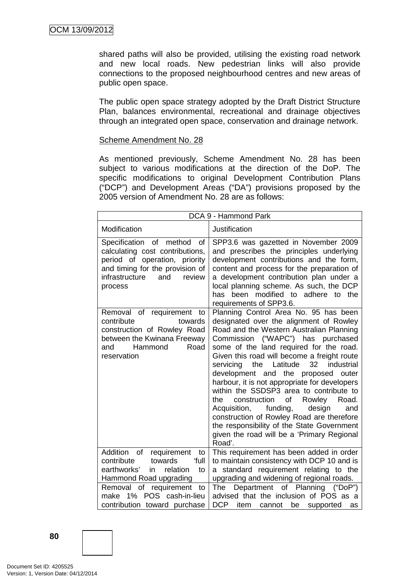shared paths will also be provided, utilising the existing road network and new local roads. New pedestrian links will also provide connections to the proposed neighbourhood centres and new areas of public open space.

The public open space strategy adopted by the Draft District Structure Plan, balances environmental, recreational and drainage objectives through an integrated open space, conservation and drainage network.

#### Scheme Amendment No. 28

As mentioned previously, Scheme Amendment No. 28 has been subject to various modifications at the direction of the DoP. The specific modifications to original Development Contribution Plans ("DCP") and Development Areas ("DA") provisions proposed by the 2005 version of Amendment No. 28 are as follows:

| DCA 9 - Hammond Park                                                                                                                                                                     |                                                                                                                                                                                                                                                                                                                                                                                                                                                                                                                                                                                                                                                                                                            |  |  |
|------------------------------------------------------------------------------------------------------------------------------------------------------------------------------------------|------------------------------------------------------------------------------------------------------------------------------------------------------------------------------------------------------------------------------------------------------------------------------------------------------------------------------------------------------------------------------------------------------------------------------------------------------------------------------------------------------------------------------------------------------------------------------------------------------------------------------------------------------------------------------------------------------------|--|--|
| Modification                                                                                                                                                                             | Justification                                                                                                                                                                                                                                                                                                                                                                                                                                                                                                                                                                                                                                                                                              |  |  |
| of<br>of<br>Specification<br>method<br>calculating cost contributions,<br>period of operation, priority<br>and timing for the provision of<br>infrastructure<br>review<br>and<br>process | SPP3.6 was gazetted in November 2009<br>and prescribes the principles underlying<br>development contributions and the form,<br>content and process for the preparation of<br>a development contribution plan under a<br>local planning scheme. As such, the DCP<br>been modified to adhere to the<br>has<br>requirements of SPP3.6.                                                                                                                                                                                                                                                                                                                                                                        |  |  |
| Removal of requirement<br>to<br>contribute<br>towards<br>construction of Rowley Road<br>between the Kwinana Freeway<br>Hammond<br>Road<br>and<br>reservation                             | Planning Control Area No. 95 has been<br>designated over the alignment of Rowley<br>Road and the Western Australian Planning<br>Commission ("WAPC") has purchased<br>some of the land required for the road.<br>Given this road will become a freight route<br>the<br>Latitude<br>industrial<br>servicing<br>32<br>development and<br>the<br>proposed<br>outer<br>harbour, it is not appropriate for developers<br>within the SSDSP3 area to contribute to<br>construction<br>of<br>the<br>Rowley<br>Road.<br>funding,<br>Acquisition,<br>design<br>and<br>construction of Rowley Road are therefore<br>the responsibility of the State Government<br>given the road will be a 'Primary Regional<br>Road'. |  |  |
| Addition<br>of<br>requirement<br>to<br>contribute<br>'full<br>towards<br>earthworks'<br>relation<br>to<br>in.<br>Hammond Road upgrading                                                  | This requirement has been added in order<br>to maintain consistency with DCP 10 and is<br>a standard requirement relating to the<br>upgrading and widening of regional roads.                                                                                                                                                                                                                                                                                                                                                                                                                                                                                                                              |  |  |
| Removal<br>requirement<br>of<br>to<br>make 1% POS cash-in-lieu<br>contribution toward purchase                                                                                           | Department of Planning<br>("DoP")<br><b>The</b><br>advised that the inclusion of POS as a<br><b>DCP</b><br>item<br>be<br>supported<br>cannot<br>as                                                                                                                                                                                                                                                                                                                                                                                                                                                                                                                                                         |  |  |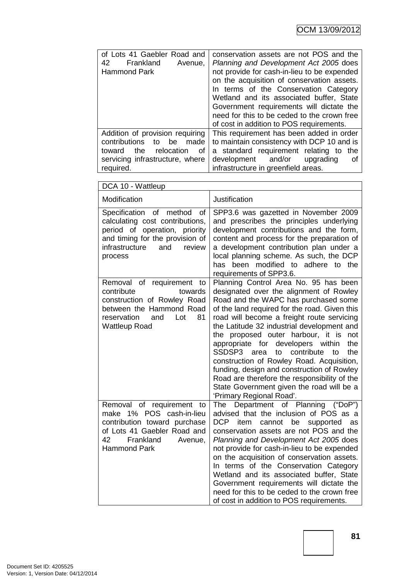| of Lots 41 Gaebler Road and<br>42<br>Frankland<br>Avenue,<br><b>Hammond Park</b>                                                             | conservation assets are not POS and the<br>Planning and Development Act 2005 does<br>not provide for cash-in-lieu to be expended<br>on the acquisition of conservation assets.<br>In terms of the Conservation Category<br>Wetland and its associated buffer, State<br>Government requirements will dictate the<br>need for this to be ceded to the crown free<br>of cost in addition to POS requirements. |  |  |
|----------------------------------------------------------------------------------------------------------------------------------------------|------------------------------------------------------------------------------------------------------------------------------------------------------------------------------------------------------------------------------------------------------------------------------------------------------------------------------------------------------------------------------------------------------------|--|--|
| Addition of provision requiring<br>contributions<br>be<br>made<br>to<br>relocation<br>οf<br>toward<br>the<br>servicing infrastructure, where | This requirement has been added in order<br>to maintain consistency with DCP 10 and is<br>a standard requirement relating to the<br>development and/or upgrading<br>. of                                                                                                                                                                                                                                   |  |  |
| required.                                                                                                                                    | infrastructure in greenfield areas.                                                                                                                                                                                                                                                                                                                                                                        |  |  |

| DCA 10 - Wattleup                                                                                                                                                                  |                                                                                                                                                                                                                                                                                                                                                                                                                                                                                                                                                                                                                                      |
|------------------------------------------------------------------------------------------------------------------------------------------------------------------------------------|--------------------------------------------------------------------------------------------------------------------------------------------------------------------------------------------------------------------------------------------------------------------------------------------------------------------------------------------------------------------------------------------------------------------------------------------------------------------------------------------------------------------------------------------------------------------------------------------------------------------------------------|
| Modification                                                                                                                                                                       | <b>Justification</b>                                                                                                                                                                                                                                                                                                                                                                                                                                                                                                                                                                                                                 |
| Specification of method<br>of<br>calculating cost contributions,<br>period of operation, priority<br>and timing for the provision of<br>infrastructure<br>review<br>and<br>process | SPP3.6 was gazetted in November 2009<br>and prescribes the principles underlying<br>development contributions and the form,<br>content and process for the preparation of<br>a development contribution plan under a<br>local planning scheme. As such, the DCP<br>been modified to adhere to the<br>has<br>requirements of SPP3.6.                                                                                                                                                                                                                                                                                                  |
| Removal of requirement<br>to<br>contribute<br>towards<br>construction of Rowley Road<br>between the Hammond Road<br>reservation<br>81<br>and<br>Lot<br><b>Wattleup Road</b>        | Planning Control Area No. 95 has been<br>designated over the alignment of Rowley<br>Road and the WAPC has purchased some<br>of the land required for the road. Given this<br>road will become a freight route servicing<br>the Latitude 32 industrial development and<br>the proposed outer harbour, it is<br>not<br>appropriate for developers<br>within<br>the<br>SSDSP3 area<br>contribute<br>to<br>the<br>to<br>construction of Rowley Road. Acquisition,<br>funding, design and construction of Rowley<br>Road are therefore the responsibility of the<br>State Government given the road will be a<br>'Primary Regional Road'. |
| Removal of requirement<br>to<br>make 1% POS cash-in-lieu<br>contribution toward purchase<br>of Lots 41 Gaebler Road and<br>42<br>Frankland<br>Avenue,<br><b>Hammond Park</b>       | ("DoP")<br>Department of Planning<br>The<br>advised that the inclusion of POS as a<br>item<br>be<br>DCP.<br>cannot<br>supported<br>as<br>conservation assets are not POS and the<br>Planning and Development Act 2005 does<br>not provide for cash-in-lieu to be expended<br>on the acquisition of conservation assets.<br>In terms of the Conservation Category<br>Wetland and its associated buffer, State<br>Government requirements will dictate the<br>need for this to be ceded to the crown free<br>of cost in addition to POS requirements.                                                                                  |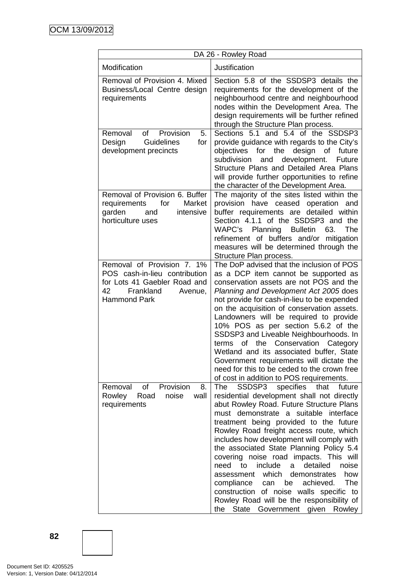| DA 26 - Rowley Road                                                                                                                              |                                                                                                                                                                                                                                                                                                                                                                                                                                                                                                                                                                                                                                                                                                         |  |  |
|--------------------------------------------------------------------------------------------------------------------------------------------------|---------------------------------------------------------------------------------------------------------------------------------------------------------------------------------------------------------------------------------------------------------------------------------------------------------------------------------------------------------------------------------------------------------------------------------------------------------------------------------------------------------------------------------------------------------------------------------------------------------------------------------------------------------------------------------------------------------|--|--|
| Modification                                                                                                                                     | <b>Justification</b>                                                                                                                                                                                                                                                                                                                                                                                                                                                                                                                                                                                                                                                                                    |  |  |
| Removal of Provision 4. Mixed<br>Business/Local Centre design<br>requirements                                                                    | Section 5.8 of the SSDSP3 details the<br>requirements for the development of the<br>neighbourhood centre and neighbourhood<br>nodes within the Development Area. The<br>design requirements will be further refined<br>through the Structure Plan process.                                                                                                                                                                                                                                                                                                                                                                                                                                              |  |  |
| Provision<br>Removal<br>of<br>5.<br>Design<br>Guidelines<br>for<br>development precincts                                                         | Sections 5.1 and 5.4 of the SSDSP3<br>provide guidance with regards to the City's<br>objectives for the<br>design of future<br>development.<br>subdivision<br>and<br><b>Future</b><br>Structure Plans and Detailed Area Plans<br>will provide further opportunities to refine<br>the character of the Development Area.                                                                                                                                                                                                                                                                                                                                                                                 |  |  |
| Removal of Provision 6. Buffer<br>Market<br>requirements<br>for<br>garden<br>intensive<br>and<br>horticulture uses                               | The majority of the sites listed within the<br>provision have ceased operation<br>and<br>buffer requirements are detailed within<br>Section 4.1.1 of the SSDSP3 and the<br>WAPC's Planning Bulletin<br>The<br>63.<br>refinement of buffers and/or mitigation<br>measures will be determined through the<br>Structure Plan process.                                                                                                                                                                                                                                                                                                                                                                      |  |  |
| Removal of Provision 7. 1%<br>POS cash-in-lieu contribution<br>for Lots 41 Gaebler Road and<br>Frankland<br>42<br>Avenue,<br><b>Hammond Park</b> | The DoP advised that the inclusion of POS<br>as a DCP item cannot be supported as<br>conservation assets are not POS and the<br>Planning and Development Act 2005 does<br>not provide for cash-in-lieu to be expended<br>on the acquisition of conservation assets.<br>Landowners will be required to provide<br>10% POS as per section 5.6.2 of the<br>SSDSP3 and Liveable Neighbourhoods. In<br>Conservation<br>Category<br>of<br>the<br>terms<br>Wetland and its associated buffer, State<br>Government requirements will dictate the<br>need for this to be ceded to the crown free<br>of cost in addition to POS requirements.                                                                     |  |  |
| of<br>Provision<br>Removal<br>8.<br>Rowley<br>Road<br>noise<br>wall<br>requirements                                                              | specifies<br>SSDSP3<br>that<br>The<br>future<br>residential development shall not directly<br>abut Rowley Road. Future Structure Plans<br>must demonstrate a suitable interface<br>treatment being provided to the future<br>Rowley Road freight access route, which<br>includes how development will comply with<br>the associated State Planning Policy 5.4<br>covering noise road impacts. This will<br>include<br>detailed<br>noise<br>need<br>to<br>a<br>which<br>demonstrates<br>how<br>assessment<br>The<br>compliance<br>achieved.<br>can<br>be<br>construction<br>of noise walls specific to<br>Rowley Road will be the responsibility of<br><b>State</b><br>Government given<br>Rowley<br>the |  |  |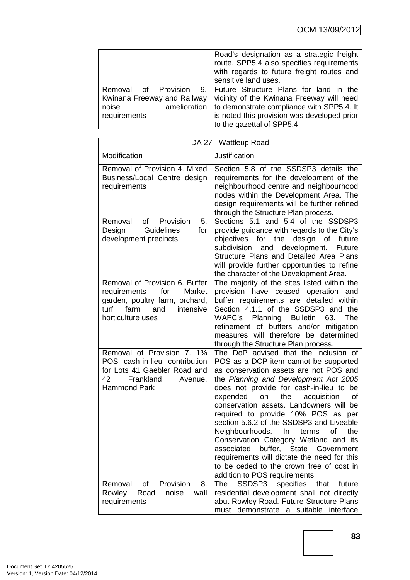|                             | Road's designation as a strategic freight<br>route. SPP5.4 also specifies requirements<br>with regards to future freight routes and<br>sensitive land uses. |
|-----------------------------|-------------------------------------------------------------------------------------------------------------------------------------------------------------|
| Removal of Provision        | 9. Future Structure Plans for land in the                                                                                                                   |
| Kwinana Freeway and Railway | vicinity of the Kwinana Freeway will need                                                                                                                   |
| amelioration                | to demonstrate compliance with SPP5.4. It                                                                                                                   |
| noise                       | is noted this provision was developed prior                                                                                                                 |
| requirements                | to the gazettal of SPP5.4.                                                                                                                                  |

| DA 27 - Wattleup Road                                                                                                                                      |                                                                                                                                                                                                                                                                                                                                                                                                                                                                                                                                                                                                                                                                  |  |  |
|------------------------------------------------------------------------------------------------------------------------------------------------------------|------------------------------------------------------------------------------------------------------------------------------------------------------------------------------------------------------------------------------------------------------------------------------------------------------------------------------------------------------------------------------------------------------------------------------------------------------------------------------------------------------------------------------------------------------------------------------------------------------------------------------------------------------------------|--|--|
| Modification                                                                                                                                               | <b>Justification</b>                                                                                                                                                                                                                                                                                                                                                                                                                                                                                                                                                                                                                                             |  |  |
| Removal of Provision 4. Mixed<br>Business/Local Centre design<br>requirements                                                                              | Section 5.8 of the SSDSP3 details the<br>requirements for the development of the<br>neighbourhood centre and neighbourhood<br>nodes within the Development Area. The<br>design requirements will be further refined<br>through the Structure Plan process.                                                                                                                                                                                                                                                                                                                                                                                                       |  |  |
| of<br>Provision<br>Removal<br>5.<br>Design<br>Guidelines<br>for<br>development precincts                                                                   | Sections 5.1 and 5.4 of the SSDSP3<br>provide guidance with regards to the City's<br>design<br>objectives<br>the<br>of future<br>for<br>development.<br>subdivision<br>Future<br>and<br>Structure Plans and Detailed Area Plans<br>will provide further opportunities to refine<br>the character of the Development Area.                                                                                                                                                                                                                                                                                                                                        |  |  |
| Removal of Provision 6. Buffer<br>requirements<br>for<br>Market<br>garden, poultry farm, orchard,<br>farm<br>and<br>intensive<br>turf<br>horticulture uses | The majority of the sites listed within the<br>provision have ceased operation<br>and<br>buffer requirements are detailed within<br>Section 4.1.1 of the SSDSP3 and the<br>WAPC's Planning<br><b>Bulletin</b><br>63.<br>The<br>refinement of buffers and/or mitigation<br>measures will therefore be determined<br>through the Structure Plan process.                                                                                                                                                                                                                                                                                                           |  |  |
| Removal of Provision 7. 1%<br>POS cash-in-lieu contribution<br>for Lots 41 Gaebler Road and<br>42<br>Frankland<br>Avenue,<br><b>Hammond Park</b>           | The DoP advised that the inclusion of<br>POS as a DCP item cannot be supported<br>as conservation assets are not POS and<br>the Planning and Development Act 2005<br>does not provide for cash-in-lieu to be<br>expended<br>the<br>acquisition<br>0f<br><b>on</b><br>conservation assets. Landowners will be<br>required to provide 10% POS as per<br>section 5.6.2 of the SSDSP3 and Liveable<br>Neighbourhoods.<br>of<br>In.<br>terms<br>the<br>Conservation Category Wetland and its<br>associated<br>buffer, State<br>Government<br>requirements will dictate the need for this<br>to be ceded to the crown free of cost in<br>addition to POS requirements. |  |  |
| of<br>Provision<br>Removal<br>8.<br>Rowley<br>Road<br>wall<br>noise<br>requirements                                                                        | SSDSP3<br>that<br>The<br>specifies<br>future<br>residential development shall not directly<br>abut Rowley Road. Future Structure Plans<br>must demonstrate a suitable<br>interface                                                                                                                                                                                                                                                                                                                                                                                                                                                                               |  |  |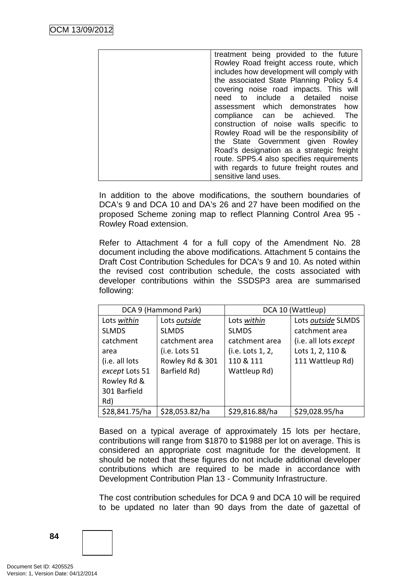| treatment being provided to the future<br>Rowley Road freight access route, which     |
|---------------------------------------------------------------------------------------|
| includes how development will comply with<br>the associated State Planning Policy 5.4 |
| covering noise road impacts. This will                                                |
| need to include a detailed<br>noise                                                   |
| assessment which demonstrates how                                                     |
| compliance can be achieved. The                                                       |
| construction of noise walls specific to                                               |
| Rowley Road will be the responsibility of                                             |
| the State Government given Rowley                                                     |
| Road's designation as a strategic freight                                             |
| route. SPP5.4 also specifies requirements                                             |
| with regards to future freight routes and                                             |
| sensitive land uses.                                                                  |

In addition to the above modifications, the southern boundaries of DCA's 9 and DCA 10 and DA's 26 and 27 have been modified on the proposed Scheme zoning map to reflect Planning Control Area 95 - Rowley Road extension.

Refer to Attachment 4 for a full copy of the Amendment No. 28 document including the above modifications. Attachment 5 contains the Draft Cost Contribution Schedules for DCA's 9 and 10. As noted within the revised cost contribution schedule, the costs associated with developer contributions within the SSDSP3 area are summarised following:

| DCA 9 (Hammond Park) |                   | DCA 10 (Wattleup) |                       |  |
|----------------------|-------------------|-------------------|-----------------------|--|
| Lots within          | Lots outside      | Lots within       | Lots outside SLMDS    |  |
| <b>SLMDS</b>         | <b>SLMDS</b>      | <b>SLMDS</b>      | catchment area        |  |
| catchment            | catchment area    | catchment area    | (i.e. all lots except |  |
| area                 | $(i.e.$ Lots $51$ | (i.e. Lots 1, 2,  | Lots 1, 2, 110 &      |  |
| (i.e. all lots       | Rowley Rd & 301   | 110 & 111         | 111 Wattleup Rd)      |  |
| except Lots 51       | Barfield Rd)      | Wattleup Rd)      |                       |  |
| Rowley Rd &          |                   |                   |                       |  |
| 301 Barfield         |                   |                   |                       |  |
| Rd)                  |                   |                   |                       |  |
| \$28,841.75/ha       | \$28,053.82/ha    | \$29,816.88/ha    | \$29,028.95/ha        |  |

Based on a typical average of approximately 15 lots per hectare, contributions will range from \$1870 to \$1988 per lot on average. This is considered an appropriate cost magnitude for the development. It should be noted that these figures do not include additional developer contributions which are required to be made in accordance with Development Contribution Plan 13 - Community Infrastructure.

The cost contribution schedules for DCA 9 and DCA 10 will be required to be updated no later than 90 days from the date of gazettal of

Document Set ID: 4205525<br>Version: 1, Version Date: 04/12/2014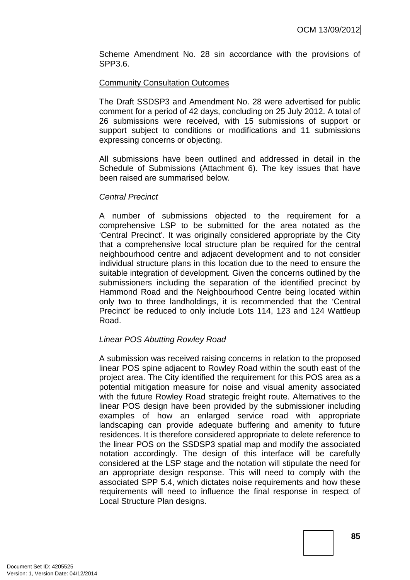Scheme Amendment No. 28 sin accordance with the provisions of SPP3.6.

### Community Consultation Outcomes

The Draft SSDSP3 and Amendment No. 28 were advertised for public comment for a period of 42 days, concluding on 25 July 2012. A total of 26 submissions were received, with 15 submissions of support or support subject to conditions or modifications and 11 submissions expressing concerns or objecting.

All submissions have been outlined and addressed in detail in the Schedule of Submissions (Attachment 6). The key issues that have been raised are summarised below.

### *Central Precinct*

A number of submissions objected to the requirement for a comprehensive LSP to be submitted for the area notated as the 'Central Precinct'. It was originally considered appropriate by the City that a comprehensive local structure plan be required for the central neighbourhood centre and adjacent development and to not consider individual structure plans in this location due to the need to ensure the suitable integration of development. Given the concerns outlined by the submissioners including the separation of the identified precinct by Hammond Road and the Neighbourhood Centre being located within only two to three landholdings, it is recommended that the 'Central Precinct' be reduced to only include Lots 114, 123 and 124 Wattleup Road.

## *Linear POS Abutting Rowley Road*

A submission was received raising concerns in relation to the proposed linear POS spine adjacent to Rowley Road within the south east of the project area. The City identified the requirement for this POS area as a potential mitigation measure for noise and visual amenity associated with the future Rowley Road strategic freight route. Alternatives to the linear POS design have been provided by the submissioner including examples of how an enlarged service road with appropriate landscaping can provide adequate buffering and amenity to future residences. It is therefore considered appropriate to delete reference to the linear POS on the SSDSP3 spatial map and modify the associated notation accordingly. The design of this interface will be carefully considered at the LSP stage and the notation will stipulate the need for an appropriate design response. This will need to comply with the associated SPP 5.4, which dictates noise requirements and how these requirements will need to influence the final response in respect of Local Structure Plan designs.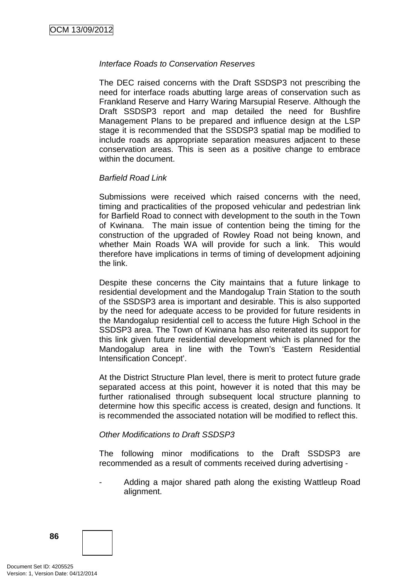#### *Interface Roads to Conservation Reserves*

The DEC raised concerns with the Draft SSDSP3 not prescribing the need for interface roads abutting large areas of conservation such as Frankland Reserve and Harry Waring Marsupial Reserve. Although the Draft SSDSP3 report and map detailed the need for Bushfire Management Plans to be prepared and influence design at the LSP stage it is recommended that the SSDSP3 spatial map be modified to include roads as appropriate separation measures adjacent to these conservation areas. This is seen as a positive change to embrace within the document.

### *Barfield Road Link*

Submissions were received which raised concerns with the need, timing and practicalities of the proposed vehicular and pedestrian link for Barfield Road to connect with development to the south in the Town of Kwinana. The main issue of contention being the timing for the construction of the upgraded of Rowley Road not being known, and whether Main Roads WA will provide for such a link. This would therefore have implications in terms of timing of development adjoining the link.

Despite these concerns the City maintains that a future linkage to residential development and the Mandogalup Train Station to the south of the SSDSP3 area is important and desirable. This is also supported by the need for adequate access to be provided for future residents in the Mandogalup residential cell to access the future High School in the SSDSP3 area. The Town of Kwinana has also reiterated its support for this link given future residential development which is planned for the Mandogalup area in line with the Town's 'Eastern Residential Intensification Concept'.

At the District Structure Plan level, there is merit to protect future grade separated access at this point, however it is noted that this may be further rationalised through subsequent local structure planning to determine how this specific access is created, design and functions. It is recommended the associated notation will be modified to reflect this.

#### *Other Modifications to Draft SSDSP3*

The following minor modifications to the Draft SSDSP3 are recommended as a result of comments received during advertising -

Adding a major shared path along the existing Wattleup Road alignment.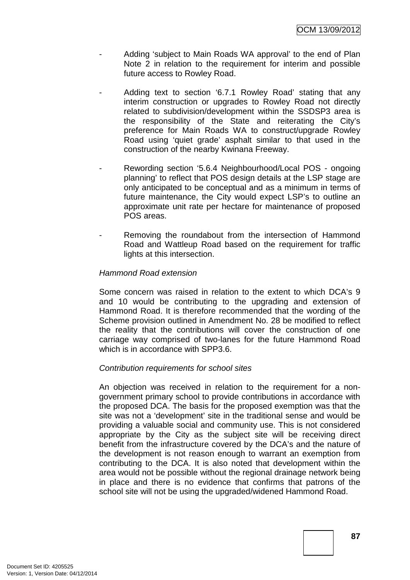- Adding 'subject to Main Roads WA approval' to the end of Plan Note 2 in relation to the requirement for interim and possible future access to Rowley Road.
- Adding text to section '6.7.1 Rowley Road' stating that any interim construction or upgrades to Rowley Road not directly related to subdivision/development within the SSDSP3 area is the responsibility of the State and reiterating the City's preference for Main Roads WA to construct/upgrade Rowley Road using 'quiet grade' asphalt similar to that used in the construction of the nearby Kwinana Freeway.
- Rewording section '5.6.4 Neighbourhood/Local POS ongoing planning' to reflect that POS design details at the LSP stage are only anticipated to be conceptual and as a minimum in terms of future maintenance, the City would expect LSP's to outline an approximate unit rate per hectare for maintenance of proposed POS areas.
- Removing the roundabout from the intersection of Hammond Road and Wattleup Road based on the requirement for traffic lights at this intersection.

### *Hammond Road extension*

Some concern was raised in relation to the extent to which DCA's 9 and 10 would be contributing to the upgrading and extension of Hammond Road. It is therefore recommended that the wording of the Scheme provision outlined in Amendment No. 28 be modified to reflect the reality that the contributions will cover the construction of one carriage way comprised of two-lanes for the future Hammond Road which is in accordance with SPP3.6.

### *Contribution requirements for school sites*

An objection was received in relation to the requirement for a nongovernment primary school to provide contributions in accordance with the proposed DCA. The basis for the proposed exemption was that the site was not a 'development' site in the traditional sense and would be providing a valuable social and community use. This is not considered appropriate by the City as the subject site will be receiving direct benefit from the infrastructure covered by the DCA's and the nature of the development is not reason enough to warrant an exemption from contributing to the DCA. It is also noted that development within the area would not be possible without the regional drainage network being in place and there is no evidence that confirms that patrons of the school site will not be using the upgraded/widened Hammond Road.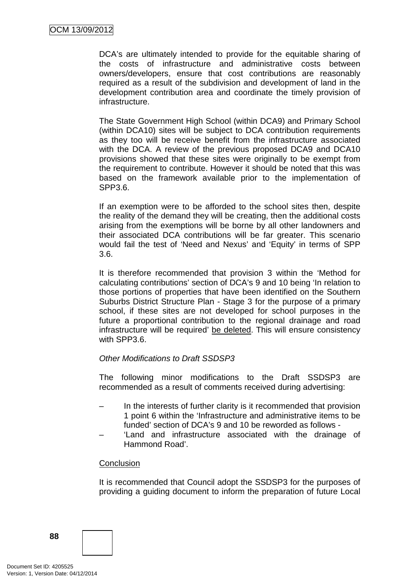DCA's are ultimately intended to provide for the equitable sharing of the costs of infrastructure and administrative costs between owners/developers, ensure that cost contributions are reasonably required as a result of the subdivision and development of land in the development contribution area and coordinate the timely provision of infrastructure.

The State Government High School (within DCA9) and Primary School (within DCA10) sites will be subject to DCA contribution requirements as they too will be receive benefit from the infrastructure associated with the DCA. A review of the previous proposed DCA9 and DCA10 provisions showed that these sites were originally to be exempt from the requirement to contribute. However it should be noted that this was based on the framework available prior to the implementation of SPP3.6.

If an exemption were to be afforded to the school sites then, despite the reality of the demand they will be creating, then the additional costs arising from the exemptions will be borne by all other landowners and their associated DCA contributions will be far greater. This scenario would fail the test of 'Need and Nexus' and 'Equity' in terms of SPP 3.6.

It is therefore recommended that provision 3 within the 'Method for calculating contributions' section of DCA's 9 and 10 being 'In relation to those portions of properties that have been identified on the Southern Suburbs District Structure Plan - Stage 3 for the purpose of a primary school, if these sites are not developed for school purposes in the future a proportional contribution to the regional drainage and road infrastructure will be required' be deleted. This will ensure consistency with SPP3.6.

### *Other Modifications to Draft SSDSP3*

The following minor modifications to the Draft SSDSP3 are recommended as a result of comments received during advertising:

- In the interests of further clarity is it recommended that provision 1 point 6 within the 'Infrastructure and administrative items to be funded' section of DCA's 9 and 10 be reworded as follows -
- 'Land and infrastructure associated with the drainage of Hammond Road'.

#### **Conclusion**

It is recommended that Council adopt the SSDSP3 for the purposes of providing a guiding document to inform the preparation of future Local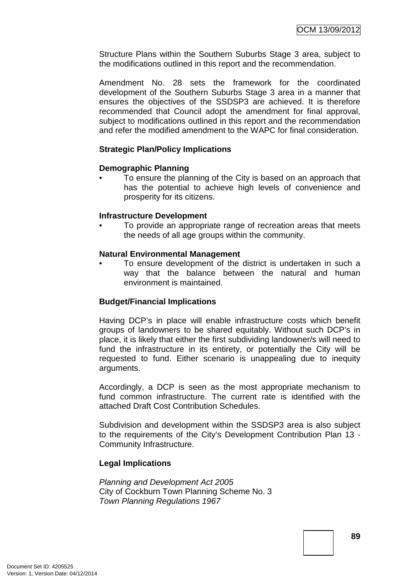Structure Plans within the Southern Suburbs Stage 3 area, subject to the modifications outlined in this report and the recommendation.

Amendment No. 28 sets the framework for the coordinated development of the Southern Suburbs Stage 3 area in a manner that ensures the objectives of the SSDSP3 are achieved. It is therefore recommended that Council adopt the amendment for final approval, subject to modifications outlined in this report and the recommendation and refer the modified amendment to the WAPC for final consideration.

### **Strategic Plan/Policy Implications**

#### **Demographic Planning**

• To ensure the planning of the City is based on an approach that has the potential to achieve high levels of convenience and prosperity for its citizens.

#### **Infrastructure Development**

• To provide an appropriate range of recreation areas that meets the needs of all age groups within the community.

#### **Natural Environmental Management**

To ensure development of the district is undertaken in such a way that the balance between the natural and human environment is maintained.

### **Budget/Financial Implications**

Having DCP's in place will enable infrastructure costs which benefit groups of landowners to be shared equitably. Without such DCP's in place, it is likely that either the first subdividing landowner/s will need to fund the infrastructure in its entirety, or potentially the City will be requested to fund. Either scenario is unappealing due to inequity arguments.

Accordingly, a DCP is seen as the most appropriate mechanism to fund common infrastructure. The current rate is identified with the attached Draft Cost Contribution Schedules.

Subdivision and development within the SSDSP3 area is also subject to the requirements of the City's Development Contribution Plan 13 - Community Infrastructure.

### **Legal Implications**

*Planning and Development Act 2005* City of Cockburn Town Planning Scheme No. 3 *Town Planning Regulations 1967*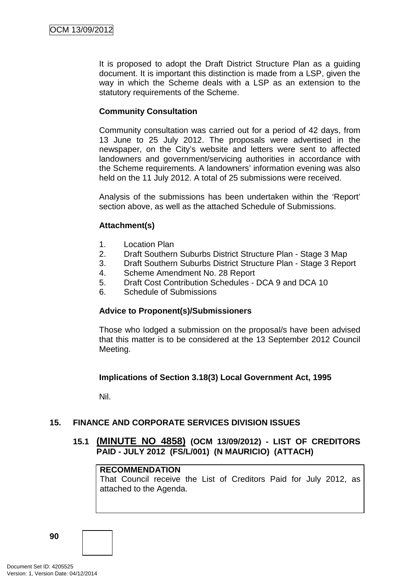It is proposed to adopt the Draft District Structure Plan as a guiding document. It is important this distinction is made from a LSP, given the way in which the Scheme deals with a LSP as an extension to the statutory requirements of the Scheme.

## **Community Consultation**

Community consultation was carried out for a period of 42 days, from 13 June to 25 July 2012. The proposals were advertised in the newspaper, on the City's website and letters were sent to affected landowners and government/servicing authorities in accordance with the Scheme requirements. A landowners' information evening was also held on the 11 July 2012. A total of 25 submissions were received.

Analysis of the submissions has been undertaken within the 'Report' section above, as well as the attached Schedule of Submissions.

## **Attachment(s)**

- 1. Location Plan
- 2. Draft Southern Suburbs District Structure Plan Stage 3 Map
- 3. Draft Southern Suburbs District Structure Plan Stage 3 Report
- 4. Scheme Amendment No. 28 Report
- 5. Draft Cost Contribution Schedules DCA 9 and DCA 10
- 6. Schedule of Submissions

## **Advice to Proponent(s)/Submissioners**

Those who lodged a submission on the proposal/s have been advised that this matter is to be considered at the 13 September 2012 Council Meeting.

### **Implications of Section 3.18(3) Local Government Act, 1995**

Nil.

## **15. FINANCE AND CORPORATE SERVICES DIVISION ISSUES**

**15.1 (MINUTE NO 4858) (OCM 13/09/2012) - LIST OF CREDITORS PAID - JULY 2012 (FS/L/001) (N MAURICIO) (ATTACH)**

### **RECOMMENDATION**

That Council receive the List of Creditors Paid for July 2012, as attached to the Agenda.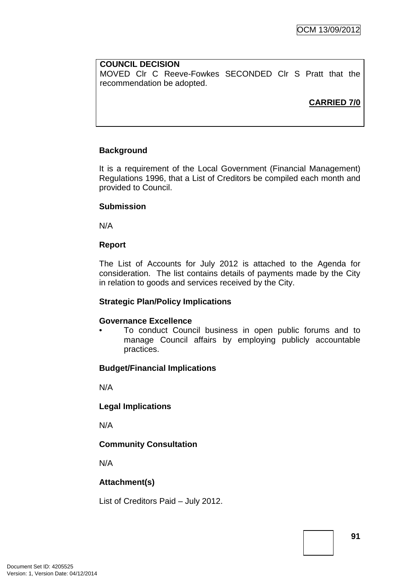### **COUNCIL DECISION**

MOVED Clr C Reeve-Fowkes SECONDED Clr S Pratt that the recommendation be adopted.

**CARRIED 7/0**

## **Background**

It is a requirement of the Local Government (Financial Management) Regulations 1996, that a List of Creditors be compiled each month and provided to Council.

### **Submission**

N/A

#### **Report**

The List of Accounts for July 2012 is attached to the Agenda for consideration. The list contains details of payments made by the City in relation to goods and services received by the City.

### **Strategic Plan/Policy Implications**

#### **Governance Excellence**

• To conduct Council business in open public forums and to manage Council affairs by employing publicly accountable practices.

### **Budget/Financial Implications**

N/A

#### **Legal Implications**

N/A

### **Community Consultation**

N/A

### **Attachment(s)**

List of Creditors Paid – July 2012.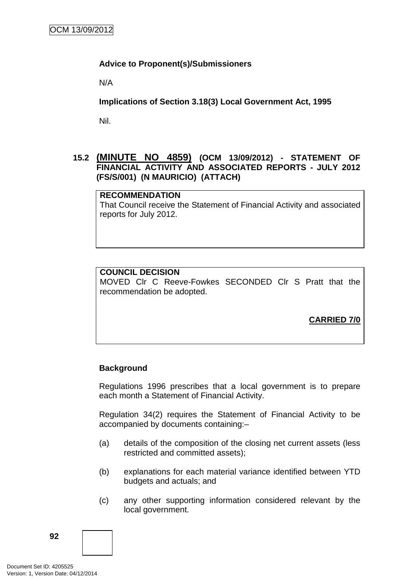## **Advice to Proponent(s)/Submissioners**

N/A

**Implications of Section 3.18(3) Local Government Act, 1995**

Nil.

## **15.2 (MINUTE NO 4859) (OCM 13/09/2012) - STATEMENT OF FINANCIAL ACTIVITY AND ASSOCIATED REPORTS - JULY 2012 (FS/S/001) (N MAURICIO) (ATTACH)**

#### **RECOMMENDATION**

That Council receive the Statement of Financial Activity and associated reports for July 2012.

## **COUNCIL DECISION**

MOVED Clr C Reeve-Fowkes SECONDED Clr S Pratt that the recommendation be adopted.

**CARRIED 7/0**

## **Background**

Regulations 1996 prescribes that a local government is to prepare each month a Statement of Financial Activity.

Regulation 34(2) requires the Statement of Financial Activity to be accompanied by documents containing:–

- (a) details of the composition of the closing net current assets (less restricted and committed assets);
- (b) explanations for each material variance identified between YTD budgets and actuals; and
- (c) any other supporting information considered relevant by the local government.

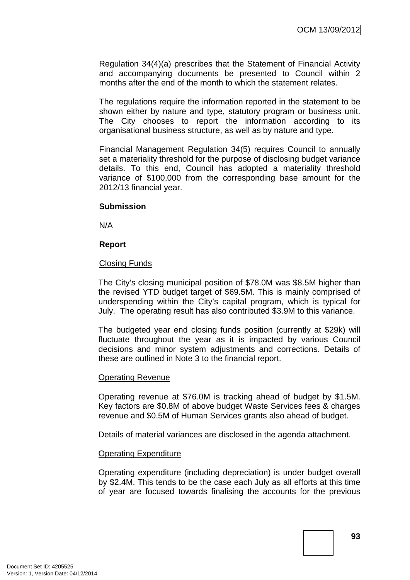Regulation 34(4)(a) prescribes that the Statement of Financial Activity and accompanying documents be presented to Council within 2 months after the end of the month to which the statement relates.

The regulations require the information reported in the statement to be shown either by nature and type, statutory program or business unit. The City chooses to report the information according to its organisational business structure, as well as by nature and type.

Financial Management Regulation 34(5) requires Council to annually set a materiality threshold for the purpose of disclosing budget variance details. To this end, Council has adopted a materiality threshold variance of \$100,000 from the corresponding base amount for the 2012/13 financial year.

#### **Submission**

N/A

#### **Report**

#### Closing Funds

The City's closing municipal position of \$78.0M was \$8.5M higher than the revised YTD budget target of \$69.5M. This is mainly comprised of underspending within the City's capital program, which is typical for July. The operating result has also contributed \$3.9M to this variance.

The budgeted year end closing funds position (currently at \$29k) will fluctuate throughout the year as it is impacted by various Council decisions and minor system adjustments and corrections. Details of these are outlined in Note 3 to the financial report.

#### Operating Revenue

Operating revenue at \$76.0M is tracking ahead of budget by \$1.5M. Key factors are \$0.8M of above budget Waste Services fees & charges revenue and \$0.5M of Human Services grants also ahead of budget.

Details of material variances are disclosed in the agenda attachment.

#### Operating Expenditure

Operating expenditure (including depreciation) is under budget overall by \$2.4M. This tends to be the case each July as all efforts at this time of year are focused towards finalising the accounts for the previous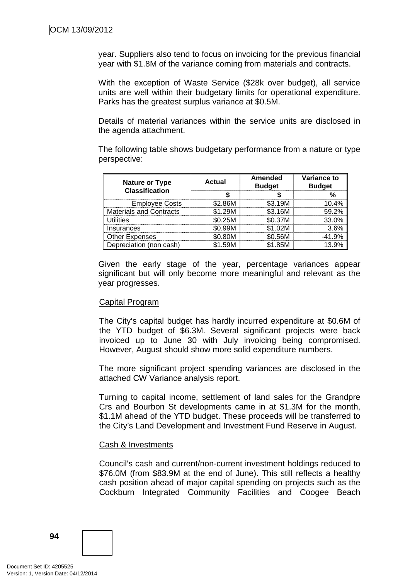year. Suppliers also tend to focus on invoicing for the previous financial year with \$1.8M of the variance coming from materials and contracts.

With the exception of Waste Service (\$28k over budget), all service units are well within their budgetary limits for operational expenditure. Parks has the greatest surplus variance at \$0.5M.

Details of material variances within the service units are disclosed in the agenda attachment.

The following table shows budgetary performance from a nature or type perspective:

| <b>Nature or Type</b><br><b>Classification</b> | <b>Actual</b> | Amended<br><b>Budget</b> | <b>Variance to</b><br><b>Budget</b> |
|------------------------------------------------|---------------|--------------------------|-------------------------------------|
|                                                |               |                          |                                     |
| <b>Employee Costs</b>                          | \$2.86M       | \$3.19M                  | 10.4%                               |
| <b>Materials and Contracts</b>                 | \$1.29M       | \$3.16M                  | 59.2%                               |
| <b>Jtilities</b>                               | \$0.25M       | \$0.37M                  | 33.0%                               |
| Insurances                                     | \$0.99M       | 1 N2M                    | 3.6%                                |
| <b>Other Expenses</b>                          | \$0.80M       | ) 56M                    | $-41.9%$                            |
| Depreciation (non cash)                        | I 59M         | 85M                      | 13.9%                               |

Given the early stage of the year, percentage variances appear significant but will only become more meaningful and relevant as the year progresses.

### Capital Program

The City's capital budget has hardly incurred expenditure at \$0.6M of the YTD budget of \$6.3M. Several significant projects were back invoiced up to June 30 with July invoicing being compromised. However, August should show more solid expenditure numbers.

The more significant project spending variances are disclosed in the attached CW Variance analysis report.

Turning to capital income, settlement of land sales for the Grandpre Crs and Bourbon St developments came in at \$1.3M for the month, \$1.1M ahead of the YTD budget. These proceeds will be transferred to the City's Land Development and Investment Fund Reserve in August.

### Cash & Investments

Council's cash and current/non-current investment holdings reduced to \$76.0M (from \$83.9M at the end of June). This still reflects a healthy cash position ahead of major capital spending on projects such as the Cockburn Integrated Community Facilities and Coogee Beach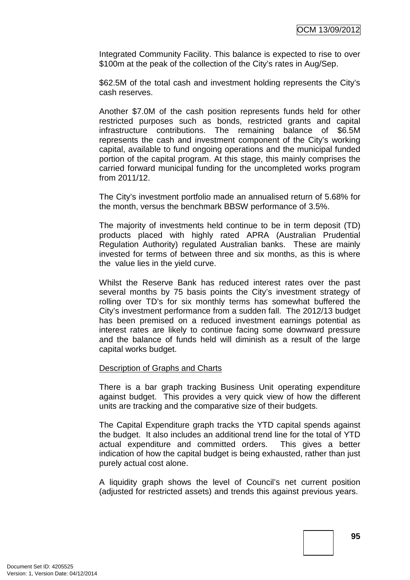Integrated Community Facility. This balance is expected to rise to over \$100m at the peak of the collection of the City's rates in Aug/Sep.

\$62.5M of the total cash and investment holding represents the City's cash reserves.

Another \$7.0M of the cash position represents funds held for other restricted purposes such as bonds, restricted grants and capital infrastructure contributions. The remaining balance of \$6.5M represents the cash and investment component of the City's working capital, available to fund ongoing operations and the municipal funded portion of the capital program. At this stage, this mainly comprises the carried forward municipal funding for the uncompleted works program from 2011/12.

The City's investment portfolio made an annualised return of 5.68% for the month, versus the benchmark BBSW performance of 3.5%.

The majority of investments held continue to be in term deposit (TD) products placed with highly rated APRA (Australian Prudential Regulation Authority) regulated Australian banks. These are mainly invested for terms of between three and six months, as this is where the value lies in the yield curve.

Whilst the Reserve Bank has reduced interest rates over the past several months by 75 basis points the City's investment strategy of rolling over TD's for six monthly terms has somewhat buffered the City's investment performance from a sudden fall. The 2012/13 budget has been premised on a reduced investment earnings potential as interest rates are likely to continue facing some downward pressure and the balance of funds held will diminish as a result of the large capital works budget.

#### Description of Graphs and Charts

There is a bar graph tracking Business Unit operating expenditure against budget. This provides a very quick view of how the different units are tracking and the comparative size of their budgets.

The Capital Expenditure graph tracks the YTD capital spends against the budget. It also includes an additional trend line for the total of YTD actual expenditure and committed orders. This gives a better indication of how the capital budget is being exhausted, rather than just purely actual cost alone.

A liquidity graph shows the level of Council's net current position (adjusted for restricted assets) and trends this against previous years.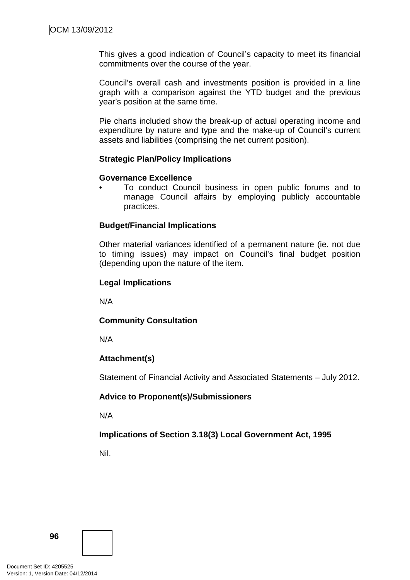This gives a good indication of Council's capacity to meet its financial commitments over the course of the year.

Council's overall cash and investments position is provided in a line graph with a comparison against the YTD budget and the previous year's position at the same time.

Pie charts included show the break-up of actual operating income and expenditure by nature and type and the make-up of Council's current assets and liabilities (comprising the net current position).

## **Strategic Plan/Policy Implications**

## **Governance Excellence**

• To conduct Council business in open public forums and to manage Council affairs by employing publicly accountable practices.

## **Budget/Financial Implications**

Other material variances identified of a permanent nature (ie. not due to timing issues) may impact on Council's final budget position (depending upon the nature of the item.

## **Legal Implications**

N/A

### **Community Consultation**

N/A

## **Attachment(s)**

Statement of Financial Activity and Associated Statements – July 2012.

## **Advice to Proponent(s)/Submissioners**

N/A

## **Implications of Section 3.18(3) Local Government Act, 1995**

Nil.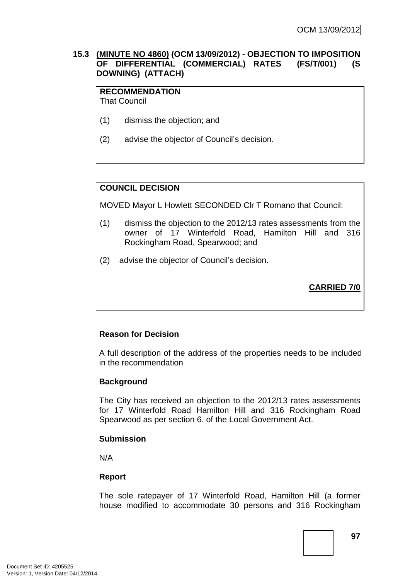### **15.3 (MINUTE NO 4860) (OCM 13/09/2012) - OBJECTION TO IMPOSITION OF DIFFERENTIAL (COMMERCIAL) RATES (FS/T/001) (S DOWNING) (ATTACH)**

#### **RECOMMENDATION** That Council

(1) dismiss the objection; and

(2) advise the objector of Council's decision.

## **COUNCIL DECISION**

MOVED Mayor L Howlett SECONDED Clr T Romano that Council:

- (1) dismiss the objection to the 2012/13 rates assessments from the owner of 17 Winterfold Road, Hamilton Hill and 316 Rockingham Road, Spearwood; and
- (2) advise the objector of Council's decision.

**CARRIED 7/0**

## **Reason for Decision**

A full description of the address of the properties needs to be included in the recommendation

## **Background**

The City has received an objection to the 2012/13 rates assessments for 17 Winterfold Road Hamilton Hill and 316 Rockingham Road Spearwood as per section 6. of the Local Government Act.

### **Submission**

N/A

## **Report**

The sole ratepayer of 17 Winterfold Road, Hamilton Hill (a former house modified to accommodate 30 persons and 316 Rockingham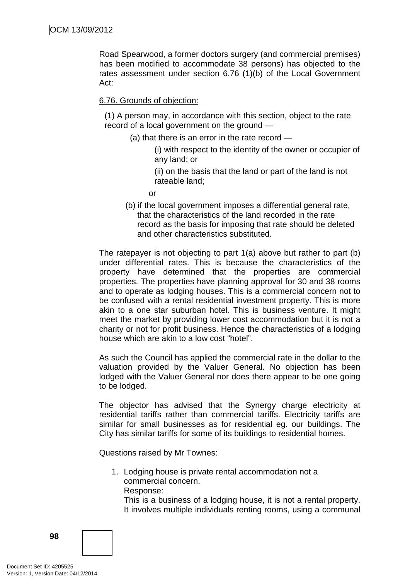Road Spearwood, a former doctors surgery (and commercial premises) has been modified to accommodate 38 persons) has objected to the rates assessment under section 6.76 (1)(b) of the Local Government Act:

#### 6.76. Grounds of objection:

(1) A person may, in accordance with this section, object to the rate record of a local government on the ground —

- (a) that there is an error in the rate record
	- (i) with respect to the identity of the owner or occupier of any land; or

(ii) on the basis that the land or part of the land is not rateable land;

- or
- (b) if the local government imposes a differential general rate, that the characteristics of the land recorded in the rate record as the basis for imposing that rate should be deleted and other characteristics substituted.

The ratepayer is not objecting to part 1(a) above but rather to part (b) under differential rates. This is because the characteristics of the property have determined that the properties are commercial properties. The properties have planning approval for 30 and 38 rooms and to operate as lodging houses. This is a commercial concern not to be confused with a rental residential investment property. This is more akin to a one star suburban hotel. This is business venture. It might meet the market by providing lower cost accommodation but it is not a charity or not for profit business. Hence the characteristics of a lodging house which are akin to a low cost "hotel".

As such the Council has applied the commercial rate in the dollar to the valuation provided by the Valuer General. No objection has been lodged with the Valuer General nor does there appear to be one going to be lodged.

The objector has advised that the Synergy charge electricity at residential tariffs rather than commercial tariffs. Electricity tariffs are similar for small businesses as for residential eg. our buildings. The City has similar tariffs for some of its buildings to residential homes.

Questions raised by Mr Townes:

1. Lodging house is private rental accommodation not a commercial concern. Response:

This is a business of a lodging house, it is not a rental property. It involves multiple individuals renting rooms, using a communal

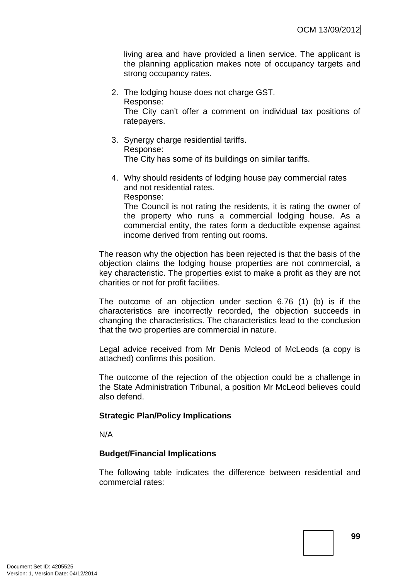living area and have provided a linen service. The applicant is the planning application makes note of occupancy targets and strong occupancy rates.

- 2. The lodging house does not charge GST. Response: The City can't offer a comment on individual tax positions of ratepayers.
- 3. Synergy charge residential tariffs. Response: The City has some of its buildings on similar tariffs.
- 4. Why should residents of lodging house pay commercial rates and not residential rates.

Response:

The Council is not rating the residents, it is rating the owner of the property who runs a commercial lodging house. As a commercial entity, the rates form a deductible expense against income derived from renting out rooms.

The reason why the objection has been rejected is that the basis of the objection claims the lodging house properties are not commercial, a key characteristic. The properties exist to make a profit as they are not charities or not for profit facilities.

The outcome of an objection under section 6.76 (1) (b) is if the characteristics are incorrectly recorded, the objection succeeds in changing the characteristics. The characteristics lead to the conclusion that the two properties are commercial in nature.

Legal advice received from Mr Denis Mcleod of McLeods (a copy is attached) confirms this position.

The outcome of the rejection of the objection could be a challenge in the State Administration Tribunal, a position Mr McLeod believes could also defend.

## **Strategic Plan/Policy Implications**

N/A

### **Budget/Financial Implications**

The following table indicates the difference between residential and commercial rates: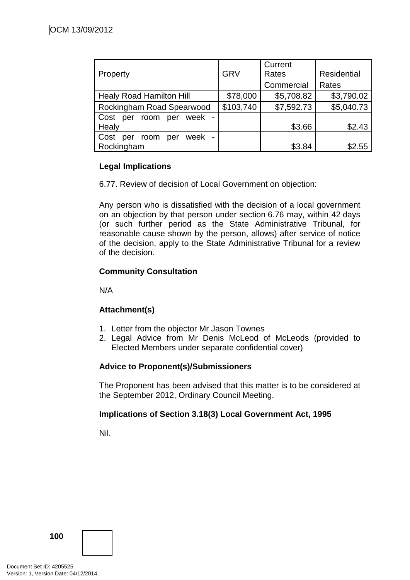|                                   |            | Current    |                    |
|-----------------------------------|------------|------------|--------------------|
| Property                          | <b>GRV</b> | Rates      | <b>Residential</b> |
|                                   |            | Commercial | Rates              |
| <b>Healy Road Hamilton Hill</b>   | \$78,000   | \$5,708.82 | \$3,790.02         |
| Rockingham Road Spearwood         | \$103,740  | \$7,592.73 | \$5,040.73         |
| week -<br>Cost<br>per room per    |            |            |                    |
| Healy                             |            | \$3.66     | \$2.43             |
| Cost<br>week -<br>per room<br>per |            |            |                    |
| Rockingham                        |            | \$3.84     | \$2.55             |

## **Legal Implications**

6.77. Review of decision of Local Government on objection:

Any person who is dissatisfied with the decision of a local government on an objection by that person under section 6.76 may, within 42 days (or such further period as the State Administrative Tribunal, for reasonable cause shown by the person, allows) after service of notice of the decision, apply to the State Administrative Tribunal for a review of the decision.

## **Community Consultation**

N/A

## **Attachment(s)**

- 1. Letter from the objector Mr Jason Townes
- 2. Legal Advice from Mr Denis McLeod of McLeods (provided to Elected Members under separate confidential cover)

## **Advice to Proponent(s)/Submissioners**

The Proponent has been advised that this matter is to be considered at the September 2012, Ordinary Council Meeting.

## **Implications of Section 3.18(3) Local Government Act, 1995**

Nil.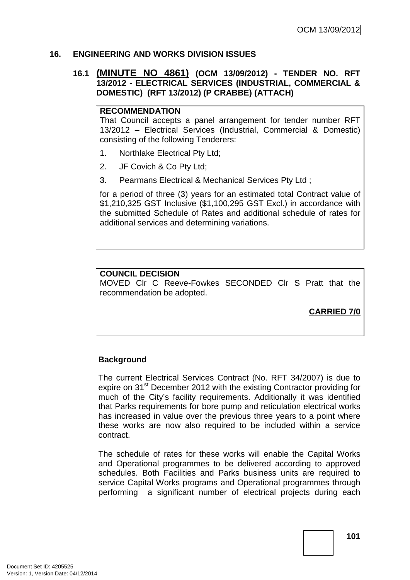## **16. ENGINEERING AND WORKS DIVISION ISSUES**

### **16.1 (MINUTE NO 4861) (OCM 13/09/2012) - TENDER NO. RFT 13/2012 - ELECTRICAL SERVICES (INDUSTRIAL, COMMERCIAL & DOMESTIC) (RFT 13/2012) (P CRABBE) (ATTACH)**

### **RECOMMENDATION**

That Council accepts a panel arrangement for tender number RFT 13/2012 – Electrical Services (Industrial, Commercial & Domestic) consisting of the following Tenderers:

- 1. Northlake Electrical Pty Ltd;
- 2. JF Covich & Co Pty Ltd;
- 3. Pearmans Electrical & Mechanical Services Pty Ltd ;

for a period of three (3) years for an estimated total Contract value of \$1,210,325 GST Inclusive (\$1,100,295 GST Excl.) in accordance with the submitted Schedule of Rates and additional schedule of rates for additional services and determining variations.

### **COUNCIL DECISION**

MOVED Clr C Reeve-Fowkes SECONDED Clr S Pratt that the recommendation be adopted.

**CARRIED 7/0**

#### **Background**

The current Electrical Services Contract (No. RFT 34/2007) is due to expire on 31<sup>st</sup> December 2012 with the existing Contractor providing for much of the City's facility requirements. Additionally it was identified that Parks requirements for bore pump and reticulation electrical works has increased in value over the previous three years to a point where these works are now also required to be included within a service contract.

The schedule of rates for these works will enable the Capital Works and Operational programmes to be delivered according to approved schedules. Both Facilities and Parks business units are required to service Capital Works programs and Operational programmes through performing a significant number of electrical projects during each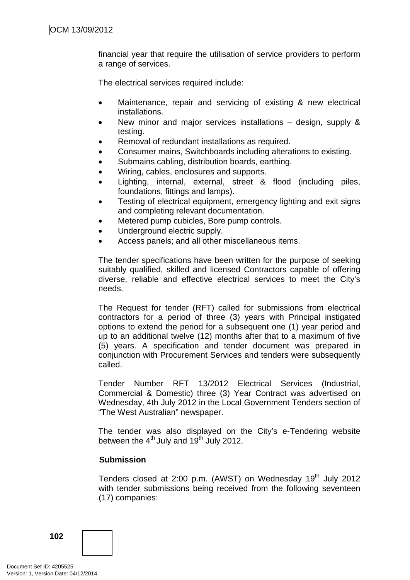financial year that require the utilisation of service providers to perform a range of services.

The electrical services required include:

- Maintenance, repair and servicing of existing & new electrical installations.
- New minor and major services installations design, supply & testing.
- Removal of redundant installations as required.
- Consumer mains, Switchboards including alterations to existing.
- Submains cabling, distribution boards, earthing.
- Wiring, cables, enclosures and supports.
- Lighting, internal, external, street & flood (including piles, foundations, fittings and lamps).
- Testing of electrical equipment, emergency lighting and exit signs and completing relevant documentation.
- Metered pump cubicles, Bore pump controls.
- Underground electric supply.
- Access panels; and all other miscellaneous items.

The tender specifications have been written for the purpose of seeking suitably qualified, skilled and licensed Contractors capable of offering diverse, reliable and effective electrical services to meet the City's needs.

The Request for tender (RFT) called for submissions from electrical contractors for a period of three (3) years with Principal instigated options to extend the period for a subsequent one (1) year period and up to an additional twelve (12) months after that to a maximum of five (5) years. A specification and tender document was prepared in conjunction with Procurement Services and tenders were subsequently called.

Tender Number RFT 13/2012 Electrical Services (Industrial, Commercial & Domestic) three (3) Year Contract was advertised on Wednesday, 4th July 2012 in the Local Government Tenders section of "The West Australian" newspaper.

The tender was also displayed on the City's e-Tendering website between the  $4^{th}$  July and  $19^{th}$  July 2012.

### **Submission**

Tenders closed at 2:00 p.m. (AWST) on Wednesday  $19<sup>th</sup>$  July 2012 with tender submissions being received from the following seventeen (17) companies:

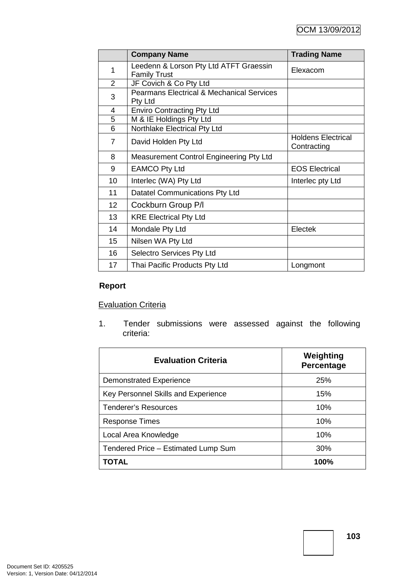|                | <b>Company Name</b>                                             | <b>Trading Name</b>                      |
|----------------|-----------------------------------------------------------------|------------------------------------------|
| 1              | Leedenn & Lorson Pty Ltd ATFT Graessin<br><b>Family Trust</b>   | Elexacom                                 |
| $\overline{2}$ | JF Covich & Co Pty Ltd                                          |                                          |
| 3              | <b>Pearmans Electrical &amp; Mechanical Services</b><br>Pty Ltd |                                          |
| 4              | <b>Enviro Contracting Pty Ltd</b>                               |                                          |
| 5              | M & IE Holdings Pty Ltd                                         |                                          |
| 6              | Northlake Electrical Pty Ltd                                    |                                          |
| $\overline{7}$ | David Holden Pty Ltd                                            | <b>Holdens Electrical</b><br>Contracting |
| 8              | Measurement Control Engineering Pty Ltd                         |                                          |
| 9              | <b>EAMCO Pty Ltd</b>                                            | <b>EOS Electrical</b>                    |
| 10             | Interlec (WA) Pty Ltd                                           | Interlec pty Ltd                         |
| 11             | <b>Datatel Communications Pty Ltd</b>                           |                                          |
| 12             | Cockburn Group P/I                                              |                                          |
| 13             | <b>KRE Electrical Pty Ltd</b>                                   |                                          |
| 14             | Mondale Pty Ltd                                                 | Electek                                  |
| 15             | Nilsen WA Pty Ltd                                               |                                          |
| 16             | Selectro Services Pty Ltd                                       |                                          |
| 17             | Thai Pacific Products Pty Ltd                                   | Longmont                                 |

# **Report**

## **Evaluation Criteria**

1. Tender submissions were assessed against the following criteria:

| <b>Evaluation Criteria</b>          | Weighting<br>Percentage |
|-------------------------------------|-------------------------|
| Demonstrated Experience             | 25%                     |
| Key Personnel Skills and Experience | 15%                     |
| Tenderer's Resources                | 10%                     |
| <b>Response Times</b>               | 10%                     |
| Local Area Knowledge                | 10%                     |
| Tendered Price - Estimated Lump Sum | 30%                     |
| <b>TOTAL</b>                        | 100%                    |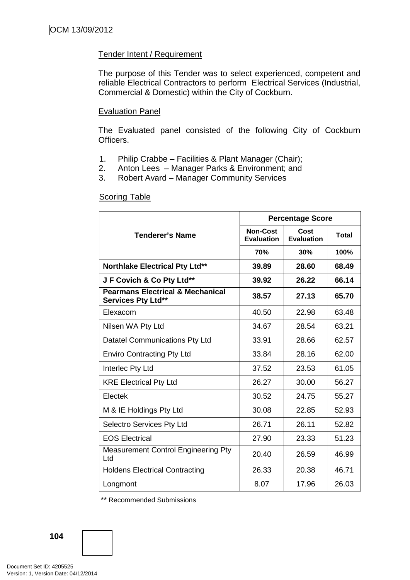### Tender Intent / Requirement

The purpose of this Tender was to select experienced, competent and reliable Electrical Contractors to perform Electrical Services (Industrial, Commercial & Domestic) within the City of Cockburn.

### Evaluation Panel

The Evaluated panel consisted of the following City of Cockburn Officers.

- 1. Philip Crabbe Facilities & Plant Manager (Chair);
- 2. Anton Lees Manager Parks & Environment; and
- 3. Robert Avard Manager Community Services

#### **Scoring Table**

|                                                                   | <b>Percentage Score</b>              |                           |              |
|-------------------------------------------------------------------|--------------------------------------|---------------------------|--------------|
| <b>Tenderer's Name</b>                                            | <b>Non-Cost</b><br><b>Evaluation</b> | Cost<br><b>Evaluation</b> | <b>Total</b> |
|                                                                   | 70%                                  | 30%                       | 100%         |
| Northlake Electrical Pty Ltd**                                    | 39.89                                | 28.60                     | 68.49        |
| J F Covich & Co Pty Ltd**                                         | 39.92                                | 26.22                     | 66.14        |
| <b>Pearmans Electrical &amp; Mechanical</b><br>Services Pty Ltd** | 38.57                                | 27.13                     | 65.70        |
| Elexacom                                                          | 40.50                                | 22.98                     | 63.48        |
| Nilsen WA Pty Ltd                                                 | 34.67                                | 28.54                     | 63.21        |
| <b>Datatel Communications Pty Ltd</b>                             | 33.91                                | 28.66                     | 62.57        |
| <b>Enviro Contracting Pty Ltd</b>                                 | 33.84                                | 28.16                     | 62.00        |
| Interlec Pty Ltd                                                  | 37.52                                | 23.53                     | 61.05        |
| <b>KRE Electrical Pty Ltd</b>                                     | 26.27                                | 30.00                     | 56.27        |
| Electek                                                           | 30.52                                | 24.75                     | 55.27        |
| M & IE Holdings Pty Ltd                                           | 30.08                                | 22.85                     | 52.93        |
| Selectro Services Pty Ltd                                         | 26.71                                | 26.11                     | 52.82        |
| <b>EOS Electrical</b>                                             | 27.90                                | 23.33                     | 51.23        |
| <b>Measurement Control Engineering Pty</b><br>Ltd                 | 20.40                                | 26.59                     | 46.99        |
| <b>Holdens Electrical Contracting</b>                             | 26.33                                | 20.38                     | 46.71        |
| Longmont                                                          | 8.07                                 | 17.96                     | 26.03        |

*\*\** Recommended Submissions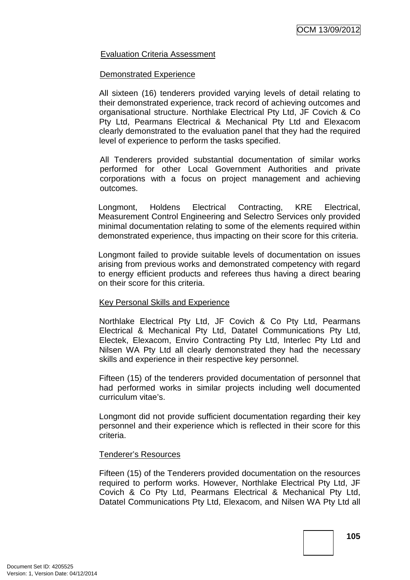#### Evaluation Criteria Assessment

#### Demonstrated Experience

All sixteen (16) tenderers provided varying levels of detail relating to their demonstrated experience, track record of achieving outcomes and organisational structure. Northlake Electrical Pty Ltd, JF Covich & Co Pty Ltd, Pearmans Electrical & Mechanical Pty Ltd and Elexacom clearly demonstrated to the evaluation panel that they had the required level of experience to perform the tasks specified.

All Tenderers provided substantial documentation of similar works performed for other Local Government Authorities and private corporations with a focus on project management and achieving outcomes.

Longmont, Holdens Electrical Contracting, KRE Electrical, Measurement Control Engineering and Selectro Services only provided minimal documentation relating to some of the elements required within demonstrated experience, thus impacting on their score for this criteria.

Longmont failed to provide suitable levels of documentation on issues arising from previous works and demonstrated competency with regard to energy efficient products and referees thus having a direct bearing on their score for this criteria.

#### Key Personal Skills and Experience

Northlake Electrical Pty Ltd, JF Covich & Co Pty Ltd, Pearmans Electrical & Mechanical Pty Ltd, Datatel Communications Pty Ltd, Electek, Elexacom, Enviro Contracting Pty Ltd, Interlec Pty Ltd and Nilsen WA Pty Ltd all clearly demonstrated they had the necessary skills and experience in their respective key personnel.

Fifteen (15) of the tenderers provided documentation of personnel that had performed works in similar projects including well documented curriculum vitae's.

Longmont did not provide sufficient documentation regarding their key personnel and their experience which is reflected in their score for this criteria.

#### Tenderer's Resources

Fifteen (15) of the Tenderers provided documentation on the resources required to perform works. However, Northlake Electrical Pty Ltd, JF Covich & Co Pty Ltd, Pearmans Electrical & Mechanical Pty Ltd, Datatel Communications Pty Ltd, Elexacom, and Nilsen WA Pty Ltd all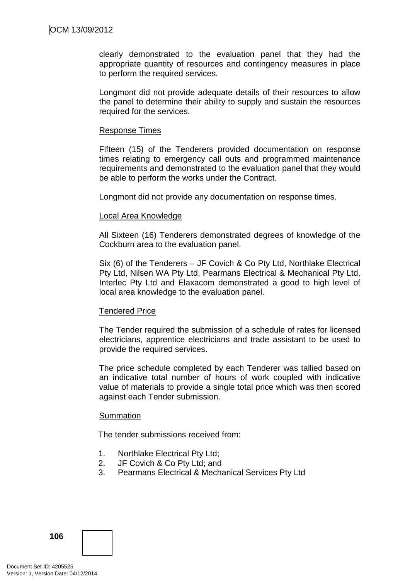clearly demonstrated to the evaluation panel that they had the appropriate quantity of resources and contingency measures in place to perform the required services.

Longmont did not provide adequate details of their resources to allow the panel to determine their ability to supply and sustain the resources required for the services.

#### Response Times

Fifteen (15) of the Tenderers provided documentation on response times relating to emergency call outs and programmed maintenance requirements and demonstrated to the evaluation panel that they would be able to perform the works under the Contract.

Longmont did not provide any documentation on response times.

#### Local Area Knowledge

All Sixteen (16) Tenderers demonstrated degrees of knowledge of the Cockburn area to the evaluation panel.

Six (6) of the Tenderers – JF Covich & Co Pty Ltd, Northlake Electrical Pty Ltd, Nilsen WA Pty Ltd, Pearmans Electrical & Mechanical Pty Ltd, Interlec Pty Ltd and Elaxacom demonstrated a good to high level of local area knowledge to the evaluation panel.

#### Tendered Price

The Tender required the submission of a schedule of rates for licensed electricians, apprentice electricians and trade assistant to be used to provide the required services.

The price schedule completed by each Tenderer was tallied based on an indicative total number of hours of work coupled with indicative value of materials to provide a single total price which was then scored against each Tender submission.

#### **Summation**

The tender submissions received from:

- 1. Northlake Electrical Pty Ltd;
- 2. JF Covich & Co Pty Ltd; and
- 3. Pearmans Electrical & Mechanical Services Pty Ltd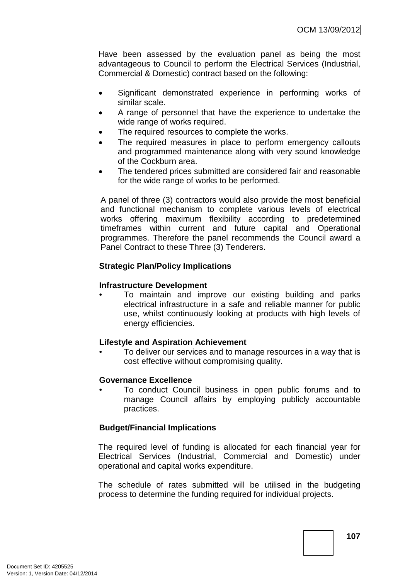Have been assessed by the evaluation panel as being the most advantageous to Council to perform the Electrical Services (Industrial, Commercial & Domestic) contract based on the following:

- Significant demonstrated experience in performing works of similar scale.
- A range of personnel that have the experience to undertake the wide range of works required.
- The required resources to complete the works.
- The required measures in place to perform emergency callouts and programmed maintenance along with very sound knowledge of the Cockburn area.
- The tendered prices submitted are considered fair and reasonable for the wide range of works to be performed.

A panel of three (3) contractors would also provide the most beneficial and functional mechanism to complete various levels of electrical works offering maximum flexibility according to predetermined timeframes within current and future capital and Operational programmes. Therefore the panel recommends the Council award a Panel Contract to these Three (3) Tenderers.

#### **Strategic Plan/Policy Implications**

### **Infrastructure Development**

• To maintain and improve our existing building and parks electrical infrastructure in a safe and reliable manner for public use, whilst continuously looking at products with high levels of energy efficiencies.

#### **Lifestyle and Aspiration Achievement**

• To deliver our services and to manage resources in a way that is cost effective without compromising quality.

#### **Governance Excellence**

• To conduct Council business in open public forums and to manage Council affairs by employing publicly accountable practices.

## **Budget/Financial Implications**

The required level of funding is allocated for each financial year for Electrical Services (Industrial, Commercial and Domestic) under operational and capital works expenditure.

The schedule of rates submitted will be utilised in the budgeting process to determine the funding required for individual projects.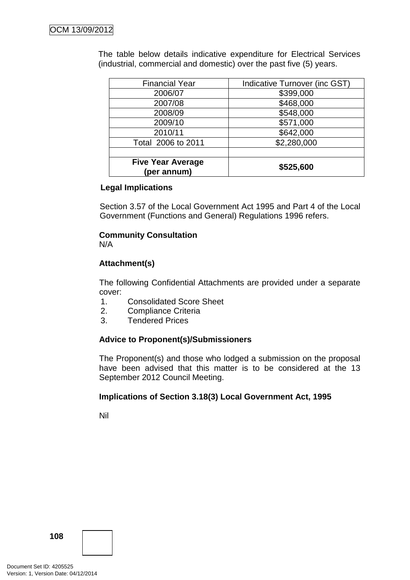| <b>Financial Year</b>                   | Indicative Turnover (inc GST) |  |  |
|-----------------------------------------|-------------------------------|--|--|
| 2006/07                                 | \$399,000                     |  |  |
| 2007/08                                 | \$468,000                     |  |  |
| 2008/09                                 | \$548,000                     |  |  |
| 2009/10                                 | \$571,000                     |  |  |
| 2010/11                                 | \$642,000                     |  |  |
| Total 2006 to 2011                      | \$2,280,000                   |  |  |
|                                         |                               |  |  |
| <b>Five Year Average</b><br>(per annum) | \$525,600                     |  |  |

The table below details indicative expenditure for Electrical Services (industrial, commercial and domestic) over the past five (5) years.

#### **Legal Implications**

Section 3.57 of the Local Government Act 1995 and Part 4 of the Local Government (Functions and General) Regulations 1996 refers.

# **Community Consultation**

N/A

#### **Attachment(s)**

The following Confidential Attachments are provided under a separate cover:

- 1. Consolidated Score Sheet
- 2. Compliance Criteria
- 3. Tendered Prices

#### **Advice to Proponent(s)/Submissioners**

The Proponent(s) and those who lodged a submission on the proposal have been advised that this matter is to be considered at the 13 September 2012 Council Meeting.

#### **Implications of Section 3.18(3) Local Government Act, 1995**

Nil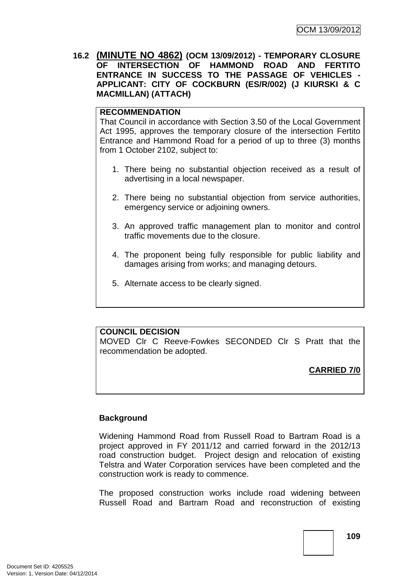**16.2 (MINUTE NO 4862) (OCM 13/09/2012) - TEMPORARY CLOSURE OF INTERSECTION OF HAMMOND ROAD AND FERTITO ENTRANCE IN SUCCESS TO THE PASSAGE OF VEHICLES - APPLICANT: CITY OF COCKBURN (ES/R/002) (J KIURSKI & C MACMILLAN) (ATTACH)**

### **RECOMMENDATION**

That Council in accordance with Section 3.50 of the Local Government Act 1995, approves the temporary closure of the intersection Fertito Entrance and Hammond Road for a period of up to three (3) months from 1 October 2102, subject to:

- 1. There being no substantial objection received as a result of advertising in a local newspaper.
- 2. There being no substantial objection from service authorities, emergency service or adjoining owners.
- 3. An approved traffic management plan to monitor and control traffic movements due to the closure.
- 4. The proponent being fully responsible for public liability and damages arising from works; and managing detours.
- 5. Alternate access to be clearly signed.

## **COUNCIL DECISION**

MOVED Clr C Reeve-Fowkes SECONDED Clr S Pratt that the recommendation be adopted.

# **CARRIED 7/0**

## **Background**

Widening Hammond Road from Russell Road to Bartram Road is a project approved in FY 2011/12 and carried forward in the 2012/13 road construction budget. Project design and relocation of existing Telstra and Water Corporation services have been completed and the construction work is ready to commence.

The proposed construction works include road widening between Russell Road and Bartram Road and reconstruction of existing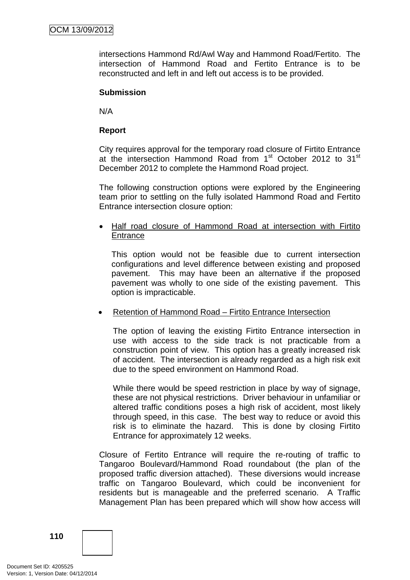intersections Hammond Rd/Awl Way and Hammond Road/Fertito. The intersection of Hammond Road and Fertito Entrance is to be reconstructed and left in and left out access is to be provided.

### **Submission**

N/A

### **Report**

City requires approval for the temporary road closure of Firtito Entrance at the intersection Hammond Road from 1<sup>st</sup> October 2012 to 31<sup>st</sup> December 2012 to complete the Hammond Road project.

The following construction options were explored by the Engineering team prior to settling on the fully isolated Hammond Road and Fertito Entrance intersection closure option:

• Half road closure of Hammond Road at intersection with Firtito Entrance

This option would not be feasible due to current intersection configurations and level difference between existing and proposed pavement. This may have been an alternative if the proposed pavement was wholly to one side of the existing pavement. This option is impracticable.

## • Retention of Hammond Road – Firtito Entrance Intersection

The option of leaving the existing Firtito Entrance intersection in use with access to the side track is not practicable from a construction point of view. This option has a greatly increased risk of accident. The intersection is already regarded as a high risk exit due to the speed environment on Hammond Road.

While there would be speed restriction in place by way of signage, these are not physical restrictions. Driver behaviour in unfamiliar or altered traffic conditions poses a high risk of accident, most likely through speed, in this case. The best way to reduce or avoid this risk is to eliminate the hazard. This is done by closing Firtito Entrance for approximately 12 weeks.

Closure of Fertito Entrance will require the re-routing of traffic to Tangaroo Boulevard/Hammond Road roundabout (the plan of the proposed traffic diversion attached). These diversions would increase traffic on Tangaroo Boulevard, which could be inconvenient for residents but is manageable and the preferred scenario. A Traffic Management Plan has been prepared which will show how access will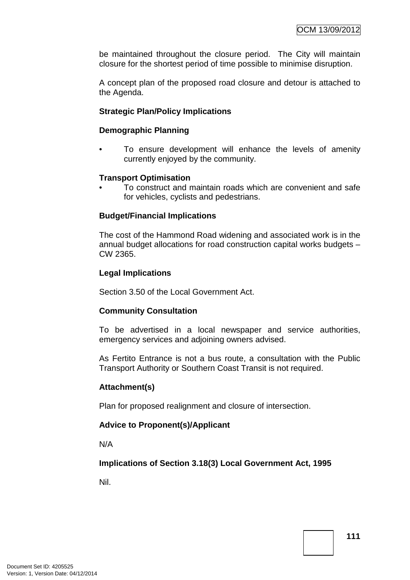be maintained throughout the closure period. The City will maintain closure for the shortest period of time possible to minimise disruption.

A concept plan of the proposed road closure and detour is attached to the Agenda.

### **Strategic Plan/Policy Implications**

#### **Demographic Planning**

To ensure development will enhance the levels of amenity currently enjoyed by the community.

#### **Transport Optimisation**

• To construct and maintain roads which are convenient and safe for vehicles, cyclists and pedestrians.

#### **Budget/Financial Implications**

The cost of the Hammond Road widening and associated work is in the annual budget allocations for road construction capital works budgets – CW 2365.

#### **Legal Implications**

Section 3.50 of the Local Government Act.

#### **Community Consultation**

To be advertised in a local newspaper and service authorities, emergency services and adjoining owners advised.

As Fertito Entrance is not a bus route, a consultation with the Public Transport Authority or Southern Coast Transit is not required.

#### **Attachment(s)**

Plan for proposed realignment and closure of intersection.

#### **Advice to Proponent(s)/Applicant**

N/A

**Implications of Section 3.18(3) Local Government Act, 1995**

Nil.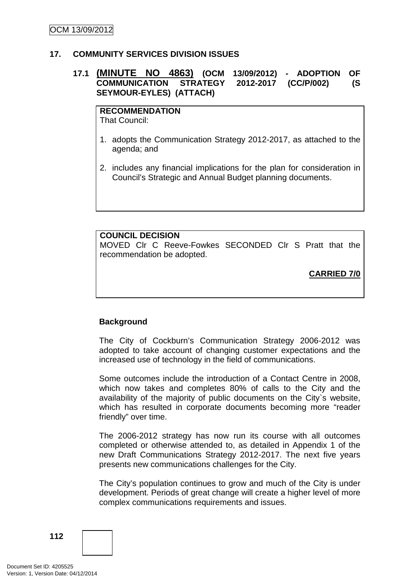#### **17. COMMUNITY SERVICES DIVISION ISSUES**

#### **17.1 (MINUTE NO 4863) (OCM 13/09/2012) - ADOPTION OF COMMUNICATION STRATEGY 2012-2017 (CC/P/002) (S SEYMOUR-EYLES) (ATTACH)**

**RECOMMENDATION** That Council:

- 1. adopts the Communication Strategy 2012-2017, as attached to the agenda; and
- 2. includes any financial implications for the plan for consideration in Council's Strategic and Annual Budget planning documents.

#### **COUNCIL DECISION**

MOVED Clr C Reeve-Fowkes SECONDED Clr S Pratt that the recommendation be adopted.

**CARRIED 7/0**

#### **Background**

The City of Cockburn's Communication Strategy 2006-2012 was adopted to take account of changing customer expectations and the increased use of technology in the field of communications.

Some outcomes include the introduction of a Contact Centre in 2008, which now takes and completes 80% of calls to the City and the availability of the majority of public documents on the City`s website, which has resulted in corporate documents becoming more "reader friendly" over time.

The 2006-2012 strategy has now run its course with all outcomes completed or otherwise attended to, as detailed in Appendix 1 of the new Draft Communications Strategy 2012-2017. The next five years presents new communications challenges for the City.

The City's population continues to grow and much of the City is under development. Periods of great change will create a higher level of more complex communications requirements and issues.

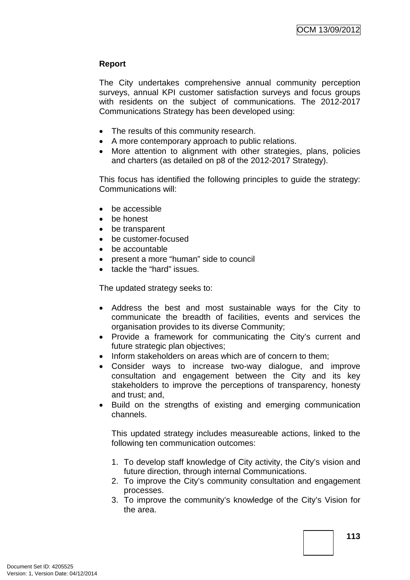## **Report**

The City undertakes comprehensive annual community perception surveys, annual KPI customer satisfaction surveys and focus groups with residents on the subject of communications. The 2012-2017 Communications Strategy has been developed using:

- The results of this community research.
- A more contemporary approach to public relations.
- More attention to alignment with other strategies, plans, policies and charters (as detailed on p8 of the 2012-2017 Strategy).

This focus has identified the following principles to guide the strategy: Communications will:

- be accessible
- be honest
- be transparent
- be customer-focused
- be accountable
- present a more "human" side to council
- tackle the "hard" issues.

The updated strategy seeks to:

- Address the best and most sustainable ways for the City to communicate the breadth of facilities, events and services the organisation provides to its diverse Community;
- Provide a framework for communicating the City's current and future strategic plan objectives;
- Inform stakeholders on areas which are of concern to them;
- Consider ways to increase two-way dialogue, and improve consultation and engagement between the City and its key stakeholders to improve the perceptions of transparency, honesty and trust; and,
- Build on the strengths of existing and emerging communication channels.

This updated strategy includes measureable actions, linked to the following ten communication outcomes:

- 1. To develop staff knowledge of City activity, the City's vision and future direction, through internal Communications.
- 2. To improve the City's community consultation and engagement processes.
- 3. To improve the community's knowledge of the City's Vision for the area.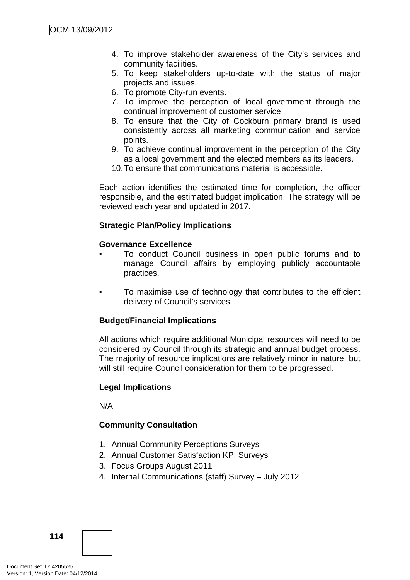- 4. To improve stakeholder awareness of the City's services and community facilities.
- 5. To keep stakeholders up-to-date with the status of major projects and issues.
- 6. To promote City-run events.
- 7. To improve the perception of local government through the continual improvement of customer service.
- 8. To ensure that the City of Cockburn primary brand is used consistently across all marketing communication and service points.
- 9. To achieve continual improvement in the perception of the City as a local government and the elected members as its leaders.
- 10.To ensure that communications material is accessible.

Each action identifies the estimated time for completion, the officer responsible, and the estimated budget implication. The strategy will be reviewed each year and updated in 2017.

## **Strategic Plan/Policy Implications**

#### **Governance Excellence**

- To conduct Council business in open public forums and to manage Council affairs by employing publicly accountable practices.
- To maximise use of technology that contributes to the efficient delivery of Council's services.

#### **Budget/Financial Implications**

All actions which require additional Municipal resources will need to be considered by Council through its strategic and annual budget process. The majority of resource implications are relatively minor in nature, but will still require Council consideration for them to be progressed.

#### **Legal Implications**

N/A

#### **Community Consultation**

- 1. Annual Community Perceptions Surveys
- 2. Annual Customer Satisfaction KPI Surveys
- 3. Focus Groups August 2011
- 4. Internal Communications (staff) Survey July 2012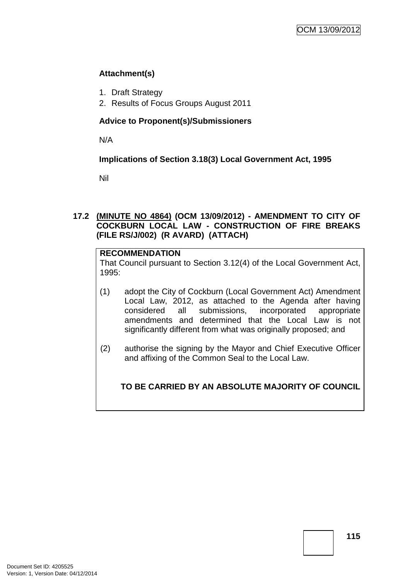## **Attachment(s)**

- 1. Draft Strategy
- 2. Results of Focus Groups August 2011

## **Advice to Proponent(s)/Submissioners**

N/A

## **Implications of Section 3.18(3) Local Government Act, 1995**

Nil

**17.2 (MINUTE NO 4864) (OCM 13/09/2012) - AMENDMENT TO CITY OF COCKBURN LOCAL LAW - CONSTRUCTION OF FIRE BREAKS (FILE RS/J/002) (R AVARD) (ATTACH)**

#### **RECOMMENDATION**

That Council pursuant to Section 3.12(4) of the Local Government Act, 1995:

- (1) adopt the City of Cockburn (Local Government Act) Amendment Local Law, 2012, as attached to the Agenda after having considered all submissions, incorporated appropriate amendments and determined that the Local Law is not significantly different from what was originally proposed; and
- (2) authorise the signing by the Mayor and Chief Executive Officer and affixing of the Common Seal to the Local Law.

# **TO BE CARRIED BY AN ABSOLUTE MAJORITY OF COUNCIL**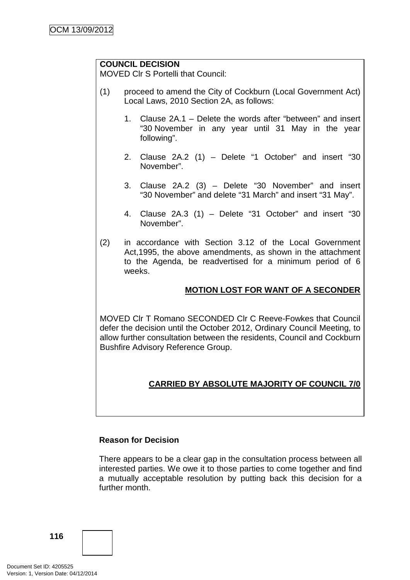## **COUNCIL DECISION**

MOVED Clr S Portelli that Council:

- (1) proceed to amend the City of Cockburn (Local Government Act) Local Laws, 2010 Section 2A, as follows:
	- 1. Clause 2A.1 Delete the words after "between" and insert "30 November in any year until 31 May in the year following".
	- 2. Clause 2A.2 (1) Delete "1 October" and insert "30 November".
	- 3. Clause 2A.2 (3) Delete "30 November" and insert "30 November" and delete "31 March" and insert "31 May".
	- 4. Clause 2A.3 (1) Delete "31 October" and insert "30 November".
- (2) in accordance with Section 3.12 of the Local Government Act,1995, the above amendments, as shown in the attachment to the Agenda, be readvertised for a minimum period of 6 weeks.

## **MOTION LOST FOR WANT OF A SECONDER**

MOVED Clr T Romano SECONDED Clr C Reeve-Fowkes that Council defer the decision until the October 2012, Ordinary Council Meeting, to allow further consultation between the residents, Council and Cockburn Bushfire Advisory Reference Group.

## **CARRIED BY ABSOLUTE MAJORITY OF COUNCIL 7/0**

## **Reason for Decision**

There appears to be a clear gap in the consultation process between all interested parties. We owe it to those parties to come together and find a mutually acceptable resolution by putting back this decision for a further month.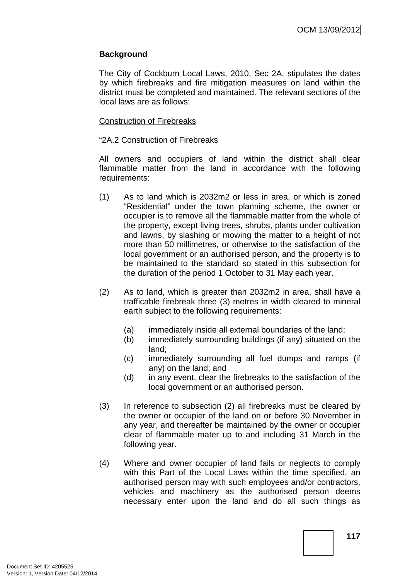## **Background**

The City of Cockburn Local Laws, 2010, Sec 2A, stipulates the dates by which firebreaks and fire mitigation measures on land within the district must be completed and maintained. The relevant sections of the local laws are as follows:

#### Construction of Firebreaks

#### "2A.2 Construction of Firebreaks

All owners and occupiers of land within the district shall clear flammable matter from the land in accordance with the following requirements:

- (1) As to land which is 2032m2 or less in area, or which is zoned "Residential" under the town planning scheme, the owner or occupier is to remove all the flammable matter from the whole of the property, except living trees, shrubs, plants under cultivation and lawns, by slashing or mowing the matter to a height of not more than 50 millimetres, or otherwise to the satisfaction of the local government or an authorised person, and the property is to be maintained to the standard so stated in this subsection for the duration of the period 1 October to 31 May each year.
- (2) As to land, which is greater than 2032m2 in area, shall have a trafficable firebreak three (3) metres in width cleared to mineral earth subject to the following requirements:
	- (a) immediately inside all external boundaries of the land;
	- (b) immediately surrounding buildings (if any) situated on the land;
	- (c) immediately surrounding all fuel dumps and ramps (if any) on the land; and
	- (d) in any event, clear the firebreaks to the satisfaction of the local government or an authorised person.
- (3) In reference to subsection (2) all firebreaks must be cleared by the owner or occupier of the land on or before 30 November in any year, and thereafter be maintained by the owner or occupier clear of flammable mater up to and including 31 March in the following year.
- (4) Where and owner occupier of land fails or neglects to comply with this Part of the Local Laws within the time specified, an authorised person may with such employees and/or contractors, vehicles and machinery as the authorised person deems necessary enter upon the land and do all such things as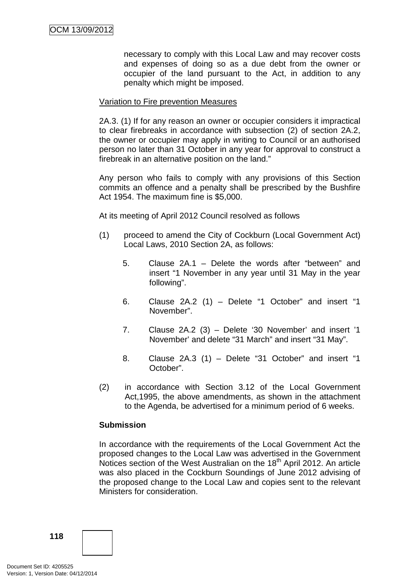necessary to comply with this Local Law and may recover costs and expenses of doing so as a due debt from the owner or occupier of the land pursuant to the Act, in addition to any penalty which might be imposed.

### Variation to Fire prevention Measures

2A.3. (1) If for any reason an owner or occupier considers it impractical to clear firebreaks in accordance with subsection (2) of section 2A.2, the owner or occupier may apply in writing to Council or an authorised person no later than 31 October in any year for approval to construct a firebreak in an alternative position on the land."

Any person who fails to comply with any provisions of this Section commits an offence and a penalty shall be prescribed by the Bushfire Act 1954. The maximum fine is \$5,000.

At its meeting of April 2012 Council resolved as follows

- (1) proceed to amend the City of Cockburn (Local Government Act) Local Laws, 2010 Section 2A, as follows:
	- 5. Clause 2A.1 Delete the words after "between" and insert "1 November in any year until 31 May in the year following".
	- 6. Clause 2A.2 (1) Delete "1 October" and insert "1 November".
	- 7. Clause 2A.2 (3) Delete '30 November' and insert '1 November' and delete "31 March" and insert "31 May".
	- 8. Clause 2A.3 (1) Delete "31 October" and insert "1 October".
- (2) in accordance with Section 3.12 of the Local Government Act,1995, the above amendments, as shown in the attachment to the Agenda, be advertised for a minimum period of 6 weeks.

#### **Submission**

In accordance with the requirements of the Local Government Act the proposed changes to the Local Law was advertised in the Government Notices section of the West Australian on the 18<sup>th</sup> April 2012. An article was also placed in the Cockburn Soundings of June 2012 advising of the proposed change to the Local Law and copies sent to the relevant Ministers for consideration.

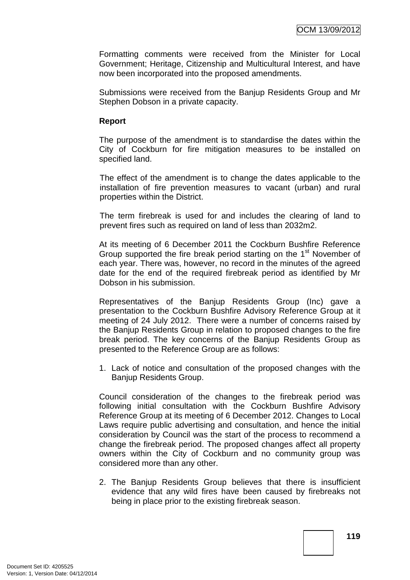Formatting comments were received from the Minister for Local Government; Heritage, Citizenship and Multicultural Interest, and have now been incorporated into the proposed amendments.

Submissions were received from the Banjup Residents Group and Mr Stephen Dobson in a private capacity.

## **Report**

The purpose of the amendment is to standardise the dates within the City of Cockburn for fire mitigation measures to be installed on specified land.

The effect of the amendment is to change the dates applicable to the installation of fire prevention measures to vacant (urban) and rural properties within the District.

The term firebreak is used for and includes the clearing of land to prevent fires such as required on land of less than 2032m2.

At its meeting of 6 December 2011 the Cockburn Bushfire Reference Group supported the fire break period starting on the 1<sup>st</sup> November of each year. There was, however, no record in the minutes of the agreed date for the end of the required firebreak period as identified by Mr Dobson in his submission.

Representatives of the Banjup Residents Group (Inc) gave a presentation to the Cockburn Bushfire Advisory Reference Group at it meeting of 24 July 2012. There were a number of concerns raised by the Banjup Residents Group in relation to proposed changes to the fire break period. The key concerns of the Banjup Residents Group as presented to the Reference Group are as follows:

1. Lack of notice and consultation of the proposed changes with the Banjup Residents Group.

Council consideration of the changes to the firebreak period was following initial consultation with the Cockburn Bushfire Advisory Reference Group at its meeting of 6 December 2012. Changes to Local Laws require public advertising and consultation, and hence the initial consideration by Council was the start of the process to recommend a change the firebreak period. The proposed changes affect all property owners within the City of Cockburn and no community group was considered more than any other.

2. The Banjup Residents Group believes that there is insufficient evidence that any wild fires have been caused by firebreaks not being in place prior to the existing firebreak season.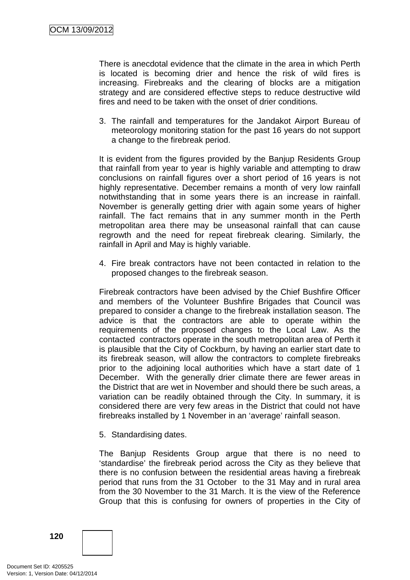There is anecdotal evidence that the climate in the area in which Perth is located is becoming drier and hence the risk of wild fires is increasing. Firebreaks and the clearing of blocks are a mitigation strategy and are considered effective steps to reduce destructive wild fires and need to be taken with the onset of drier conditions.

3. The rainfall and temperatures for the Jandakot Airport Bureau of meteorology monitoring station for the past 16 years do not support a change to the firebreak period.

It is evident from the figures provided by the Banjup Residents Group that rainfall from year to year is highly variable and attempting to draw conclusions on rainfall figures over a short period of 16 years is not highly representative. December remains a month of very low rainfall notwithstanding that in some years there is an increase in rainfall. November is generally getting drier with again some years of higher rainfall. The fact remains that in any summer month in the Perth metropolitan area there may be unseasonal rainfall that can cause regrowth and the need for repeat firebreak clearing. Similarly, the rainfall in April and May is highly variable.

4. Fire break contractors have not been contacted in relation to the proposed changes to the firebreak season.

Firebreak contractors have been advised by the Chief Bushfire Officer and members of the Volunteer Bushfire Brigades that Council was prepared to consider a change to the firebreak installation season. The advice is that the contractors are able to operate within the requirements of the proposed changes to the Local Law. As the contacted contractors operate in the south metropolitan area of Perth it is plausible that the City of Cockburn, by having an earlier start date to its firebreak season, will allow the contractors to complete firebreaks prior to the adjoining local authorities which have a start date of 1 December. With the generally drier climate there are fewer areas in the District that are wet in November and should there be such areas, a variation can be readily obtained through the City. In summary, it is considered there are very few areas in the District that could not have firebreaks installed by 1 November in an 'average' rainfall season.

5. Standardising dates.

The Banjup Residents Group argue that there is no need to 'standardise' the firebreak period across the City as they believe that there is no confusion between the residential areas having a firebreak period that runs from the 31 October to the 31 May and in rural area from the 30 November to the 31 March. It is the view of the Reference Group that this is confusing for owners of properties in the City of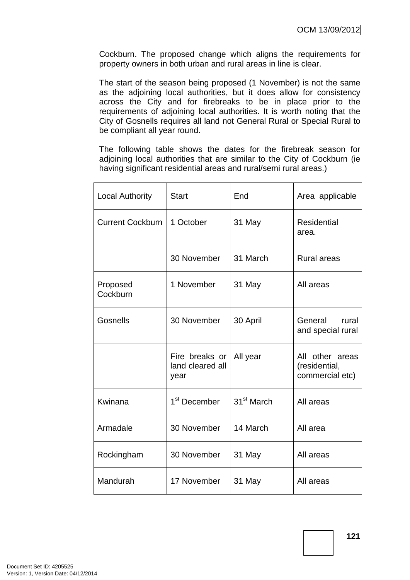Cockburn. The proposed change which aligns the requirements for property owners in both urban and rural areas in line is clear.

The start of the season being proposed (1 November) is not the same as the adjoining local authorities, but it does allow for consistency across the City and for firebreaks to be in place prior to the requirements of adjoining local authorities. It is worth noting that the City of Gosnells requires all land not General Rural or Special Rural to be compliant all year round.

The following table shows the dates for the firebreak season for adjoining local authorities that are similar to the City of Cockburn (ie having significant residential areas and rural/semi rural areas.)

| <b>Local Authority</b>  | <b>Start</b>                               | End                    | Area applicable                                     |  |
|-------------------------|--------------------------------------------|------------------------|-----------------------------------------------------|--|
| <b>Current Cockburn</b> | 1 October                                  | 31 May                 | <b>Residential</b><br>area.                         |  |
|                         | 30 November                                | 31 March               | <b>Rural areas</b>                                  |  |
| Proposed<br>Cockburn    | 1 November                                 | 31 May                 | All areas                                           |  |
| Gosnells                | 30 November                                | 30 April               | General<br>rural<br>and special rural               |  |
|                         | Fire breaks or<br>land cleared all<br>year | All year               | All other areas<br>(residential,<br>commercial etc) |  |
| Kwinana                 | 1 <sup>st</sup> December                   | 31 <sup>st</sup> March | All areas                                           |  |
| Armadale                | 30 November                                | 14 March               | All area                                            |  |
| Rockingham              | 30 November                                | 31 May                 | All areas                                           |  |
| Mandurah                | 17 November                                | 31 May                 | All areas                                           |  |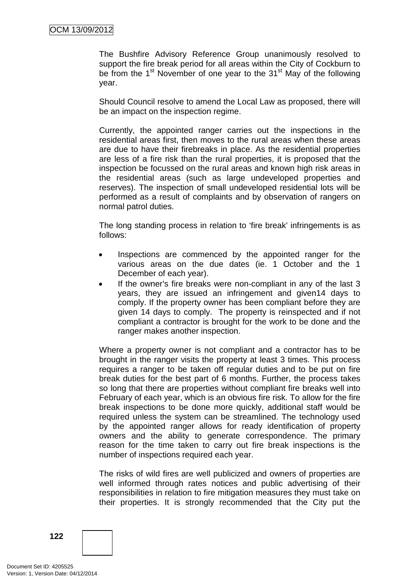The Bushfire Advisory Reference Group unanimously resolved to support the fire break period for all areas within the City of Cockburn to be from the 1<sup>st</sup> November of one year to the 31<sup>st</sup> May of the following year.

Should Council resolve to amend the Local Law as proposed, there will be an impact on the inspection regime.

Currently, the appointed ranger carries out the inspections in the residential areas first, then moves to the rural areas when these areas are due to have their firebreaks in place. As the residential properties are less of a fire risk than the rural properties, it is proposed that the inspection be focussed on the rural areas and known high risk areas in the residential areas (such as large undeveloped properties and reserves). The inspection of small undeveloped residential lots will be performed as a result of complaints and by observation of rangers on normal patrol duties.

The long standing process in relation to 'fire break' infringements is as follows:

- Inspections are commenced by the appointed ranger for the various areas on the due dates (ie. 1 October and the 1 December of each year).
- If the owner's fire breaks were non-compliant in any of the last 3 years, they are issued an infringement and given14 days to comply. If the property owner has been compliant before they are given 14 days to comply. The property is reinspected and if not compliant a contractor is brought for the work to be done and the ranger makes another inspection.

Where a property owner is not compliant and a contractor has to be brought in the ranger visits the property at least 3 times. This process requires a ranger to be taken off regular duties and to be put on fire break duties for the best part of 6 months. Further, the process takes so long that there are properties without compliant fire breaks well into February of each year, which is an obvious fire risk. To allow for the fire break inspections to be done more quickly, additional staff would be required unless the system can be streamlined. The technology used by the appointed ranger allows for ready identification of property owners and the ability to generate correspondence. The primary reason for the time taken to carry out fire break inspections is the number of inspections required each year.

The risks of wild fires are well publicized and owners of properties are well informed through rates notices and public advertising of their responsibilities in relation to fire mitigation measures they must take on their properties. It is strongly recommended that the City put the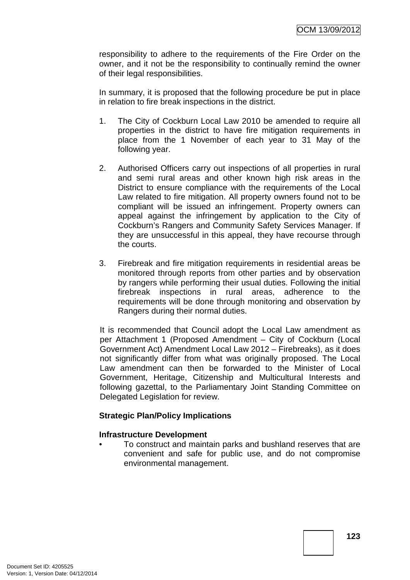responsibility to adhere to the requirements of the Fire Order on the owner, and it not be the responsibility to continually remind the owner of their legal responsibilities.

In summary, it is proposed that the following procedure be put in place in relation to fire break inspections in the district.

- 1. The City of Cockburn Local Law 2010 be amended to require all properties in the district to have fire mitigation requirements in place from the 1 November of each year to 31 May of the following year.
- 2. Authorised Officers carry out inspections of all properties in rural and semi rural areas and other known high risk areas in the District to ensure compliance with the requirements of the Local Law related to fire mitigation. All property owners found not to be compliant will be issued an infringement. Property owners can appeal against the infringement by application to the City of Cockburn's Rangers and Community Safety Services Manager. If they are unsuccessful in this appeal, they have recourse through the courts.
- 3. Firebreak and fire mitigation requirements in residential areas be monitored through reports from other parties and by observation by rangers while performing their usual duties. Following the initial firebreak inspections in rural areas, adherence to the requirements will be done through monitoring and observation by Rangers during their normal duties.

It is recommended that Council adopt the Local Law amendment as per Attachment 1 (Proposed Amendment – City of Cockburn (Local Government Act) Amendment Local Law 2012 – Firebreaks), as it does not significantly differ from what was originally proposed. The Local Law amendment can then be forwarded to the Minister of Local Government, Heritage, Citizenship and Multicultural Interests and following gazettal, to the Parliamentary Joint Standing Committee on Delegated Legislation for review.

#### **Strategic Plan/Policy Implications**

#### **Infrastructure Development**

• To construct and maintain parks and bushland reserves that are convenient and safe for public use, and do not compromise environmental management.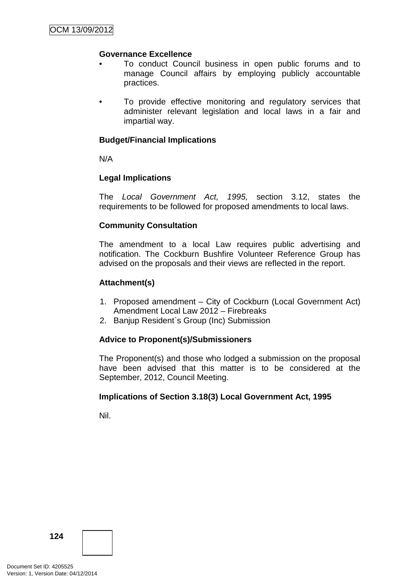### **Governance Excellence**

- To conduct Council business in open public forums and to manage Council affairs by employing publicly accountable practices.
- To provide effective monitoring and regulatory services that administer relevant legislation and local laws in a fair and impartial way.

### **Budget/Financial Implications**

N/A

## **Legal Implications**

The *Local Government Act, 1995,* section 3.12, states the requirements to be followed for proposed amendments to local laws.

## **Community Consultation**

The amendment to a local Law requires public advertising and notification. The Cockburn Bushfire Volunteer Reference Group has advised on the proposals and their views are reflected in the report.

#### **Attachment(s)**

- 1. Proposed amendment City of Cockburn (Local Government Act) Amendment Local Law 2012 – Firebreaks
- 2. Banjup Resident`s Group (Inc) Submission

#### **Advice to Proponent(s)/Submissioners**

The Proponent(s) and those who lodged a submission on the proposal have been advised that this matter is to be considered at the September, 2012, Council Meeting.

## **Implications of Section 3.18(3) Local Government Act, 1995**

Nil.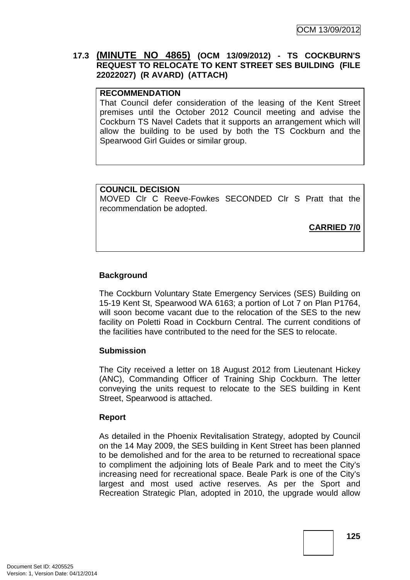## **17.3 (MINUTE NO 4865) (OCM 13/09/2012) - TS COCKBURN'S REQUEST TO RELOCATE TO KENT STREET SES BUILDING (FILE 22022027) (R AVARD) (ATTACH)**

## **RECOMMENDATION**

That Council defer consideration of the leasing of the Kent Street premises until the October 2012 Council meeting and advise the Cockburn TS Navel Cadets that it supports an arrangement which will allow the building to be used by both the TS Cockburn and the Spearwood Girl Guides or similar group.

## **COUNCIL DECISION**

MOVED Clr C Reeve-Fowkes SECONDED Clr S Pratt that the recommendation be adopted.

**CARRIED 7/0**

## **Background**

The Cockburn Voluntary State Emergency Services (SES) Building on 15-19 Kent St, Spearwood WA 6163; a portion of Lot 7 on Plan P1764, will soon become vacant due to the relocation of the SES to the new facility on Poletti Road in Cockburn Central. The current conditions of the facilities have contributed to the need for the SES to relocate.

#### **Submission**

The City received a letter on 18 August 2012 from Lieutenant Hickey (ANC), Commanding Officer of Training Ship Cockburn. The letter conveying the units request to relocate to the SES building in Kent Street, Spearwood is attached.

#### **Report**

As detailed in the Phoenix Revitalisation Strategy, adopted by Council on the 14 May 2009, the SES building in Kent Street has been planned to be demolished and for the area to be returned to recreational space to compliment the adjoining lots of Beale Park and to meet the City's increasing need for recreational space. Beale Park is one of the City's largest and most used active reserves. As per the Sport and Recreation Strategic Plan, adopted in 2010, the upgrade would allow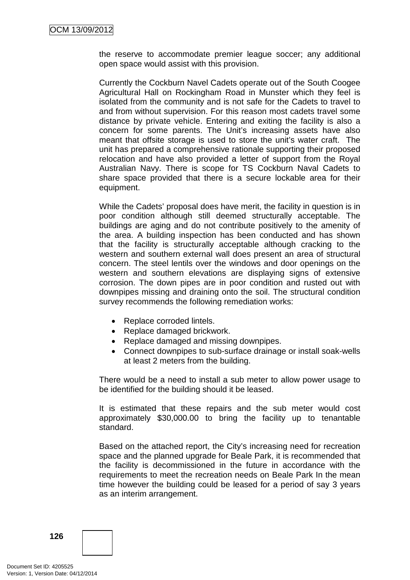the reserve to accommodate premier league soccer; any additional open space would assist with this provision.

Currently the Cockburn Navel Cadets operate out of the South Coogee Agricultural Hall on Rockingham Road in Munster which they feel is isolated from the community and is not safe for the Cadets to travel to and from without supervision. For this reason most cadets travel some distance by private vehicle. Entering and exiting the facility is also a concern for some parents. The Unit's increasing assets have also meant that offsite storage is used to store the unit's water craft. The unit has prepared a comprehensive rationale supporting their proposed relocation and have also provided a letter of support from the Royal Australian Navy. There is scope for TS Cockburn Naval Cadets to share space provided that there is a secure lockable area for their equipment.

While the Cadets' proposal does have merit, the facility in question is in poor condition although still deemed structurally acceptable. The buildings are aging and do not contribute positively to the amenity of the area. A building inspection has been conducted and has shown that the facility is structurally acceptable although cracking to the western and southern external wall does present an area of structural concern. The steel lentils over the windows and door openings on the western and southern elevations are displaying signs of extensive corrosion. The down pipes are in poor condition and rusted out with downpipes missing and draining onto the soil. The structural condition survey recommends the following remediation works:

- Replace corroded lintels.
- Replace damaged brickwork.
- Replace damaged and missing downpipes.
- Connect downpipes to sub-surface drainage or install soak-wells at least 2 meters from the building.

There would be a need to install a sub meter to allow power usage to be identified for the building should it be leased.

It is estimated that these repairs and the sub meter would cost approximately \$30,000.00 to bring the facility up to tenantable standard.

Based on the attached report, the City's increasing need for recreation space and the planned upgrade for Beale Park, it is recommended that the facility is decommissioned in the future in accordance with the requirements to meet the recreation needs on Beale Park In the mean time however the building could be leased for a period of say 3 years as an interim arrangement.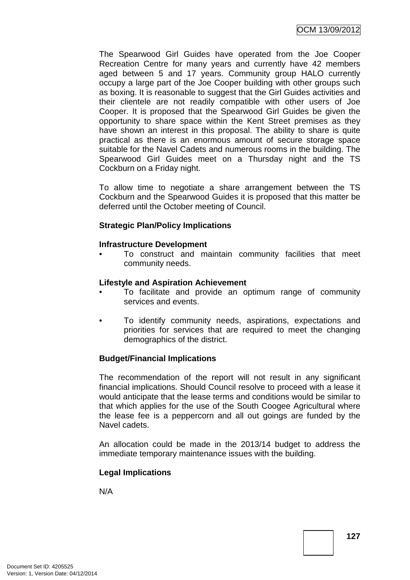The Spearwood Girl Guides have operated from the Joe Cooper Recreation Centre for many years and currently have 42 members aged between 5 and 17 years. Community group HALO currently occupy a large part of the Joe Cooper building with other groups such as boxing. It is reasonable to suggest that the Girl Guides activities and their clientele are not readily compatible with other users of Joe Cooper. It is proposed that the Spearwood Girl Guides be given the opportunity to share space within the Kent Street premises as they have shown an interest in this proposal. The ability to share is quite practical as there is an enormous amount of secure storage space suitable for the Navel Cadets and numerous rooms in the building. The Spearwood Girl Guides meet on a Thursday night and the TS Cockburn on a Friday night.

To allow time to negotiate a share arrangement between the TS Cockburn and the Spearwood Guides it is proposed that this matter be deferred until the October meeting of Council.

## **Strategic Plan/Policy Implications**

#### **Infrastructure Development**

• To construct and maintain community facilities that meet community needs.

## **Lifestyle and Aspiration Achievement**

- To facilitate and provide an optimum range of community services and events.
- To identify community needs, aspirations, expectations and priorities for services that are required to meet the changing demographics of the district.

## **Budget/Financial Implications**

The recommendation of the report will not result in any significant financial implications. Should Council resolve to proceed with a lease it would anticipate that the lease terms and conditions would be similar to that which applies for the use of the South Coogee Agricultural where the lease fee is a peppercorn and all out goings are funded by the Navel cadets.

An allocation could be made in the 2013/14 budget to address the immediate temporary maintenance issues with the building.

## **Legal Implications**

N/A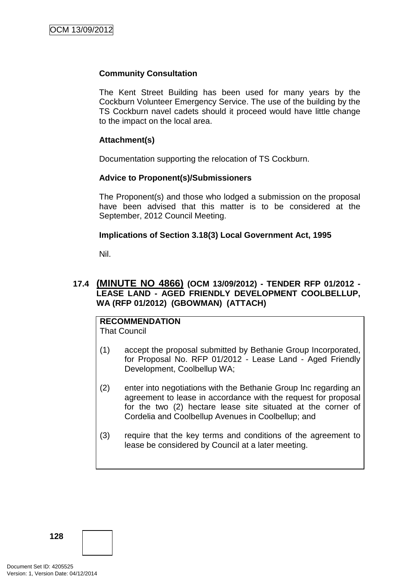#### **Community Consultation**

The Kent Street Building has been used for many years by the Cockburn Volunteer Emergency Service. The use of the building by the TS Cockburn navel cadets should it proceed would have little change to the impact on the local area.

#### **Attachment(s)**

Documentation supporting the relocation of TS Cockburn.

#### **Advice to Proponent(s)/Submissioners**

The Proponent(s) and those who lodged a submission on the proposal have been advised that this matter is to be considered at the September, 2012 Council Meeting.

#### **Implications of Section 3.18(3) Local Government Act, 1995**

Nil.

### **17.4 (MINUTE NO 4866) (OCM 13/09/2012) - TENDER RFP 01/2012 - LEASE LAND - AGED FRIENDLY DEVELOPMENT COOLBELLUP, WA (RFP 01/2012) (GBOWMAN) (ATTACH)**

#### **RECOMMENDATION** That Council

- (1) accept the proposal submitted by Bethanie Group Incorporated, for Proposal No. RFP 01/2012 - Lease Land - Aged Friendly Development, Coolbellup WA;
- (2) enter into negotiations with the Bethanie Group Inc regarding an agreement to lease in accordance with the request for proposal for the two (2) hectare lease site situated at the corner of Cordelia and Coolbellup Avenues in Coolbellup; and
- (3) require that the key terms and conditions of the agreement to lease be considered by Council at a later meeting.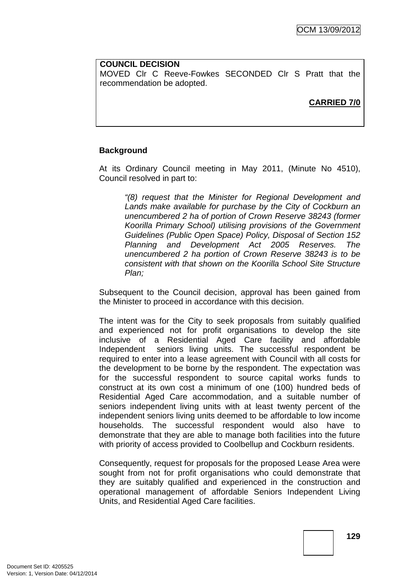**COUNCIL DECISION** MOVED Clr C Reeve-Fowkes SECONDED Clr S Pratt that the recommendation be adopted.

**CARRIED 7/0**

#### **Background**

At its Ordinary Council meeting in May 2011, (Minute No 4510), Council resolved in part to:

*"(8) request that the Minister for Regional Development and Lands make available for purchase by the City of Cockburn an unencumbered 2 ha of portion of Crown Reserve 38243 (former Koorilla Primary School) utilising provisions of the Government Guidelines (Public Open Space) Policy, Disposal of Section 152 Planning and Development Act 2005 Reserves. The unencumbered 2 ha portion of Crown Reserve 38243 is to be consistent with that shown on the Koorilla School Site Structure Plan;* 

Subsequent to the Council decision, approval has been gained from the Minister to proceed in accordance with this decision.

The intent was for the City to seek proposals from suitably qualified and experienced not for profit organisations to develop the site inclusive of a Residential Aged Care facility and affordable Independent seniors living units. The successful respondent be required to enter into a lease agreement with Council with all costs for the development to be borne by the respondent. The expectation was for the successful respondent to source capital works funds to construct at its own cost a minimum of one (100) hundred beds of Residential Aged Care accommodation, and a suitable number of seniors independent living units with at least twenty percent of the independent seniors living units deemed to be affordable to low income households. The successful respondent would also have to demonstrate that they are able to manage both facilities into the future with priority of access provided to Coolbellup and Cockburn residents.

Consequently, request for proposals for the proposed Lease Area were sought from not for profit organisations who could demonstrate that they are suitably qualified and experienced in the construction and operational management of affordable Seniors Independent Living Units, and Residential Aged Care facilities.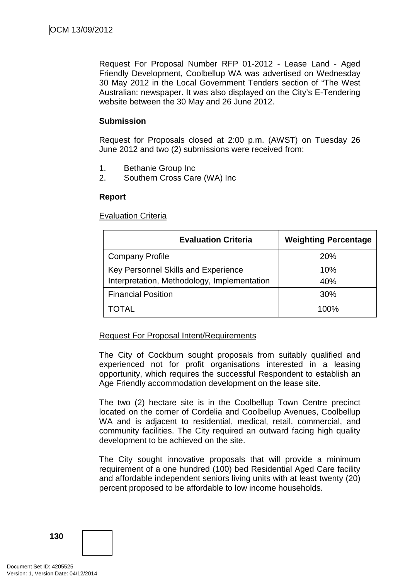Request For Proposal Number RFP 01-2012 - Lease Land - Aged Friendly Development, Coolbellup WA was advertised on Wednesday 30 May 2012 in the Local Government Tenders section of "The West Australian: newspaper. It was also displayed on the City's E-Tendering website between the 30 May and 26 June 2012.

#### **Submission**

Request for Proposals closed at 2:00 p.m. (AWST) on Tuesday 26 June 2012 and two (2) submissions were received from:

- 1. Bethanie Group Inc
- 2. Southern Cross Care (WA) Inc

#### **Report**

Evaluation Criteria

| <b>Evaluation Criteria</b>                  | <b>Weighting Percentage</b> |  |
|---------------------------------------------|-----------------------------|--|
| <b>Company Profile</b>                      | <b>20%</b>                  |  |
| Key Personnel Skills and Experience         | 10%                         |  |
| Interpretation, Methodology, Implementation | 40%                         |  |
| <b>Financial Position</b>                   | 30%                         |  |
| TOTAL                                       | 100%                        |  |

#### Request For Proposal Intent/Requirements

The City of Cockburn sought proposals from suitably qualified and experienced not for profit organisations interested in a leasing opportunity, which requires the successful Respondent to establish an Age Friendly accommodation development on the lease site.

The two (2) hectare site is in the Coolbellup Town Centre precinct located on the corner of Cordelia and Coolbellup Avenues, Coolbellup WA and is adjacent to residential, medical, retail, commercial, and community facilities. The City required an outward facing high quality development to be achieved on the site.

The City sought innovative proposals that will provide a minimum requirement of a one hundred (100) bed Residential Aged Care facility and affordable independent seniors living units with at least twenty (20) percent proposed to be affordable to low income households.

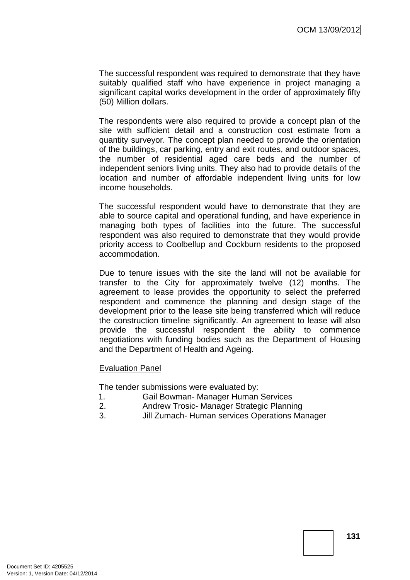The successful respondent was required to demonstrate that they have suitably qualified staff who have experience in project managing a significant capital works development in the order of approximately fifty (50) Million dollars.

The respondents were also required to provide a concept plan of the site with sufficient detail and a construction cost estimate from a quantity surveyor. The concept plan needed to provide the orientation of the buildings, car parking, entry and exit routes, and outdoor spaces, the number of residential aged care beds and the number of independent seniors living units. They also had to provide details of the location and number of affordable independent living units for low income households.

The successful respondent would have to demonstrate that they are able to source capital and operational funding, and have experience in managing both types of facilities into the future. The successful respondent was also required to demonstrate that they would provide priority access to Coolbellup and Cockburn residents to the proposed accommodation.

Due to tenure issues with the site the land will not be available for transfer to the City for approximately twelve (12) months. The agreement to lease provides the opportunity to select the preferred respondent and commence the planning and design stage of the development prior to the lease site being transferred which will reduce the construction timeline significantly. An agreement to lease will also provide the successful respondent the ability to commence negotiations with funding bodies such as the Department of Housing and the Department of Health and Ageing.

#### Evaluation Panel

The tender submissions were evaluated by:

- 1. Gail Bowman- Manager Human Services
- 2. Andrew Trosic- Manager Strategic Planning
- 3. Jill Zumach- Human services Operations Manager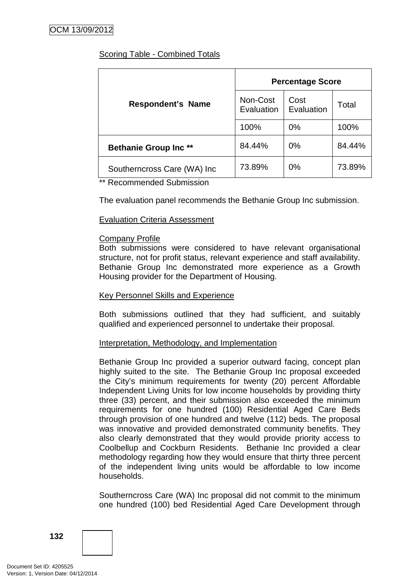## Scoring Table - Combined Totals

|                              | <b>Percentage Score</b> |                    |        |
|------------------------------|-------------------------|--------------------|--------|
| <b>Respondent's Name</b>     | Non-Cost<br>Evaluation  | Cost<br>Evaluation | Total  |
|                              | 100%                    | $0\%$              | 100%   |
| <b>Bethanie Group Inc **</b> | 84.44%                  | $0\%$              | 84.44% |
| Southerncross Care (WA) Inc  | 73.89%                  | $0\%$              | 73.89% |

\*\* Recommended Submission

The evaluation panel recommends the Bethanie Group Inc submission.

## Evaluation Criteria Assessment

#### Company Profile

Both submissions were considered to have relevant organisational structure, not for profit status, relevant experience and staff availability. Bethanie Group Inc demonstrated more experience as a Growth Housing provider for the Department of Housing.

#### Key Personnel Skills and Experience

Both submissions outlined that they had sufficient, and suitably qualified and experienced personnel to undertake their proposal.

#### Interpretation, Methodology, and Implementation

Bethanie Group Inc provided a superior outward facing, concept plan highly suited to the site. The Bethanie Group Inc proposal exceeded the City's minimum requirements for twenty (20) percent Affordable Independent Living Units for low income households by providing thirty three (33) percent, and their submission also exceeded the minimum requirements for one hundred (100) Residential Aged Care Beds through provision of one hundred and twelve (112) beds. The proposal was innovative and provided demonstrated community benefits. They also clearly demonstrated that they would provide priority access to Coolbellup and Cockburn Residents. Bethanie Inc provided a clear methodology regarding how they would ensure that thirty three percent of the independent living units would be affordable to low income households.

Southerncross Care (WA) Inc proposal did not commit to the minimum one hundred (100) bed Residential Aged Care Development through

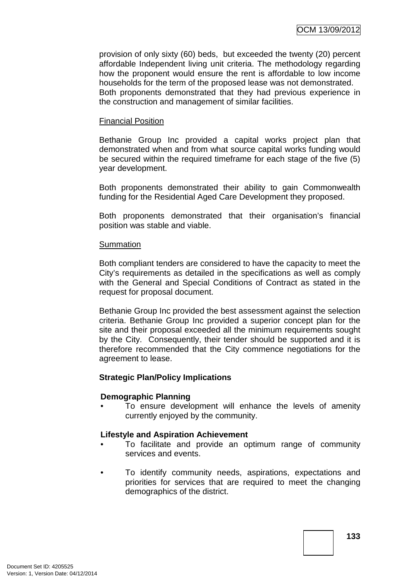provision of only sixty (60) beds, but exceeded the twenty (20) percent affordable Independent living unit criteria. The methodology regarding how the proponent would ensure the rent is affordable to low income households for the term of the proposed lease was not demonstrated. Both proponents demonstrated that they had previous experience in the construction and management of similar facilities.

### Financial Position

Bethanie Group Inc provided a capital works project plan that demonstrated when and from what source capital works funding would be secured within the required timeframe for each stage of the five (5) year development.

Both proponents demonstrated their ability to gain Commonwealth funding for the Residential Aged Care Development they proposed.

Both proponents demonstrated that their organisation's financial position was stable and viable.

#### **Summation**

Both compliant tenders are considered to have the capacity to meet the City's requirements as detailed in the specifications as well as comply with the General and Special Conditions of Contract as stated in the request for proposal document.

Bethanie Group Inc provided the best assessment against the selection criteria. Bethanie Group Inc provided a superior concept plan for the site and their proposal exceeded all the minimum requirements sought by the City. Consequently, their tender should be supported and it is therefore recommended that the City commence negotiations for the agreement to lease.

## **Strategic Plan/Policy Implications**

#### **Demographic Planning**

To ensure development will enhance the levels of amenity currently enjoyed by the community.

#### **Lifestyle and Aspiration Achievement**

- To facilitate and provide an optimum range of community services and events.
- To identify community needs, aspirations, expectations and priorities for services that are required to meet the changing demographics of the district.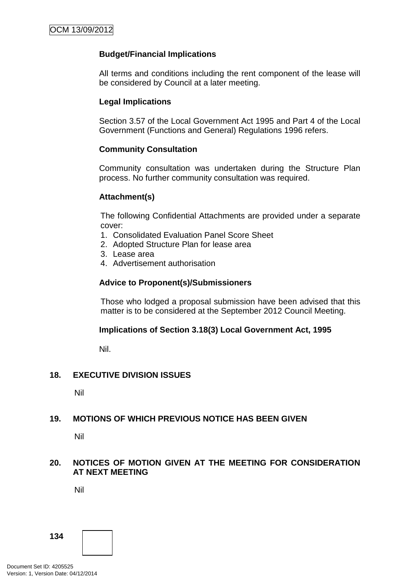## **Budget/Financial Implications**

All terms and conditions including the rent component of the lease will be considered by Council at a later meeting.

## **Legal Implications**

Section 3.57 of the Local Government Act 1995 and Part 4 of the Local Government (Functions and General) Regulations 1996 refers.

#### **Community Consultation**

Community consultation was undertaken during the Structure Plan process. No further community consultation was required.

#### **Attachment(s)**

The following Confidential Attachments are provided under a separate cover:

- 1. Consolidated Evaluation Panel Score Sheet
- 2. Adopted Structure Plan for lease area
- 3. Lease area
- 4. Advertisement authorisation

#### **Advice to Proponent(s)/Submissioners**

Those who lodged a proposal submission have been advised that this matter is to be considered at the September 2012 Council Meeting.

#### **Implications of Section 3.18(3) Local Government Act, 1995**

Nil.

### **18. EXECUTIVE DIVISION ISSUES**

Nil

### **19. MOTIONS OF WHICH PREVIOUS NOTICE HAS BEEN GIVEN**

Nil

#### **20. NOTICES OF MOTION GIVEN AT THE MEETING FOR CONSIDERATION AT NEXT MEETING**

Nil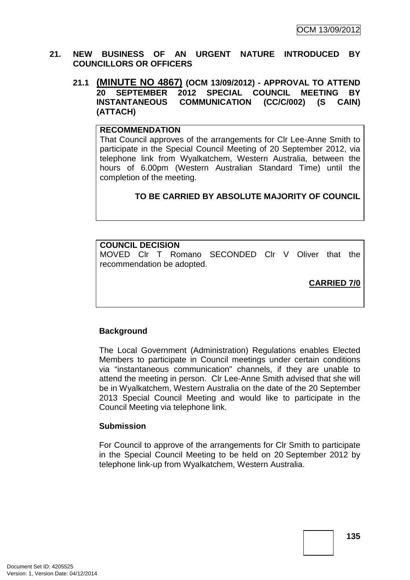#### **21. NEW BUSINESS OF AN URGENT NATURE INTRODUCED BY COUNCILLORS OR OFFICERS**

## **21.1 (MINUTE NO 4867) (OCM 13/09/2012) - APPROVAL TO ATTEND 20 SEPTEMBER 2012 SPECIAL COUNCIL MEETING BY COMMUNICATION (CC/C/002) (S (ATTACH)**

#### **RECOMMENDATION**

That Council approves of the arrangements for Clr Lee-Anne Smith to participate in the Special Council Meeting of 20 September 2012, via telephone link from Wyalkatchem, Western Australia, between the hours of 6.00pm (Western Australian Standard Time) until the completion of the meeting.

## **TO BE CARRIED BY ABSOLUTE MAJORITY OF COUNCIL**

#### **COUNCIL DECISION**

MOVED Clr T Romano SECONDED Clr V Oliver that the recommendation be adopted.

**CARRIED 7/0**

#### **Background**

The Local Government (Administration) Regulations enables Elected Members to participate in Council meetings under certain conditions via "instantaneous communication" channels, if they are unable to attend the meeting in person. Clr Lee-Anne Smith advised that she will be in Wyalkatchem, Western Australia on the date of the 20 September 2013 Special Council Meeting and would like to participate in the Council Meeting via telephone link.

#### **Submission**

For Council to approve of the arrangements for Clr Smith to participate in the Special Council Meeting to be held on 20 September 2012 by telephone link-up from Wyalkatchem, Western Australia.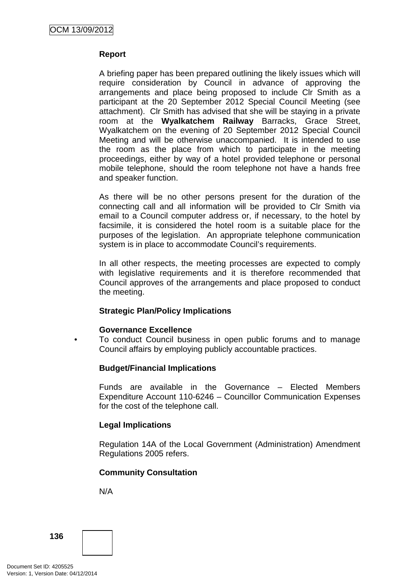### **Report**

A briefing paper has been prepared outlining the likely issues which will require consideration by Council in advance of approving the arrangements and place being proposed to include Clr Smith as a participant at the 20 September 2012 Special Council Meeting (see attachment). Clr Smith has advised that she will be staying in a private room at the **Wyalkatchem Railway** Barracks, Grace Street, Wyalkatchem on the evening of 20 September 2012 Special Council Meeting and will be otherwise unaccompanied. It is intended to use the room as the place from which to participate in the meeting proceedings, either by way of a hotel provided telephone or personal mobile telephone, should the room telephone not have a hands free and speaker function.

As there will be no other persons present for the duration of the connecting call and all information will be provided to Clr Smith via email to a Council computer address or, if necessary, to the hotel by facsimile, it is considered the hotel room is a suitable place for the purposes of the legislation. An appropriate telephone communication system is in place to accommodate Council's requirements.

In all other respects, the meeting processes are expected to comply with legislative requirements and it is therefore recommended that Council approves of the arrangements and place proposed to conduct the meeting.

## **Strategic Plan/Policy Implications**

#### **Governance Excellence**

• To conduct Council business in open public forums and to manage Council affairs by employing publicly accountable practices.

#### **Budget/Financial Implications**

Funds are available in the Governance – Elected Members Expenditure Account 110-6246 – Councillor Communication Expenses for the cost of the telephone call.

#### **Legal Implications**

Regulation 14A of the Local Government (Administration) Amendment Regulations 2005 refers.

#### **Community Consultation**

N/A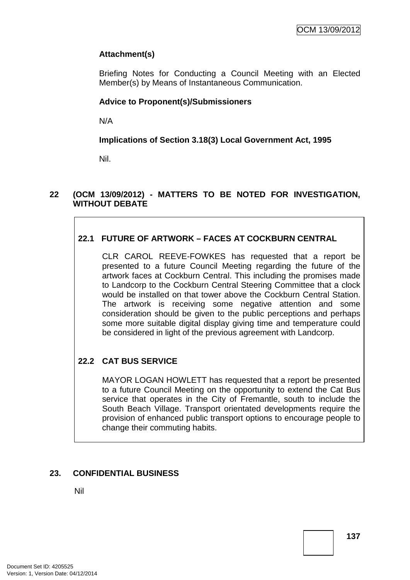## **Attachment(s)**

Briefing Notes for Conducting a Council Meeting with an Elected Member(s) by Means of Instantaneous Communication.

## **Advice to Proponent(s)/Submissioners**

N/A

## **Implications of Section 3.18(3) Local Government Act, 1995**

Nil.

## **22 (OCM 13/09/2012) - MATTERS TO BE NOTED FOR INVESTIGATION, WITHOUT DEBATE**

## **22.1 FUTURE OF ARTWORK – FACES AT COCKBURN CENTRAL**

CLR CAROL REEVE-FOWKES has requested that a report be presented to a future Council Meeting regarding the future of the artwork faces at Cockburn Central. This including the promises made to Landcorp to the Cockburn Central Steering Committee that a clock would be installed on that tower above the Cockburn Central Station. The artwork is receiving some negative attention and some consideration should be given to the public perceptions and perhaps some more suitable digital display giving time and temperature could be considered in light of the previous agreement with Landcorp.

## **22.2 CAT BUS SERVICE**

MAYOR LOGAN HOWLETT has requested that a report be presented to a future Council Meeting on the opportunity to extend the Cat Bus service that operates in the City of Fremantle, south to include the South Beach Village. Transport orientated developments require the provision of enhanced public transport options to encourage people to change their commuting habits.

#### **23. CONFIDENTIAL BUSINESS**

Nil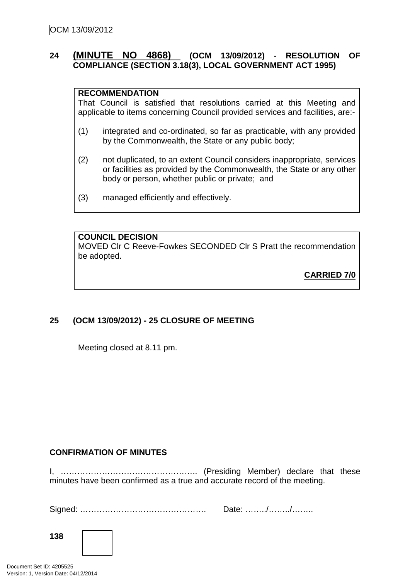## **24 (MINUTE NO 4868) (OCM 13/09/2012) - RESOLUTION OF COMPLIANCE (SECTION 3.18(3), LOCAL GOVERNMENT ACT 1995)**

#### **RECOMMENDATION**

That Council is satisfied that resolutions carried at this Meeting and applicable to items concerning Council provided services and facilities, are:-

- (1) integrated and co-ordinated, so far as practicable, with any provided by the Commonwealth, the State or any public body;
- (2) not duplicated, to an extent Council considers inappropriate, services or facilities as provided by the Commonwealth, the State or any other body or person, whether public or private; and
- (3) managed efficiently and effectively.

## **COUNCIL DECISION**

MOVED Clr C Reeve-Fowkes SECONDED Clr S Pratt the recommendation be adopted.

**CARRIED 7/0**

## **25 (OCM 13/09/2012) - 25 CLOSURE OF MEETING**

Meeting closed at 8.11 pm.

## **CONFIRMATION OF MINUTES**

I, ………………………………………….. (Presiding Member) declare that these minutes have been confirmed as a true and accurate record of the meeting.

Signed: ………………………………………. Date: ……../……../……..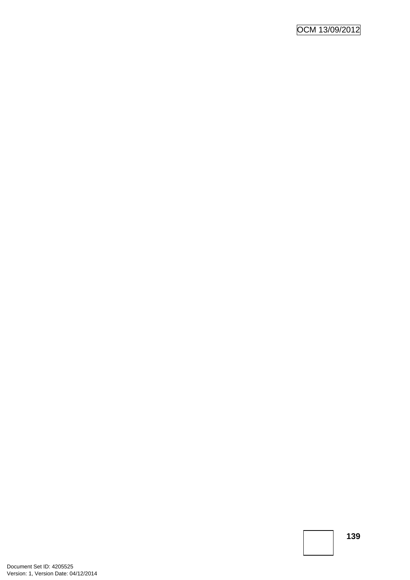# OCM 13/09/2012